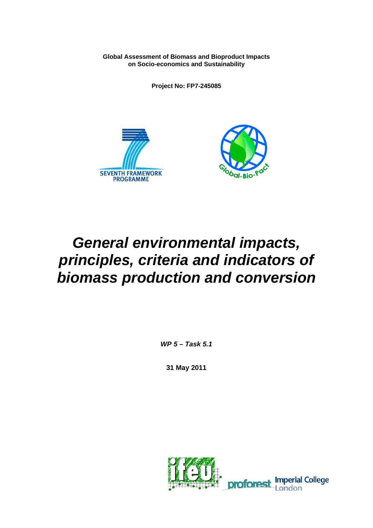**Global Assessment of Biomass and Bioproduct Impacts on Socio-economics and Sustainability** 

**Project No: FP7-245085** 





# *General environmental impacts, principles, criteria and indicators of biomass production and conversion*

*WP 5 – Task 5.1* 

**31 May 2011** 

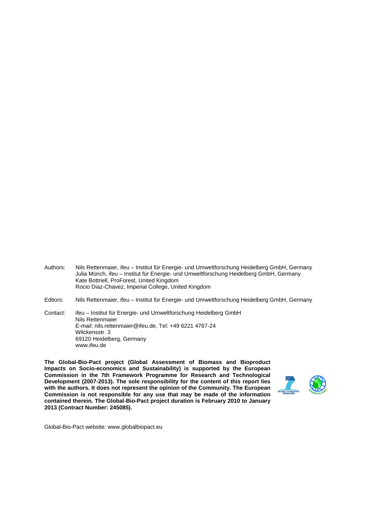- Authors: Nils Rettenmaier, ifeu Institut für Energie- und Umweltforschung Heidelberg GmbH, Germany Julia Münch, ifeu – Institut für Energie- und Umweltforschung Heidelberg GmbH, Germany Kate Bottriell, ProForest, United Kingdom Rocio Diaz-Chavez, Imperial College, United Kingdom
- Editors: Nils Rettenmaier, ifeu Institut für Energie- und Umweltforschung Heidelberg GmbH, Germany

Contact: ifeu – Institut für Energie- und Umweltforschung Heidelberg GmbH Nils Rettenmaier E-mail: nils.rettenmaier@ifeu.de, Tel: +49 6221 4767-24 Wilckensstr. 3 69120 Heidelberg, Germany www.ifeu.de

**The Global-Bio-Pact project (Global Assessment of Biomass and Bioproduct Impacts on Socio-economics and Sustainability) is supported by the European Commission in the 7th Framework Programme for Research and Technological Development (2007-2013). The sole responsibility for the content of this report lies with the authors. It does not represent the opinion of the Community. The European Commission is not responsible for any use that may be made of the information contained therein. The Global-Bio-Pact project duration is February 2010 to January 2013 (Contract Number: 245085).** 



Global-Bio-Pact website: www.globalbiopact.eu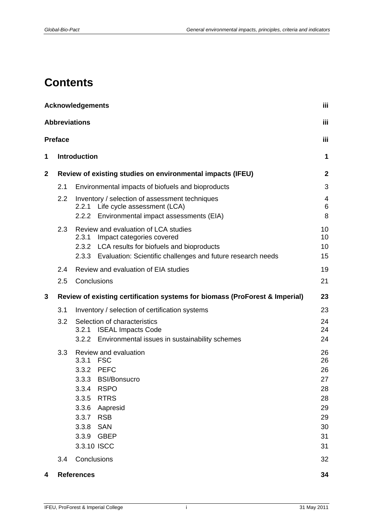# **Contents**

|             | <b>Acknowledgements</b><br>iii |                                                                                                                                                                                                                                  |                                                                |  |  |  |
|-------------|--------------------------------|----------------------------------------------------------------------------------------------------------------------------------------------------------------------------------------------------------------------------------|----------------------------------------------------------------|--|--|--|
|             |                                | <b>Abbreviations</b>                                                                                                                                                                                                             | iii                                                            |  |  |  |
|             | <b>Preface</b>                 |                                                                                                                                                                                                                                  | iii                                                            |  |  |  |
| 1           |                                | <b>Introduction</b>                                                                                                                                                                                                              | 1                                                              |  |  |  |
| $\mathbf 2$ |                                | Review of existing studies on environmental impacts (IFEU)                                                                                                                                                                       | $\mathbf{2}$                                                   |  |  |  |
|             | 2.1                            | Environmental impacts of biofuels and bioproducts                                                                                                                                                                                | 3                                                              |  |  |  |
|             | 2.2                            | Inventory / selection of assessment techniques<br>Life cycle assessment (LCA)<br>2.2.1<br>2.2.2 Environmental impact assessments (EIA)                                                                                           | 4<br>6<br>8                                                    |  |  |  |
|             | 2.3                            | Review and evaluation of LCA studies<br>Impact categories covered<br>2.3.1<br>2.3.2 LCA results for biofuels and bioproducts<br>2.3.3 Evaluation: Scientific challenges and future research needs                                | 10<br>10<br>10<br>15                                           |  |  |  |
|             | 2.4                            | Review and evaluation of EIA studies                                                                                                                                                                                             | 19                                                             |  |  |  |
|             | 2.5                            | Conclusions                                                                                                                                                                                                                      | 21                                                             |  |  |  |
| 3           |                                | Review of existing certification systems for biomass (ProForest & Imperial)                                                                                                                                                      | 23                                                             |  |  |  |
|             | 3.1                            | Inventory / selection of certification systems                                                                                                                                                                                   | 23                                                             |  |  |  |
|             | 3.2                            | Selection of characteristics<br>3.2.1 ISEAL Impacts Code<br>Environmental issues in sustainability schemes<br>3.2.2                                                                                                              | 24<br>24<br>24                                                 |  |  |  |
|             | 3.3                            | Review and evaluation<br>3.3.1 FSC<br>3.3.2 PEFC<br>3.3.3<br><b>BSI/Bonsucro</b><br>3.3.4 RSPO<br><b>RTRS</b><br>3.3.5<br>3.3.6<br>Aapresid<br><b>RSB</b><br>3.3.7<br>3.3.8<br><b>SAN</b><br><b>GBEP</b><br>3.3.9<br>3.3.10 ISCC | 26<br>26<br>26<br>27<br>28<br>28<br>29<br>29<br>30<br>31<br>31 |  |  |  |
|             | 3.4                            | Conclusions                                                                                                                                                                                                                      | 32                                                             |  |  |  |
| 4           | <b>References</b>              |                                                                                                                                                                                                                                  |                                                                |  |  |  |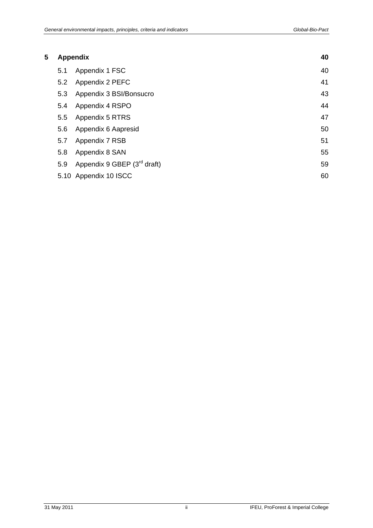| 5 |                  | <b>Appendix</b>               |    |  |
|---|------------------|-------------------------------|----|--|
|   | 5.1              | Appendix 1 FSC                | 40 |  |
|   | 5.2              | Appendix 2 PEFC               | 41 |  |
|   | 5.3              | Appendix 3 BSI/Bonsucro       | 43 |  |
|   | 5.4              | Appendix 4 RSPO               | 44 |  |
|   | 5.5 <sub>1</sub> | Appendix 5 RTRS               | 47 |  |
|   | 5.6              | Appendix 6 Aapresid           | 50 |  |
|   | 5.7              | Appendix 7 RSB                | 51 |  |
|   | 5.8              | Appendix 8 SAN                | 55 |  |
|   | 5.9              | Appendix 9 GBEP $(3rd$ draft) | 59 |  |
|   |                  | 5.10 Appendix 10 ISCC         | 60 |  |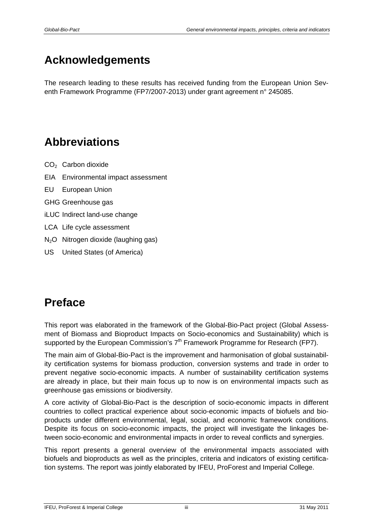# <span id="page-4-0"></span>**Acknowledgements**

The research leading to these results has received funding from the European Union Seventh Framework Programme (FP7/2007-2013) under grant agreement n° 245085.

# <span id="page-4-1"></span>**Abbreviations**

- CO2 Carbon dioxide
- EIA Environmental impact assessment
- EU European Union
- GHG Greenhouse gas
- iLUC Indirect land-use change
- LCA Life cycle assessment
- N2O Nitrogen dioxide (laughing gas)
- US United States (of America)

# <span id="page-4-2"></span>**Preface**

This report was elaborated in the framework of the Global-Bio-Pact project (Global Assessment of Biomass and Bioproduct Impacts on Socio-economics and Sustainability) which is supported by the European Commission's  $7<sup>th</sup>$  Framework Programme for Research (FP7).

The main aim of Global-Bio-Pact is the improvement and harmonisation of global sustainability certification systems for biomass production, conversion systems and trade in order to prevent negative socio-economic impacts. A number of sustainability certification systems are already in place, but their main focus up to now is on environmental impacts such as greenhouse gas emissions or biodiversity.

A core activity of Global-Bio-Pact is the description of socio-economic impacts in different countries to collect practical experience about socio-economic impacts of biofuels and bioproducts under different environmental, legal, social, and economic framework conditions. Despite its focus on socio-economic impacts, the project will investigate the linkages between socio-economic and environmental impacts in order to reveal conflicts and synergies.

This report presents a general overview of the environmental impacts associated with biofuels and bioproducts as well as the principles, criteria and indicators of existing certification systems. The report was jointly elaborated by IFEU, ProForest and Imperial College.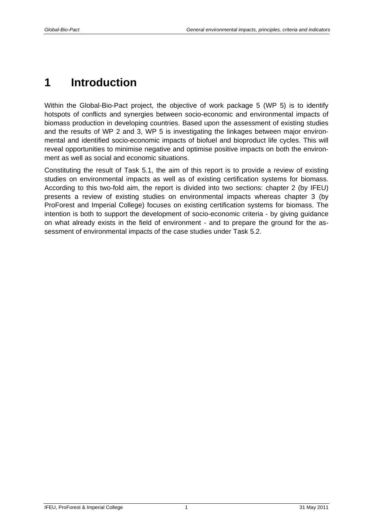# <span id="page-6-0"></span>**1 Introduction**

Within the Global-Bio-Pact project, the objective of work package 5 (WP 5) is to identify hotspots of conflicts and synergies between socio-economic and environmental impacts of biomass production in developing countries. Based upon the assessment of existing studies and the results of WP 2 and 3, WP 5 is investigating the linkages between major environmental and identified socio-economic impacts of biofuel and bioproduct life cycles. This will reveal opportunities to minimise negative and optimise positive impacts on both the environment as well as social and economic situations.

Constituting the result of Task 5.1, the aim of this report is to provide a review of existing studies on environmental impacts as well as of existing certification systems for biomass. According to this two-fold aim, the report is divided into two sections: chapter [2](#page-7-0) (by IFEU) presents a review of existing studies on environmental impacts whereas chapter [3](#page-38-0) (by ProForest and Imperial College) focuses on existing certification systems for biomass. The intention is both to support the development of socio-economic criteria - by giving guidance on what already exists in the field of environment - and to prepare the ground for the assessment of environmental impacts of the case studies under Task 5.2.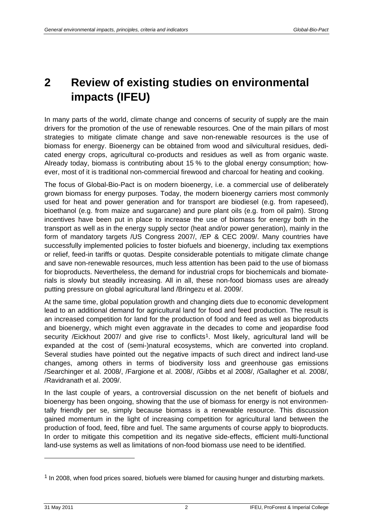# <span id="page-7-0"></span>**2 Review of existing studies on environmental impacts (IFEU)**

In many parts of the world, climate change and concerns of security of supply are the main drivers for the promotion of the use of renewable resources. One of the main pillars of most strategies to mitigate climate change and save non-renewable resources is the use of biomass for energy. Bioenergy can be obtained from wood and silvicultural residues, dedicated energy crops, agricultural co-products and residues as well as from organic waste. Already today, biomass is contributing about 15 % to the global energy consumption; however, most of it is traditional non-commercial firewood and charcoal for heating and cooking.

The focus of Global-Bio-Pact is on modern bioenergy, i.e. a commercial use of deliberately grown biomass for energy purposes. Today, the modern bioenergy carriers most commonly used for heat and power generation and for transport are biodiesel (e.g. from rapeseed), bioethanol (e.g. from maize and sugarcane) and pure plant oils (e.g. from oil palm). Strong incentives have been put in place to increase the use of biomass for energy both in the transport as well as in the energy supply sector (heat and/or power generation), mainly in the form of mandatory targets /US Congress 2007/, /EP & CEC 2009/. Many countries have successfully implemented policies to foster biofuels and bioenergy, including tax exemptions or relief, feed-in tariffs or quotas. Despite considerable potentials to mitigate climate change and save non-renewable resources, much less attention has been paid to the use of biomass for bioproducts. Nevertheless, the demand for industrial crops for biochemicals and biomaterials is slowly but steadily increasing. All in all, these non-food biomass uses are already putting pressure on global agricultural land /Bringezu et al. 2009/.

At the same time, global population growth and changing diets due to economic development lead to an additional demand for agricultural land for food and feed production. The result is an increased competition for land for the production of food and feed as well as bioproducts and bioenergy, which might even aggravate in the decades to come and jeopardise food security /Eickhout 2007/ and give rise to conflicts<sup>1</sup>. Most likely, agricultural land will be expanded at the cost of (semi-)natural ecosystems, which are converted into cropland. Several studies have pointed out the negative impacts of such direct and indirect land-use changes, among others in terms of biodiversity loss and greenhouse gas emissions /Searchinger et al. 2008/, /Fargione et al. 2008/, /Gibbs et al 2008/, /Gallagher et al. 2008/, /Ravidranath et al. 2009/.

In the last couple of years, a controversial discussion on the net benefit of biofuels and bioenergy has been ongoing, showing that the use of biomass for energy is not environmentally friendly per se, simply because biomass is a renewable resource. This discussion gained momentum in the light of increasing competition for agricultural land between the production of food, feed, fibre and fuel. The same arguments of course apply to bioproducts. In order to mitigate this competition and its negative side-effects, efficient multi-functional land-use systems as well as limitations of non-food biomass use need to be identified.

-

<span id="page-7-1"></span> $1$  In 2008, when food prices soared, biofuels were blamed for causing hunger and disturbing markets.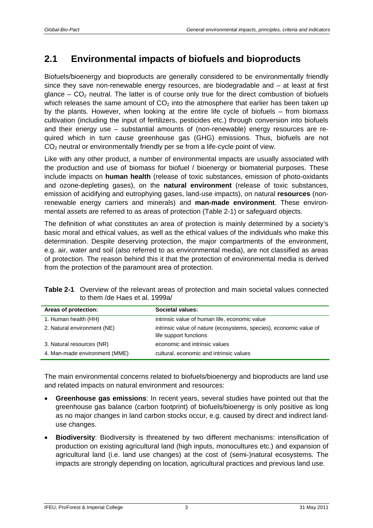## <span id="page-8-0"></span>**2.1 Environmental impacts of biofuels and bioproducts**

Biofuels/bioenergy and bioproducts are generally considered to be environmentally friendly since they save non-renewable energy resources, are biodegradable and – at least at first glance –  $CO<sub>2</sub>$  neutral. The latter is of course only true for the direct combustion of biofuels which releases the same amount of  $CO<sub>2</sub>$  into the atmosphere that earlier has been taken up by the plants. However, when looking at the entire life cycle of biofuels – from biomass cultivation (including the input of fertilizers, pesticides etc.) through conversion into biofuels and their energy use – substantial amounts of (non-renewable) energy resources are required which in turn cause greenhouse gas (GHG) emissions. Thus, biofuels are not  $CO<sub>2</sub>$  neutral or environmentally friendly per se from a life-cycle point of view.

Like with any other product, a number of environmental impacts are usually associated with the production and use of biomass for biofuel / bioenergy or biomaterial purposes. These include impacts on **human health** (release of toxic substances, emission of photo-oxidants and ozone-depleting gases), on the **natural environment** (release of toxic substances, emission of acidifying and eutrophying gases, land-use impacts), on natural **resources** (nonrenewable energy carriers and minerals) and **man-made environment**. These environmental assets are referred to as areas of protection [\(Table 2-1](#page-8-1)) or safeguard objects.

The definition of what constitutes an area of protection is mainly determined by a society's basic moral and ethical values, as well as the ethical values of the individuals who make this determination. Despite deserving protection, the major compartments of the environment, e.g. air, water and soil (also referred to as environmental media), are not classified as areas of protection. The reason behind this it that the protection of environmental media is derived from the protection of the paramount area of protection.

<span id="page-8-1"></span>

| <b>Table 2-1</b> Overview of the relevant areas of protection and main societal values connected |
|--------------------------------------------------------------------------------------------------|
| to them /de Haes et al. 1999a/                                                                   |

| Areas of protection:          | Societal values:                                                                             |
|-------------------------------|----------------------------------------------------------------------------------------------|
| 1. Human health (HH)          | intrinsic value of human life, economic value                                                |
| 2. Natural environment (NE)   | intrinsic value of nature (ecosystems, species), economic value of<br>life support functions |
| 3. Natural resources (NR)     | economic and intrinsic values                                                                |
| 4. Man-made environment (MME) | cultural, economic and intrinsic values                                                      |

The main environmental concerns related to biofuels/bioenergy and bioproducts are land use and related impacts on natural environment and resources:

- **Greenhouse gas emissions**: In recent years, several studies have pointed out that the greenhouse gas balance (carbon footprint) of biofuels/bioenergy is only positive as long as no major changes in land carbon stocks occur, e.g. caused by direct and indirect landuse changes.
- **Biodiversity**: Biodiversity is threatened by two different mechanisms: intensification of production on existing agricultural land (high inputs, monocultures etc.) and expansion of agricultural land (i.e. land use changes) at the cost of (semi-)natural ecosystems. The impacts are strongly depending on location, agricultural practices and previous land use.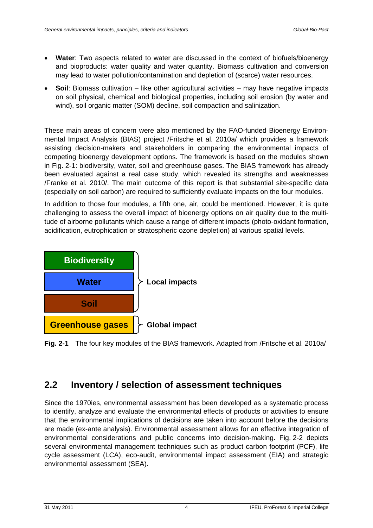- **Water**: Two aspects related to water are discussed in the context of biofuels/bioenergy and bioproducts: water quality and water quantity. Biomass cultivation and conversion may lead to water pollution/contamination and depletion of (scarce) water resources.
- **Soil**: Biomass cultivation like other agricultural activities may have negative impacts on soil physical, chemical and biological properties, including soil erosion (by water and wind), soil organic matter (SOM) decline, soil compaction and salinization.

These main areas of concern were also mentioned by the FAO-funded Bioenergy Environmental Impact Analysis (BIAS) project /Fritsche et al. 2010a/ which provides a framework assisting decision-makers and stakeholders in comparing the environmental impacts of competing bioenergy development options. The framework is based on the modules shown in [Fig. 2-1](#page-9-1): biodiversity, water, soil and greenhouse gases. The BIAS framework has already been evaluated against a real case study, which revealed its strengths and weaknesses /Franke et al. 2010/. The main outcome of this report is that substantial site-specific data (especially on soil carbon) are required to sufficiently evaluate impacts on the four modules.

In addition to those four modules, a fifth one, air, could be mentioned. However, it is quite challenging to assess the overall impact of bioenergy options on air quality due to the multitude of airborne pollutants which cause a range of different impacts (photo-oxidant formation, acidification, eutrophication or stratospheric ozone depletion) at various spatial levels.



<span id="page-9-1"></span>**Fig. 2-1** The four key modules of the BIAS framework. Adapted from /Fritsche et al. 2010a/

### <span id="page-9-0"></span>**2.2 Inventory / selection of assessment techniques**

Since the 1970ies, environmental assessment has been developed as a systematic process to identify, analyze and evaluate the environmental effects of products or activities to ensure that the environmental implications of decisions are taken into account before the decisions are made (ex-ante analysis). Environmental assessment allows for an effective integration of environmental considerations and public concerns into decision-making. [Fig. 2-2](#page-10-0) depicts several environmental management techniques such as product carbon footprint (PCF), life cycle assessment (LCA), eco-audit, environmental impact assessment (EIA) and strategic environmental assessment (SEA).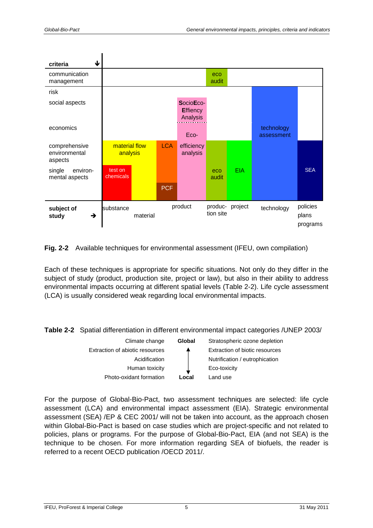

<span id="page-10-0"></span>**Fig. 2-2** Available techniques for environmental assessment (IFEU, own compilation)

Each of these techniques is appropriate for specific situations. Not only do they differ in the subject of study (product, production site, project or law), but also in their ability to address environmental impacts occurring at different spatial levels ([Table 2-2](#page-10-1)). Life cycle assessment (LCA) is usually considered weak regarding local environmental impacts.

<span id="page-10-1"></span>**Table 2-2** Spatial differentiation in different environmental impact categories /UNEP 2003/



For the purpose of Global-Bio-Pact, two assessment techniques are selected: life cycle assessment (LCA) and environmental impact assessment (EIA). Strategic environmental assessment (SEA) /EP & CEC 2001/ will not be taken into account, as the approach chosen within Global-Bio-Pact is based on case studies which are project-specific and not related to policies, plans or programs. For the purpose of Global-Bio-Pact, EIA (and not SEA) is the technique to be chosen. For more information regarding SEA of biofuels, the reader is referred to a recent OECD publication /OECD 2011/.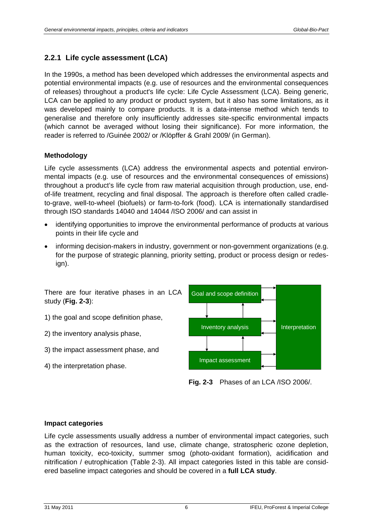#### <span id="page-11-0"></span>**2.2.1 Life cycle assessment (LCA)**

In the 1990s, a method has been developed which addresses the environmental aspects and potential environmental impacts (e.g. use of resources and the environmental consequences of releases) throughout a product's life cycle: Life Cycle Assessment (LCA). Being generic, LCA can be applied to any product or product system, but it also has some limitations, as it was developed mainly to compare products. It is a data-intense method which tends to generalise and therefore only insufficiently addresses site-specific environmental impacts (which cannot be averaged without losing their significance). For more information, the reader is referred to /Guinée 2002/ or /Klöpffer & Grahl 2009/ (in German).

#### **Methodology**

Life cycle assessments (LCA) address the environmental aspects and potential environmental impacts (e.g. use of resources and the environmental consequences of emissions) throughout a product's life cycle from raw material acquisition through production, use, endof-life treatment, recycling and final disposal. The approach is therefore often called cradleto-grave, well-to-wheel (biofuels) or farm-to-fork (food). LCA is internationally standardised through ISO standards 14040 and 14044 /ISO 2006/ and can assist in

- identifying opportunities to improve the environmental performance of products at various points in their life cycle and
- informing decision-makers in industry, government or non-government organizations (e.g. for the purpose of strategic planning, priority setting, product or process design or redesign).

There are four iterative phases in an LCA study (**[Fig. 2-3](#page-11-1)**):

- 1) the goal and scope definition phase,
- 2) the inventory analysis phase,
- 3) the impact assessment phase, and
- <span id="page-11-1"></span>4) the interpretation phase.



**Fig. 2-3** Phases of an LCA /ISO 2006/.

#### **Impact categories**

Life cycle assessments usually address a number of environmental impact categories, such as the extraction of resources, land use, climate change, stratospheric ozone depletion, human toxicity, eco-toxicity, summer smog (photo-oxidant formation), acidification and nitrification / eutrophication ([Table 2-3](#page-12-0)). All impact categories listed in this table are considered baseline impact categories and should be covered in a **full LCA study**.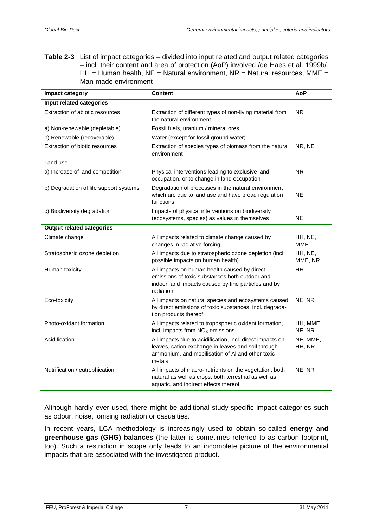<span id="page-12-0"></span>**Table 2-3** List of impact categories – divided into input related and output related categories – incl. their content and area of protection (AoP) involved /de Haes et al. 1999b/. HH = Human health,  $NE =$  Natural environment,  $NR =$  Natural resources, MME = Man-made environment

| Impact category                        | <b>Content</b>                                                                                                                                                                | AoP                |
|----------------------------------------|-------------------------------------------------------------------------------------------------------------------------------------------------------------------------------|--------------------|
| Input related categories               |                                                                                                                                                                               |                    |
| Extraction of abiotic resources        | Extraction of different types of non-living material from<br>the natural environment                                                                                          | <b>NR</b>          |
| a) Non-renewable (depletable)          | Fossil fuels, uranium / mineral ores                                                                                                                                          |                    |
| b) Renewable (recoverable)             | Water (except for fossil ground water)                                                                                                                                        |                    |
| Extraction of biotic resources         | Extraction of species types of biomass from the natural<br>environment                                                                                                        | NR, NE             |
| Land use                               |                                                                                                                                                                               |                    |
| a) Increase of land competition        | Physical interventions leading to exclusive land<br>occupation, or to change in land occupation                                                                               | NR.                |
| b) Degradation of life support systems | Degradation of processes in the natural environment<br>which are due to land use and have broad regulation<br>functions                                                       | <b>NE</b>          |
| c) Biodiversity degradation            | Impacts of physical interventions on biodiversity<br>(ecosystems, species) as values in themselves                                                                            | NE.                |
| <b>Output related categories</b>       |                                                                                                                                                                               |                    |
| Climate change                         | All impacts related to climate change caused by<br>changes in radiative forcing                                                                                               | HH, NE,<br>MME     |
| Stratospheric ozone depletion          | All impacts due to stratospheric ozone depletion (incl.<br>possible impacts on human health)                                                                                  | HH, NE,<br>MME, NR |
| Human toxicity                         | All impacts on human health caused by direct<br>emissions of toxic substances both outdoor and<br>indoor, and impacts caused by fine particles and by<br>radiation            | HH                 |
| Eco-toxicity                           | All impacts on natural species and ecosystems caused<br>by direct emissions of toxic substances, incl. degrada-<br>tion products thereof                                      | NE, NR             |
| Photo-oxidant formation                | All impacts related to tropospheric oxidant formation,<br>incl. impacts from $NOx$ emissions.                                                                                 | HH, MME,<br>NE, NR |
| Acidification                          | All impacts due to acidification, incl. direct impacts on<br>leaves, cation exchange in leaves and soil through<br>ammonium, and mobilisation of AI and other toxic<br>metals | NE, MME,<br>HH, NR |
| Nutrification / eutrophication         | All impacts of macro-nutrients on the vegetation, both<br>natural as well as crops, both terrestrial as well as<br>aquatic, and indirect effects thereof                      | NE, NR             |

Although hardly ever used, there might be additional study-specific impact categories such as odour, noise, ionising radiation or casualties.

In recent years, LCA methodology is increasingly used to obtain so-called **energy and greenhouse gas (GHG) balances** (the latter is sometimes referred to as carbon footprint, too). Such a restriction in scope only leads to an incomplete picture of the environmental impacts that are associated with the investigated product.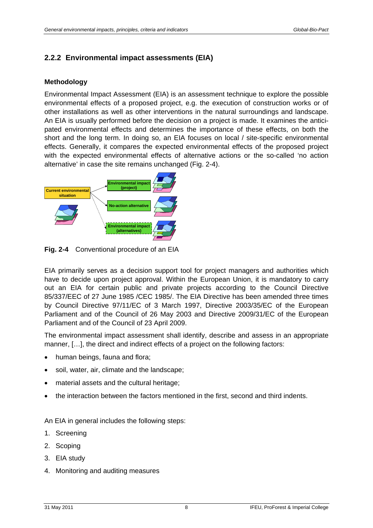#### <span id="page-13-0"></span>**2.2.2 Environmental impact assessments (EIA)**

#### **Methodology**

Environmental Impact Assessment (EIA) is an assessment technique to explore the possible environmental effects of a proposed project, e.g. the execution of construction works or of other installations as well as other interventions in the natural surroundings and landscape. An EIA is usually performed before the decision on a project is made. It examines the anticipated environmental effects and determines the importance of these effects, on both the short and the long term. In doing so, an EIA focuses on local / site-specific environmental effects. Generally, it compares the expected environmental effects of the proposed project with the expected environmental effects of alternative actions or the so-called 'no action alternative' in case the site remains unchanged [\(Fig. 2-4](#page-13-1)).



**Fig. 2-4** Conventional procedure of an EIA

<span id="page-13-1"></span>EIA primarily serves as a decision support tool for project managers and authorities which have to decide upon project approval. Within the European Union, it is mandatory to carry out an EIA for certain public and private projects according to the Council Directive 85/337/EEC of 27 June 1985 /CEC 1985/. The EIA Directive has been amended three times by Council Directive 97/11/EC of 3 March 1997, Directive 2003/35/EC of the European Parliament and of the Council of 26 May 2003 and Directive 2009/31/EC of the European Parliament and of the Council of 23 April 2009.

The environmental impact assessment shall identify, describe and assess in an appropriate manner, […], the direct and indirect effects of a project on the following factors:

- human beings, fauna and flora;
- soil, water, air, climate and the landscape;
- material assets and the cultural heritage;
- the interaction between the factors mentioned in the first, second and third indents.

An EIA in general includes the following steps:

- 1. Screening
- 2. Scoping
- 3. EIA study
- 4. Monitoring and auditing measures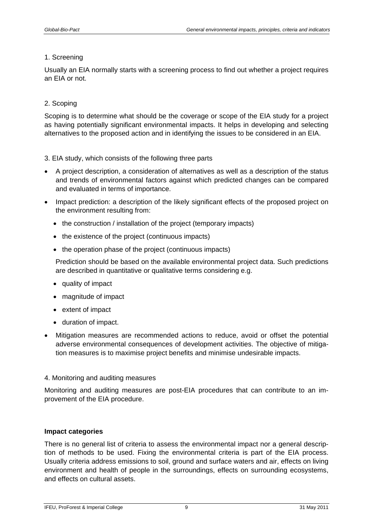#### 1. Screening

Usually an EIA normally starts with a screening process to find out whether a project requires an EIA or not.

#### 2. Scoping

Scoping is to determine what should be the coverage or scope of the EIA study for a project as having potentially significant environmental impacts. It helps in developing and selecting alternatives to the proposed action and in identifying the issues to be considered in an EIA.

#### 3. EIA study, which consists of the following three parts

- A project description, a consideration of alternatives as well as a description of the status and trends of environmental factors against which predicted changes can be compared and evaluated in terms of importance.
- Impact prediction: a description of the likely significant effects of the proposed project on the environment resulting from:
	- the construction / installation of the project (temporary impacts)
	- the existence of the project (continuous impacts)
	- the operation phase of the project (continuous impacts)

 Prediction should be based on the available environmental project data. Such predictions are described in quantitative or qualitative terms considering e.g.

- quality of impact
- magnitude of impact
- extent of impact
- duration of impact.
- Mitigation measures are recommended actions to reduce, avoid or offset the potential adverse environmental consequences of development activities. The objective of mitigation measures is to maximise project benefits and minimise undesirable impacts.

#### 4. Monitoring and auditing measures

Monitoring and auditing measures are post-EIA procedures that can contribute to an improvement of the EIA procedure.

#### **Impact categories**

There is no general list of criteria to assess the environmental impact nor a general description of methods to be used. Fixing the environmental criteria is part of the EIA process. Usually criteria address emissions to soil, ground and surface waters and air, effects on living environment and health of people in the surroundings, effects on surrounding ecosystems, and effects on cultural assets.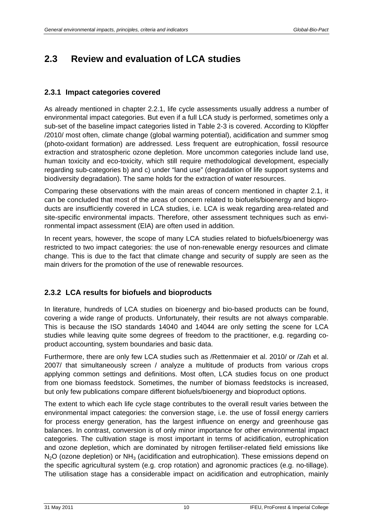### <span id="page-15-0"></span>**2.3 Review and evaluation of LCA studies**

#### <span id="page-15-1"></span>**2.3.1 Impact categories covered**

As already mentioned in chapter [2.2.1,](#page-11-0) life cycle assessments usually address a number of environmental impact categories. But even if a full LCA study is performed, sometimes only a sub-set of the baseline impact categories listed in [Table 2-3](#page-12-0) is covered. According to Klöpffer /2010/ most often, climate change (global warming potential), acidification and summer smog (photo-oxidant formation) are addressed. Less frequent are eutrophication, fossil resource extraction and stratospheric ozone depletion. More uncommon categories include land use, human toxicity and eco-toxicity, which still require methodological development, especially regarding sub-categories b) and c) under "land use" (degradation of life support systems and biodiversity degradation). The same holds for the extraction of water resources.

Comparing these observations with the main areas of concern mentioned in chapter [2.1,](#page-8-0) it can be concluded that most of the areas of concern related to biofuels/bioenergy and bioproducts are insufficiently covered in LCA studies, i.e. LCA is weak regarding area-related and site-specific environmental impacts. Therefore, other assessment techniques such as environmental impact assessment (EIA) are often used in addition.

In recent years, however, the scope of many LCA studies related to biofuels/bioenergy was restricted to two impact categories: the use of non-renewable energy resources and climate change. This is due to the fact that climate change and security of supply are seen as the main drivers for the promotion of the use of renewable resources.

#### <span id="page-15-2"></span>**2.3.2 LCA results for biofuels and bioproducts**

In literature, hundreds of LCA studies on bioenergy and bio-based products can be found, covering a wide range of products. Unfortunately, their results are not always comparable. This is because the ISO standards 14040 and 14044 are only setting the scene for LCA studies while leaving quite some degrees of freedom to the practitioner, e.g. regarding coproduct accounting, system boundaries and basic data.

Furthermore, there are only few LCA studies such as /Rettenmaier et al. 2010/ or /Zah et al. 2007/ that simultaneously screen / analyze a multitude of products from various crops applying common settings and definitions. Most often, LCA studies focus on one product from one biomass feedstock. Sometimes, the number of biomass feedstocks is increased, but only few publications compare different biofuels/bioenergy and bioproduct options.

The extent to which each life cycle stage contributes to the overall result varies between the environmental impact categories: the conversion stage, i.e. the use of fossil energy carriers for process energy generation, has the largest influence on energy and greenhouse gas balances. In contrast, conversion is of only minor importance for other environmental impact categories. The cultivation stage is most important in terms of acidification, eutrophication and ozone depletion, which are dominated by nitrogen fertiliser-related field emissions like  $N<sub>2</sub>O$  (ozone depletion) or  $NH<sub>3</sub>$  (acidification and eutrophication). These emissions depend on the specific agricultural system (e.g. crop rotation) and agronomic practices (e.g. no-tillage). The utilisation stage has a considerable impact on acidification and eutrophication, mainly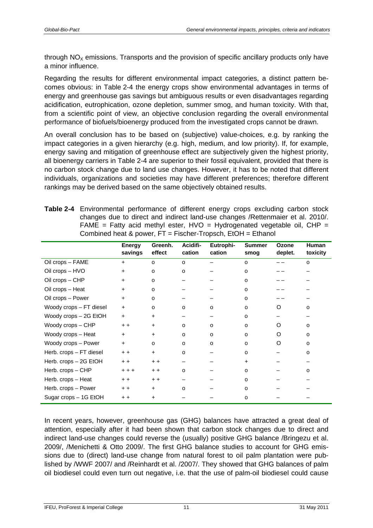through  $NO<sub>x</sub>$  emissions. Transports and the provision of specific ancillary products only have a minor influence.

Regarding the results for different environmental impact categories, a distinct pattern becomes obvious: in [Table 2-4](#page-16-0) the energy crops show environmental advantages in terms of energy and greenhouse gas savings but ambiguous results or even disadvantages regarding acidification, eutrophication, ozone depletion, summer smog, and human toxicity. With that, from a scientific point of view, an objective conclusion regarding the overall environmental performance of biofuels/bioenergy produced from the investigated crops cannot be drawn.

An overall conclusion has to be based on (subjective) value-choices, e.g. by ranking the impact categories in a given hierarchy (e.g. high, medium, and low priority). If, for example, energy saving and mitigation of greenhouse effect are subjectively given the highest priority, all bioenergy carriers in [Table 2-4](#page-16-0) are superior to their fossil equivalent, provided that there is no carbon stock change due to land use changes. However, it has to be noted that different individuals, organizations and societies may have different preferences; therefore different rankings may be derived based on the same objectively obtained results.

<span id="page-16-0"></span>

| Table 2-4 Environmental performance of different energy crops excluding carbon stock |
|--------------------------------------------------------------------------------------|
| changes due to direct and indirect land-use changes / Rettenmaier et al. 2010/.      |
| FAME = Fatty acid methyl ester, $HVO = Hydrogenated vegetation$ il, $CHP =$          |
| Combined heat & power, $FT = Fischer-Tropsch$ , $EtOH = Ethanol$                     |

|                         | Energy<br>savings | Greenh.<br>effect | Acidifi-<br>cation | Eutrophi-<br>cation | <b>Summer</b><br>smog | Ozone<br>deplet. | <b>Human</b><br>toxicity |
|-------------------------|-------------------|-------------------|--------------------|---------------------|-----------------------|------------------|--------------------------|
| Oil crops - FAME        | $\ddot{}$         | $\circ$           | o                  |                     | o                     |                  | o                        |
| Oil crops - HVO         | $\ddot{}$         | $\circ$           | O                  |                     | 0                     |                  |                          |
| Oil crops - CHP         | $\ddot{}$         | $\circ$           |                    |                     | o                     |                  |                          |
| Oil crops - Heat        | $\ddot{}$         | o                 |                    |                     | o                     |                  |                          |
| Oil crops - Power       | $\ddot{}$         | o                 |                    |                     | o                     |                  |                          |
| Woody crops - FT diesel | $\ddot{}$         | o                 | $\circ$            | $\Omega$            | $\circ$               | O                | $\Omega$                 |
| Woody crops - 2G EtOH   | $\ddot{}$         | $\ddot{}$         |                    |                     | o                     |                  |                          |
| Woody crops - CHP       | $+ +$             | $\ddot{}$         | $\circ$            | O                   | $\circ$               | ∩                | $\Omega$                 |
| Woody crops - Heat      | $+$               | $\ddot{}$         | o                  | $\Omega$            | o                     | Ω                | o                        |
| Woody crops - Power     | $+$               | o                 | $\circ$            | $\Omega$            | $\circ$               | $\Omega$         | o                        |
| Herb. crops - FT diesel | $+ +$             | $\ddot{}$         | o                  |                     | $\circ$               |                  | o                        |
| Herb. crops - 2G EtOH   | $+ +$             | $+ +$             |                    |                     | $\ddot{}$             |                  |                          |
| Herb. crops - CHP       | $+ + +$           | $+ +$             | $\Omega$           |                     | o                     |                  | O                        |
| Herb. crops - Heat      | $+ +$             | $+ +$             |                    |                     | o                     |                  |                          |
| Herb. crops – Power     | $+ +$             | $+$               | $\Omega$           |                     | $\circ$               |                  |                          |
| Sugar crops - 1G EtOH   | $+ +$             | $\pm$             |                    |                     | o                     |                  |                          |

In recent years, however, greenhouse gas (GHG) balances have attracted a great deal of attention, especially after it had been shown that carbon stock changes due to direct and indirect land-use changes could reverse the (usually) positive GHG balance /Bringezu et al. 2009/, /Menichetti & Otto 2009/. The first GHG balance studies to account for GHG emissions due to (direct) land-use change from natural forest to oil palm plantation were published by /WWF 2007/ and /Reinhardt et al. /2007/. They showed that GHG balances of palm oil biodiesel could even turn out negative, i.e. that the use of palm-oil biodiesel could cause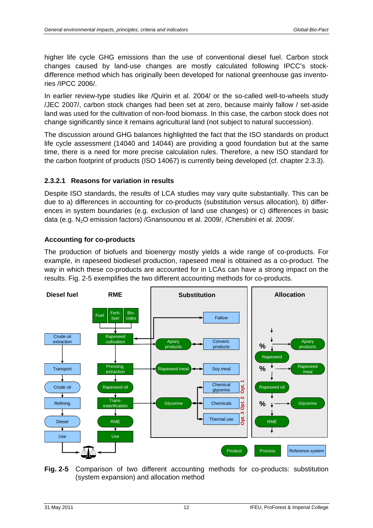higher life cycle GHG emissions than the use of conventional diesel fuel. Carbon stock changes caused by land-use changes are mostly calculated following IPCC's stockdifference method which has originally been developed for national greenhouse gas inventories /IPCC 2006/.

In earlier review-type studies like /Quirin et al. 2004/ or the so-called well-to-wheels study /JEC 2007/, carbon stock changes had been set at zero, because mainly fallow / set-aside land was used for the cultivation of non-food biomass. In this case, the carbon stock does not change significantly since it remains agricultural land (not subject to natural succession).

The discussion around GHG balances highlighted the fact that the ISO standards on product life cycle assessment (14040 and 14044) are providing a good foundation but at the same time, there is a need for more precise calculation rules. Therefore, a new ISO standard for the carbon footprint of products (ISO 14067) is currently being developed (cf. chapter [2.3.3\)](#page-20-0).

#### **2.3.2.1 Reasons for variation in results**

Despite ISO standards, the results of LCA studies may vary quite substantially. This can be due to a) differences in accounting for co-products (substitution versus allocation), b) differences in system boundaries (e.g. exclusion of land use changes) or c) differences in basic data (e.g. N2O emission factors) /Gnansounou et al. 2009/, /Cherubini et al. 2009/.

#### **Accounting for co-products**

The production of biofuels and bioenergy mostly yields a wide range of co-products. For example, in rapeseed biodiesel production, rapeseed meal is obtained as a co-product. The way in which these co-products are accounted for in LCAs can have a strong impact on the results. [Fig. 2-5](#page-17-0) exemplifies the two different accounting methods for co-products.



<span id="page-17-0"></span>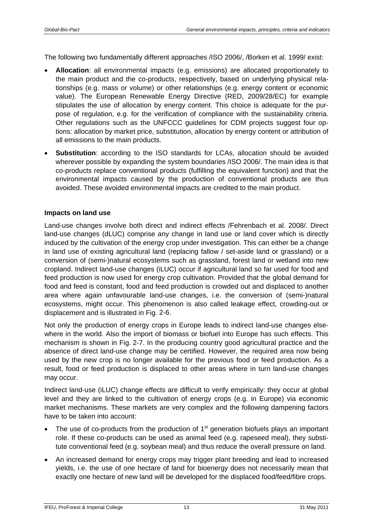The following two fundamentally different approaches /ISO 2006/, /Borken et al. 1999/ exist:

- **Allocation**: all environmental impacts (e.g. emissions) are allocated proportionately to the main product and the co-products, respectively, based on underlying physical relationships (e.g. mass or volume) or other relationships (e.g. energy content or economic value). The European Renewable Energy Directive (RED, 2009/28/EC) for example stipulates the use of allocation by energy content. This choice is adequate for the purpose of regulation, e.g. for the verification of compliance with the sustainability criteria. Other regulations such as the UNFCCC guidelines for CDM projects suggest four options: allocation by market price, substitution, allocation by energy content or attribution of all emissions to the main products.
- **Substitution**: according to the ISO standards for LCAs, allocation should be avoided wherever possible by expanding the system boundaries /ISO 2006/. The main idea is that co-products replace conventional products (fulfilling the equivalent function) and that the environmental impacts caused by the production of conventional products are thus avoided. These avoided environmental impacts are credited to the main product.

#### **Impacts on land use**

Land-use changes involve both direct and indirect effects /Fehrenbach et al. 2008/. Direct land-use changes (dLUC) comprise any change in land use or land cover which is directly induced by the cultivation of the energy crop under investigation. This can either be a change in land use of existing agricultural land (replacing fallow / set-aside land or grassland) or a conversion of (semi-)natural ecosystems such as grassland, forest land or wetland into new cropland. Indirect land-use changes (iLUC) occur if agricultural land so far used for food and feed production is now used for energy crop cultivation. Provided that the global demand for food and feed is constant, food and feed production is crowded out and displaced to another area where again unfavourable land-use changes, i.e. the conversion of (semi-)natural ecosystems, might occur. This phenomenon is also called leakage effect, crowding-out or displacement and is illustrated in [Fig. 2-6](#page-19-0).

Not only the production of energy crops in Europe leads to indirect land-use changes elsewhere in the world. Also the import of biomass or biofuel into Europe has such effects. This mechanism is shown in [Fig. 2-7](#page-19-1). In the producing country good agricultural practice and the absence of direct land-use change may be certified. However, the required area now being used by the new crop is no longer available for the previous food or feed production. As a result, food or feed production is displaced to other areas where in turn land-use changes may occur.

Indirect land-use (iLUC) change effects are difficult to verify empirically: they occur at global level and they are linked to the cultivation of energy crops (e.g. in Europe) via economic market mechanisms. These markets are very complex and the following dampening factors have to be taken into account:

- The use of co-products from the production of  $1<sup>st</sup>$  generation biofuels plays an important role. If these co-products can be used as animal feed (e.g. rapeseed meal), they substitute conventional feed (e.g. soybean meal) and thus reduce the overall pressure on land.
- An increased demand for energy crops may trigger plant breeding and lead to increased yields, i.e. the use of one hectare of land for bioenergy does not necessarily mean that exactly one hectare of new land will be developed for the displaced food/feed/fibre crops.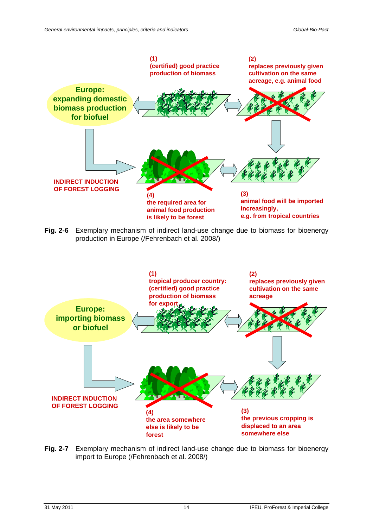

<span id="page-19-0"></span>**Fig. 2-6** Exemplary mechanism of indirect land-use change due to biomass for bioenergy production in Europe (/Fehrenbach et al. 2008/)



<span id="page-19-1"></span>**Fig. 2-7** Exemplary mechanism of indirect land-use change due to biomass for bioenergy import to Europe (/Fehrenbach et al. 2008/)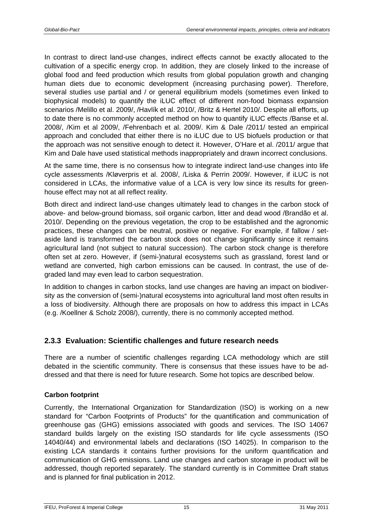In contrast to direct land-use changes, indirect effects cannot be exactly allocated to the cultivation of a specific energy crop. In addition, they are closely linked to the increase of global food and feed production which results from global population growth and changing human diets due to economic development (increasing purchasing power). Therefore, several studies use partial and / or general equilibrium models (sometimes even linked to biophysical models) to quantify the iLUC effect of different non-food biomass expansion scenarios /Melillo et al. 2009/, /Havlík et al. 2010/, /Britz & Hertel 2010/. Despite all efforts, up to date there is no commonly accepted method on how to quantify iLUC effects /Banse et al. 2008/, /Kim et al 2009/, /Fehrenbach et al. 2009/. Kim & Dale /2011/ tested an empirical approach and concluded that either there is no iLUC due to US biofuels production or that the approach was not sensitive enough to detect it. However, O'Hare et al. /2011/ argue that Kim and Dale have used statistical methods inappropriately and drawn incorrect conclusions.

At the same time, there is no consensus how to integrate indirect land-use changes into life cycle assessments /Kløverpris et al. 2008/, /Liska & Perrin 2009/. However, if iLUC is not considered in LCAs, the informative value of a LCA is very low since its results for greenhouse effect may not at all reflect reality.

Both direct and indirect land-use changes ultimately lead to changes in the carbon stock of above- and below-ground biomass, soil organic carbon, litter and dead wood /Brandão et al. 2010/. Depending on the previous vegetation, the crop to be established and the agronomic practices, these changes can be neutral, positive or negative. For example, if fallow / setaside land is transformed the carbon stock does not change significantly since it remains agricultural land (not subject to natural succession). The carbon stock change is therefore often set at zero. However, if (semi-)natural ecosystems such as grassland, forest land or wetland are converted, high carbon emissions can be caused. In contrast, the use of degraded land may even lead to carbon sequestration.

In addition to changes in carbon stocks, land use changes are having an impact on biodiversity as the conversion of (semi-)natural ecosystems into agricultural land most often results in a loss of biodiversity. Although there are proposals on how to address this impact in LCAs (e.g. /Koellner & Scholz 2008/), currently, there is no commonly accepted method.

#### <span id="page-20-0"></span>**2.3.3 Evaluation: Scientific challenges and future research needs**

There are a number of scientific challenges regarding LCA methodology which are still debated in the scientific community. There is consensus that these issues have to be addressed and that there is need for future research. Some hot topics are described below.

#### **Carbon footprint**

Currently, the International Organization for Standardization (ISO) is working on a new standard for "Carbon Footprints of Products" for the quantification and communication of greenhouse gas (GHG) emissions associated with goods and services. The ISO 14067 standard builds largely on the existing ISO standards for life cycle assessments (ISO 14040/44) and environmental labels and declarations (ISO 14025). In comparison to the existing LCA standards it contains further provisions for the uniform quantification and communication of GHG emissions. Land use changes and carbon storage in product will be addressed, though reported separately. The standard currently is in Committee Draft status and is planned for final publication in 2012.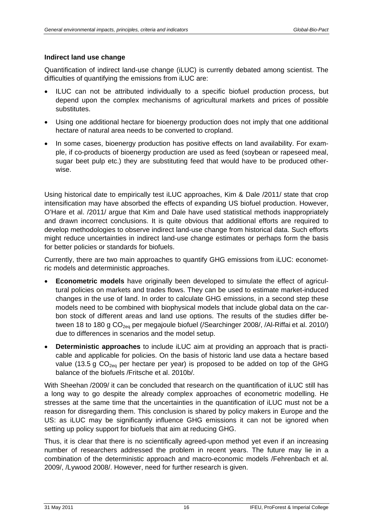#### **Indirect land use change**

Quantification of indirect land-use change (iLUC) is currently debated among scientist. The difficulties of quantifying the emissions from iLUC are:

- ILUC can not be attributed individually to a specific biofuel production process, but depend upon the complex mechanisms of agricultural markets and prices of possible substitutes.
- Using one additional hectare for bioenergy production does not imply that one additional hectare of natural area needs to be converted to cropland.
- In some cases, bioenergy production has positive effects on land availability. For example, if co-products of bioenergy production are used as feed (soybean or rapeseed meal, sugar beet pulp etc.) they are substituting feed that would have to be produced otherwise.

Using historical date to empirically test iLUC approaches, Kim & Dale /2011/ state that crop intensification may have absorbed the effects of expanding US biofuel production. However, O'Hare et al. /2011/ argue that Kim and Dale have used statistical methods inappropriately and drawn incorrect conclusions. It is quite obvious that additional efforts are required to develop methodologies to observe indirect land-use change from historical data. Such efforts might reduce uncertainties in indirect land-use change estimates or perhaps form the basis for better policies or standards for biofuels.

Currently, there are two main approaches to quantify GHG emissions from iLUC: econometric models and deterministic approaches.

- **Econometric models** have originally been developed to simulate the effect of agricultural policies on markets and trades flows. They can be used to estimate market-induced changes in the use of land. In order to calculate GHG emissions, in a second step these models need to be combined with biophysical models that include global data on the carbon stock of different areas and land use options. The results of the studies differ between 18 to 180 g  $CO<sub>2eq</sub>$  per megajoule biofuel (/Searchinger 2008/, /Al-Riffai et al. 2010/) due to differences in scenarios and the model setup.
- **Deterministic approaches** to include iLUC aim at providing an approach that is practicable and applicable for policies. On the basis of historic land use data a hectare based value (13.5 g  $CO<sub>2e0</sub>$  per hectare per year) is proposed to be added on top of the GHG balance of the biofuels /Fritsche et al. 2010b/.

With Sheehan /2009/ it can be concluded that research on the quantification of iLUC still has a long way to go despite the already complex approaches of econometric modelling. He stresses at the same time that the uncertainties in the quantification of iLUC must not be a reason for disregarding them. This conclusion is shared by policy makers in Europe and the US: as iLUC may be significantly influence GHG emissions it can not be ignored when setting up policy support for biofuels that aim at reducing GHG.

Thus, it is clear that there is no scientifically agreed-upon method yet even if an increasing number of researchers addressed the problem in recent years. The future may lie in a combination of the deterministic approach and macro-economic models /Fehrenbach et al. 2009/, /Lywood 2008/. However, need for further research is given.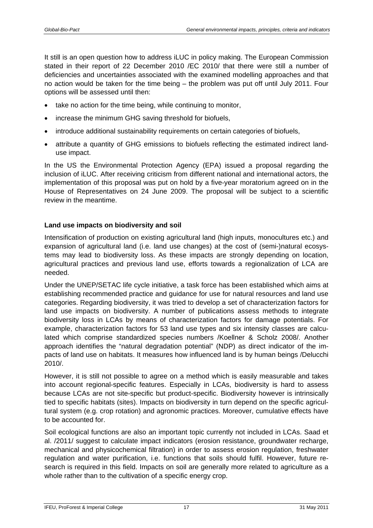It still is an open question how to address iLUC in policy making. The European Commission stated in their report of 22 December 2010 /EC 2010/ that there were still a number of deficiencies and uncertainties associated with the examined modelling approaches and that no action would be taken for the time being – the problem was put off until July 2011. Four options will be assessed until then:

- take no action for the time being, while continuing to monitor,
- increase the minimum GHG saving threshold for biofuels,
- introduce additional sustainability requirements on certain categories of biofuels,
- attribute a quantity of GHG emissions to biofuels reflecting the estimated indirect landuse impact.

In the US the Environmental Protection Agency (EPA) issued a proposal regarding the inclusion of iLUC. After receiving criticism from different national and international actors, the implementation of this proposal was put on hold by a five-year moratorium agreed on in the House of Representatives on 24 June 2009. The proposal will be subject to a scientific review in the meantime.

#### **Land use impacts on biodiversity and soil**

Intensification of production on existing agricultural land (high inputs, monocultures etc.) and expansion of agricultural land (i.e. land use changes) at the cost of (semi-)natural ecosystems may lead to biodiversity loss. As these impacts are strongly depending on location, agricultural practices and previous land use, efforts towards a regionalization of LCA are needed.

Under the UNEP/SETAC life cycle initiative, a task force has been established which aims at establishing recommended practice and guidance for use for natural resources and land use categories. Regarding biodiversity, it was tried to develop a set of characterization factors for land use impacts on biodiversity. A number of publications assess methods to integrate biodiversity loss in LCAs by means of characterization factors for damage potentials. For example, characterization factors for 53 land use types and six intensity classes are calculated which comprise standardized species numbers /Koellner & Scholz 2008/. Another approach identifies the "natural degradation potential" (NDP) as direct indicator of the impacts of land use on habitats. It measures how influenced land is by human beings /Delucchi 2010/.

However, it is still not possible to agree on a method which is easily measurable and takes into account regional-specific features. Especially in LCAs, biodiversity is hard to assess because LCAs are not site-specific but product-specific. Biodiversity however is intrinsically tied to specific habitats (sites). Impacts on biodiversity in turn depend on the specific agricultural system (e.g. crop rotation) and agronomic practices. Moreover, cumulative effects have to be accounted for.

Soil ecological functions are also an important topic currently not included in LCAs. Saad et al. /2011/ suggest to calculate impact indicators (erosion resistance, groundwater recharge, mechanical and physicochemical filtration) in order to assess erosion regulation, freshwater regulation and water purification, i.e. functions that soils should fulfil. However, future research is required in this field. Impacts on soil are generally more related to agriculture as a whole rather than to the cultivation of a specific energy crop.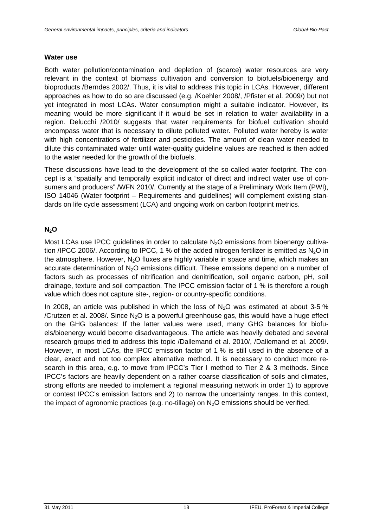#### **Water use**

Both water pollution/contamination and depletion of (scarce) water resources are very relevant in the context of biomass cultivation and conversion to biofuels/bioenergy and bioproducts /Berndes 2002/. Thus, it is vital to address this topic in LCAs. However, different approaches as how to do so are discussed (e.g. /Koehler 2008/, /Pfister et al. 2009/) but not yet integrated in most LCAs. Water consumption might a suitable indicator. However, its meaning would be more significant if it would be set in relation to water availability in a region. Delucchi /2010/ suggests that water requirements for biofuel cultivation should encompass water that is necessary to dilute polluted water. Polluted water hereby is water with high concentrations of fertilizer and pesticides. The amount of clean water needed to dilute this contaminated water until water-quality guideline values are reached is then added to the water needed for the growth of the biofuels.

These discussions have lead to the development of the so-called water footprint. The concept is a "spatially and temporally explicit indicator of direct and indirect water use of consumers and producers" /WFN 2010/. Currently at the stage of a Preliminary Work Item (PWI), ISO 14046 (Water footprint – Requirements and guidelines) will complement existing standards on life cycle assessment (LCA) and ongoing work on carbon footprint metrics.

#### **N2O**

Most LCAs use IPCC guidelines in order to calculate  $N<sub>2</sub>O$  emissions from bioenergy cultivation /IPCC 2006/. According to IPCC, 1 % of the added nitrogen fertilizer is emitted as  $N_2$ O in the atmosphere. However,  $N<sub>2</sub>O$  fluxes are highly variable in space and time, which makes an accurate determination of N<sub>2</sub>O emissions difficult. These emissions depend on a number of factors such as processes of nitrification and denitrification, soil organic carbon, pH, soil drainage, texture and soil compaction. The IPCC emission factor of 1 % is therefore a rough value which does not capture site-, region- or country-specific conditions.

In 2008, an article was published in which the loss of  $N<sub>2</sub>O$  was estimated at about 3-5 % /Crutzen et al. 2008/. Since  $N_2O$  is a powerful greenhouse gas, this would have a huge effect on the GHG balances: If the latter values were used, many GHG balances for biofuels/bioenergy would become disadvantageous. The article was heavily debated and several research groups tried to address this topic /Dallemand et al. 2010/, /Dallemand et al. 2009/. However, in most LCAs, the IPCC emission factor of 1 % is still used in the absence of a clear, exact and not too complex alternative method. It is necessary to conduct more research in this area, e.g. to move from IPCC's Tier I method to Tier 2 & 3 methods. Since IPCC's factors are heavily dependent on a rather coarse classification of soils and climates, strong efforts are needed to implement a regional measuring network in order 1) to approve or contest IPCC's emission factors and 2) to narrow the uncertainty ranges. In this context, the impact of agronomic practices (e.g. no-tillage) on  $N<sub>2</sub>O$  emissions should be verified.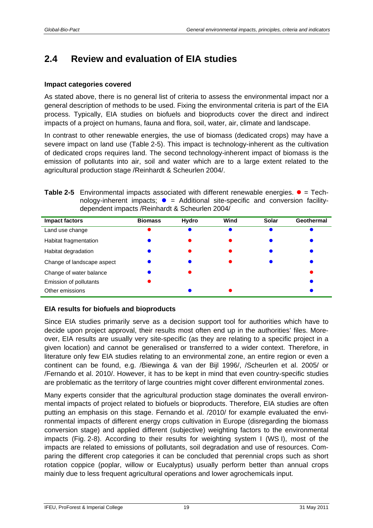## <span id="page-24-0"></span>**2.4 Review and evaluation of EIA studies**

#### **Impact categories covered**

As stated above, there is no general list of criteria to assess the environmental impact nor a general description of methods to be used. Fixing the environmental criteria is part of the EIA process. Typically, EIA studies on biofuels and bioproducts cover the direct and indirect impacts of a project on humans, fauna and flora, soil, water, air, climate and landscape.

In contrast to other renewable energies, the use of biomass (dedicated crops) may have a severe impact on land use [\(Table 2-5\)](#page-24-1). This impact is technology-inherent as the cultivation of dedicated crops requires land. The second technology-inherent impact of biomass is the emission of pollutants into air, soil and water which are to a large extent related to the agricultural production stage /Reinhardt & Scheurlen 2004/.

<span id="page-24-1"></span>**Table 2-5** Environmental impacts associated with different renewable energies.  $\bullet$  = Technology-inherent impacts;  $\bullet$  = Additional site-specific and conversion facilitydependent impacts /Reinhardt & Scheurlen 2004/

| <b>Impact factors</b>      | <b>Biomass</b> | Hydro | Wind | Solar | Geothermal |
|----------------------------|----------------|-------|------|-------|------------|
| Land use change            |                |       |      |       |            |
| Habitat fragmentation      |                |       |      |       |            |
| Habitat degradation        |                |       |      |       |            |
| Change of landscape aspect |                |       |      |       |            |
| Change of water balance    |                |       |      |       |            |
| Emission of pollutants     |                |       |      |       |            |
| Other emissions            |                |       |      |       |            |

#### **EIA results for biofuels and bioproducts**

Since EIA studies primarily serve as a decision support tool for authorities which have to decide upon project approval, their results most often end up in the authorities' files. Moreover, EIA results are usually very site-specific (as they are relating to a specific project in a given location) and cannot be generalised or transferred to a wider context. Therefore, in literature only few EIA studies relating to an environmental zone, an entire region or even a continent can be found, e.g. /Biewinga & van der Bijl 1996/, /Scheurlen et al. 2005/ or /Fernando et al. 2010/. However, it has to be kept in mind that even country-specific studies are problematic as the territory of large countries might cover different environmental zones.

Many experts consider that the agricultural production stage dominates the overall environmental impacts of project related to biofuels or bioproducts. Therefore, EIA studies are often putting an emphasis on this stage. Fernando et al. /2010/ for example evaluated the environmental impacts of different energy crops cultivation in Europe (disregarding the biomass conversion stage) and applied different (subjective) weighting factors to the environmental impacts [\(Fig. 2-8\)](#page-25-0). According to their results for weighting system I (WS I), most of the impacts are related to emissions of pollutants, soil degradation and use of resources. Comparing the different crop categories it can be concluded that perennial crops such as short rotation coppice (poplar, willow or Eucalyptus) usually perform better than annual crops mainly due to less frequent agricultural operations and lower agrochemicals input.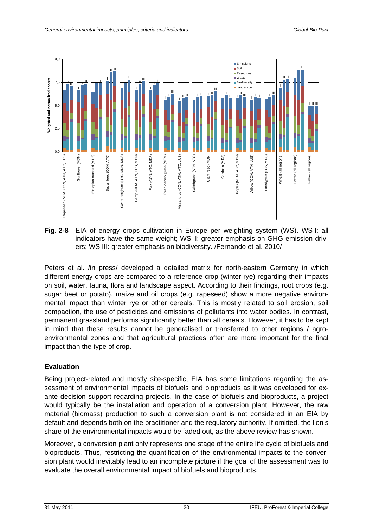

<span id="page-25-0"></span>**Fig. 2-8** EIA of energy crops cultivation in Europe per weighting system (WS). WS I: all indicators have the same weight; WS II: greater emphasis on GHG emission drivers; WS III: greater emphasis on biodiversity. /Fernando et al. 2010/

Peters et al. /in press/ developed a detailed matrix for north-eastern Germany in which different energy crops are compared to a reference crop (winter rye) regarding their impacts on soil, water, fauna, flora and landscape aspect. According to their findings, root crops (e.g. sugar beet or potato), maize and oil crops (e.g. rapeseed) show a more negative environmental impact than winter rye or other cereals. This is mostly related to soil erosion, soil compaction, the use of pesticides and emissions of pollutants into water bodies. In contrast, permanent grassland performs significantly better than all cereals. However, it has to be kept in mind that these results cannot be generalised or transferred to other regions / agroenvironmental zones and that agricultural practices often are more important for the final impact than the type of crop.

#### **Evaluation**

Being project-related and mostly site-specific, EIA has some limitations regarding the assessment of environmental impacts of biofuels and bioproducts as it was developed for exante decision support regarding projects. In the case of biofuels and bioproducts, a project would typically be the installation and operation of a conversion plant. However, the raw material (biomass) production to such a conversion plant is not considered in an EIA by default and depends both on the practitioner and the regulatory authority. If omitted, the lion's share of the environmental impacts would be faded out, as the above review has shown.

Moreover, a conversion plant only represents one stage of the entire life cycle of biofuels and bioproducts. Thus, restricting the quantification of the environmental impacts to the conversion plant would inevitably lead to an incomplete picture if the goal of the assessment was to evaluate the overall environmental impact of biofuels and bioproducts.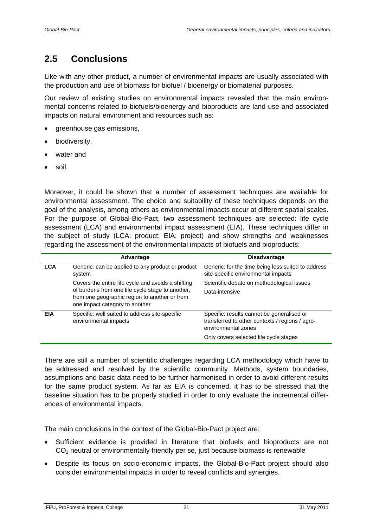## <span id="page-26-0"></span>**2.5 Conclusions**

Like with any other product, a number of environmental impacts are usually associated with the production and use of biomass for biofuel / bioenergy or biomaterial purposes.

Our review of existing studies on environmental impacts revealed that the main environmental concerns related to biofuels/bioenergy and bioproducts are land use and associated impacts on natural environment and resources such as:

- greenhouse gas emissions,
- biodiversity,
- water and
- soil.

Moreover, it could be shown that a number of assessment techniques are available for environmental assessment. The choice and suitability of these techniques depends on the goal of the analysis, among others as environmental impacts occur at different spatial scales. For the purpose of Global-Bio-Pact, two assessment techniques are selected: life cycle assessment (LCA) and environmental impact assessment (EIA). These techniques differ in the subject of study (LCA: product; EIA: project) and show strengths and weaknesses regarding the assessment of the environmental impacts of biofuels and bioproducts:

|            | Advantage                                                                                                                           | <b>Disadvantage</b>                                                                                                  |
|------------|-------------------------------------------------------------------------------------------------------------------------------------|----------------------------------------------------------------------------------------------------------------------|
| <b>LCA</b> | Generic: can be applied to any product or product<br>system                                                                         | Generic: for the time being less suited to address<br>site-specific environmental impacts                            |
|            | Covers the entire life cycle and avoids a shifting                                                                                  | Scientific debate on methodological issues                                                                           |
|            | of burdens from one life cycle stage to another,<br>from one geographic region to another or from<br>one impact category to another | Data-intensive                                                                                                       |
| EIA        | Specific: well suited to address site-specific<br>environmental impacts                                                             | Specific: results cannot be generalised or<br>transferred to other contexts / regions / agro-<br>environmental zones |
|            |                                                                                                                                     | Only covers selected life cycle stages                                                                               |

There are still a number of scientific challenges regarding LCA methodology which have to be addressed and resolved by the scientific community. Methods, system boundaries, assumptions and basic data need to be further harmonised in order to avoid different results for the same product system. As far as EIA is concerned, it has to be stressed that the baseline situation has to be properly studied in order to only evaluate the incremental differences of environmental impacts.

The main conclusions in the context of the Global-Bio-Pact project are:

- Sufficient evidence is provided in literature that biofuels and bioproducts are not CO2 neutral or environmentally friendly per se, just because biomass is renewable
- Despite its focus on socio-economic impacts, the Global-Bio-Pact project should also consider environmental impacts in order to reveal conflicts and synergies.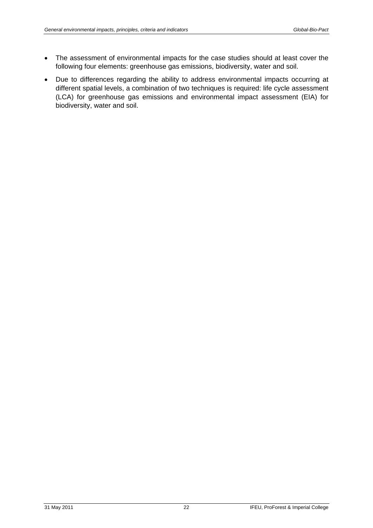- The assessment of environmental impacts for the case studies should at least cover the following four elements: greenhouse gas emissions, biodiversity, water and soil.
- Due to differences regarding the ability to address environmental impacts occurring at different spatial levels, a combination of two techniques is required: life cycle assessment (LCA) for greenhouse gas emissions and environmental impact assessment (EIA) for biodiversity, water and soil.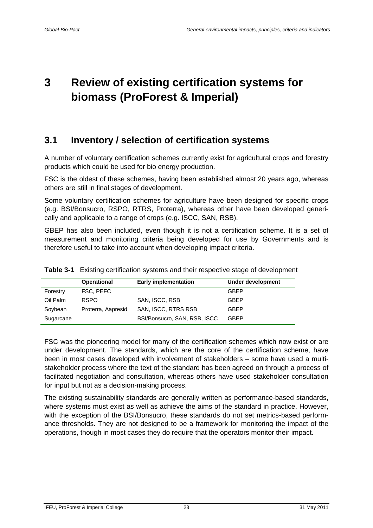# <span id="page-28-0"></span>**3 Review of existing certification systems for biomass (ProForest & Imperial)**

## <span id="page-28-1"></span>**3.1 Inventory / selection of certification systems**

A number of voluntary certification schemes currently exist for agricultural crops and forestry products which could be used for bio energy production.

FSC is the oldest of these schemes, having been established almost 20 years ago, whereas others are still in final stages of development.

Some voluntary certification schemes for agriculture have been designed for specific crops (e.g. BSI/Bonsucro, RSPO, RTRS, Proterra), whereas other have been developed generically and applicable to a range of crops (e.g. ISCC, SAN, RSB).

GBEP has also been included, even though it is not a certification scheme. It is a set of measurement and monitoring criteria being developed for use by Governments and is therefore useful to take into account when developing impact criteria.

|           | <b>Operational</b> | <b>Early implementation</b>  | Under development |
|-----------|--------------------|------------------------------|-------------------|
| Forestry  | FSC. PEFC          |                              | <b>GBEP</b>       |
| Oil Palm  | <b>RSPO</b>        | SAN, ISCC, RSB               | <b>GBEP</b>       |
| Soybean   | Proterra, Aapresid | SAN, ISCC, RTRS RSB          | <b>GBEP</b>       |
| Sugarcane |                    | BSI/Bonsucro, SAN, RSB, ISCC | GBEP              |

|  |  |  |  |  |  |  | <b>Table 3-1</b> Existing certification systems and their respective stage of development |
|--|--|--|--|--|--|--|-------------------------------------------------------------------------------------------|
|--|--|--|--|--|--|--|-------------------------------------------------------------------------------------------|

FSC was the pioneering model for many of the certification schemes which now exist or are under development. The standards, which are the core of the certification scheme, have been in most cases developed with involvement of stakeholders – some have used a multistakeholder process where the text of the standard has been agreed on through a process of facilitated negotiation and consultation, whereas others have used stakeholder consultation for input but not as a decision-making process.

The existing sustainability standards are generally written as performance-based standards, where systems must exist as well as achieve the aims of the standard in practice. However, with the exception of the BSI/Bonsucro, these standards do not set metrics-based performance thresholds. They are not designed to be a framework for monitoring the impact of the operations, though in most cases they do require that the operators monitor their impact.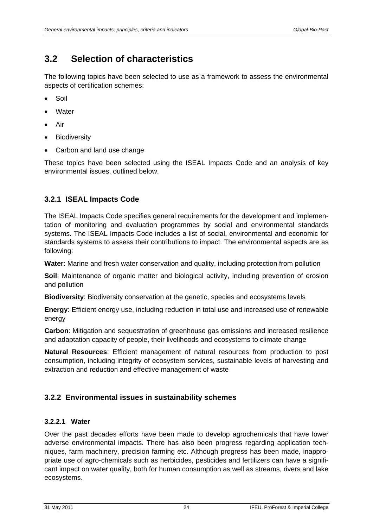### <span id="page-29-0"></span>**3.2 Selection of characteristics**

The following topics have been selected to use as a framework to assess the environmental aspects of certification schemes:

- Soil
- **Water**
- Air
- **Biodiversity**
- Carbon and land use change

These topics have been selected using the ISEAL Impacts Code and an analysis of key environmental issues, outlined below.

#### <span id="page-29-1"></span>**3.2.1 ISEAL Impacts Code**

The ISEAL Impacts Code specifies general requirements for the development and implementation of monitoring and evaluation programmes by social and environmental standards systems. The ISEAL Impacts Code includes a list of social, environmental and economic for standards systems to assess their contributions to impact. The environmental aspects are as following:

**Water**: Marine and fresh water conservation and quality, including protection from pollution

**Soil**: Maintenance of organic matter and biological activity, including prevention of erosion and pollution

**Biodiversity**: Biodiversity conservation at the genetic, species and ecosystems levels

**Energy**: Efficient energy use, including reduction in total use and increased use of renewable energy

**Carbon**: Mitigation and sequestration of greenhouse gas emissions and increased resilience and adaptation capacity of people, their livelihoods and ecosystems to climate change

**Natural Resources**: Efficient management of natural resources from production to post consumption, including integrity of ecosystem services, sustainable levels of harvesting and extraction and reduction and effective management of waste

#### <span id="page-29-2"></span>**3.2.2 Environmental issues in sustainability schemes**

#### **3.2.2.1 Water**

Over the past decades efforts have been made to develop agrochemicals that have lower adverse environmental impacts. There has also been progress regarding application techniques, farm machinery, precision farming etc. Although progress has been made, inappropriate use of agro-chemicals such as herbicides, pesticides and fertilizers can have a significant impact on water quality, both for human consumption as well as streams, rivers and lake ecosystems.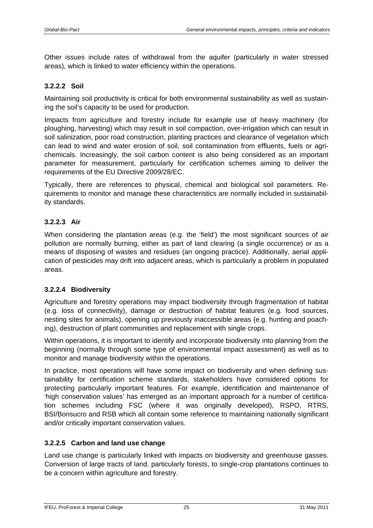Other issues include rates of withdrawal from the aquifer (particularly in water stressed areas), which is linked to water efficiency within the operations.

#### **3.2.2.2 Soil**

Maintaining soil productivity is critical for both environmental sustainability as well as sustaining the soil's capacity to be used for production.

Impacts from agriculture and forestry include for example use of heavy machinery (for ploughing, harvesting) which may result in soil compaction, over-irrigation which can result in soil salinization, poor road construction, planting practices and clearance of vegetation which can lead to wind and water erosion of soil, soil contamination from effluents, fuels or agrichemicals. Increasingly, the soil carbon content is also being considered as an important parameter for measurement, particularly for certification schemes aiming to deliver the requirements of the EU Directive 2009/28/EC.

Typically, there are references to physical, chemical and biological soil parameters. Requirements to monitor and manage these characteristics are normally included in sustainability standards.

#### **3.2.2.3 Air**

When considering the plantation areas (e.g. the 'field') the most significant sources of air pollution are normally burning, either as part of land clearing (a single occurrence) or as a means of disposing of wastes and residues (an ongoing practice). Additionally, aerial application of pesticides may drift into adjacent areas, which is particularly a problem in populated areas.

#### **3.2.2.4 Biodiversity**

Agriculture and forestry operations may impact biodiversity through fragmentation of habitat (e.g. loss of connectivity), damage or destruction of habitat features (e.g. food sources, nesting sites for animals), opening up previously inaccessible areas (e.g. hunting and poaching), destruction of plant communities and replacement with single crops.

Within operations, it is important to identify and incorporate biodiversity into planning from the beginning (normally through some type of environmental impact assessment) as well as to monitor and manage biodiversity within the operations.

In practice, most operations will have some impact on biodiversity and when defining sustainability for certification scheme standards, stakeholders have considered options for protecting particularly important features. For example, identification and maintenance of 'high conservation values' has emerged as an important approach for a number of certification schemes including FSC (where it was originally developed), RSPO, RTRS, BSI/Bonsucro and RSB which all contain some reference to maintaining nationally significant and/or critically important conservation values.

#### **3.2.2.5 Carbon and land use change**

Land use change is particularly linked with impacts on biodiversity and greenhouse gasses. Conversion of large tracts of land, particularly forests, to single-crop plantations continues to be a concern within agriculture and forestry.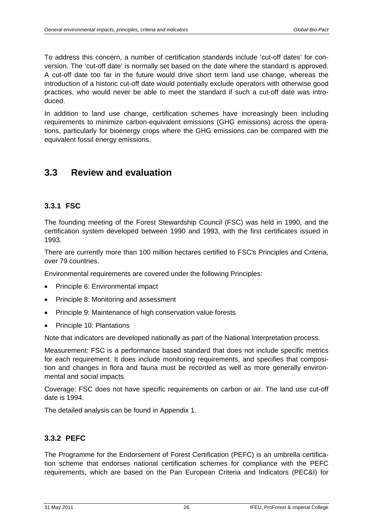To address this concern, a number of certification standards include 'cut-off dates' for conversion. The 'cut-off date' is normally set based on the date where the standard is approved. A cut-off date too far in the future would drive short term land use change, whereas the introduction of a historic cut-off date would potentially exclude operators with otherwise good practices, who would never be able to meet the standard if such a cut-off date was introduced.

In addition to land use change, certification schemes have increasingly been including requirements to minimize carbon-equivalent emissions (GHG emissions) across the operations, particularly for bioenergy crops where the GHG emissions can be compared with the equivalent fossil energy emissions.

### <span id="page-31-0"></span>**3.3 Review and evaluation**

#### <span id="page-31-1"></span>**3.3.1 FSC**

The founding meeting of the Forest Stewardship Council (FSC) was held in 1990, and the certification system developed between 1990 and 1993, with the first certificates issued in 1993.

There are currently more than 100 million hectares certified to FSC's Principles and Criteria, over 79 countries.

Environmental requirements are covered under the following Principles:

- Principle 6: Environmental impact
- Principle 8: Monitoring and assessment
- Principle 9: Maintenance of high conservation value forests
- Principle 10: Plantations

Note that indicators are developed nationally as part of the National Interpretation process.

Measurement: FSC is a performance based standard that does not include specific metrics for each requirement. It does include monitoring requirements, and specifies that composition and changes in flora and fauna must be recorded as well as more generally environmental and social impacts.

Coverage: FSC does not have specific requirements on carbon or air. The land use cut-off date is 1994.

The detailed analysis can be found in Appendix 1.

#### <span id="page-31-2"></span>**3.3.2 PEFC**

The Programme for the Endorsement of Forest Certification (PEFC) is an umbrella certification scheme that endorses national certification schemes for compliance with the PEFC requirements, which are based on the Pan European Criteria and Indicators (PEC&I) for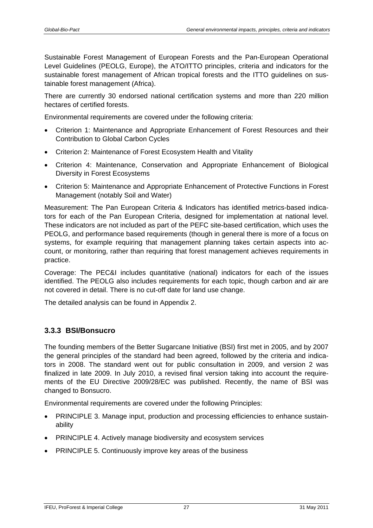Sustainable Forest Management of European Forests and the Pan-European Operational Level Guidelines (PEOLG, Europe), the ATO/ITTO principles, criteria and indicators for the sustainable forest management of African tropical forests and the ITTO guidelines on sustainable forest management (Africa).

There are currently 30 endorsed national certification systems and more than 220 million hectares of certified forests.

Environmental requirements are covered under the following criteria:

- Criterion 1: Maintenance and Appropriate Enhancement of Forest Resources and their Contribution to Global Carbon Cycles
- Criterion 2: Maintenance of Forest Ecosystem Health and Vitality
- Criterion 4: Maintenance, Conservation and Appropriate Enhancement of Biological Diversity in Forest Ecosystems
- Criterion 5: Maintenance and Appropriate Enhancement of Protective Functions in Forest Management (notably Soil and Water)

Measurement: The Pan European Criteria & Indicators has identified metrics-based indicators for each of the Pan European Criteria, designed for implementation at national level. These indicators are not included as part of the PEFC site-based certification, which uses the PEOLG, and performance based requirements (though in general there is more of a focus on systems, for example requiring that management planning takes certain aspects into account, or monitoring, rather than requiring that forest management achieves requirements in practice.

Coverage: The PEC&I includes quantitative (national) indicators for each of the issues identified. The PEOLG also includes requirements for each topic, though carbon and air are not covered in detail. There is no cut-off date for land use change.

The detailed analysis can be found in Appendix 2.

#### <span id="page-32-0"></span>**3.3.3 BSI/Bonsucro**

The founding members of the Better Sugarcane Initiative (BSI) first met in 2005, and by 2007 the general principles of the standard had been agreed, followed by the criteria and indicators in 2008. The standard went out for public consultation in 2009, and version 2 was finalized in late 2009. In July 2010, a revised final version taking into account the requirements of the EU Directive 2009/28/EC was published. Recently, the name of BSI was changed to Bonsucro.

Environmental requirements are covered under the following Principles:

- PRINCIPLE 3. Manage input, production and processing efficiencies to enhance sustainability
- PRINCIPLE 4. Actively manage biodiversity and ecosystem services
- PRINCIPLE 5. Continuously improve key areas of the business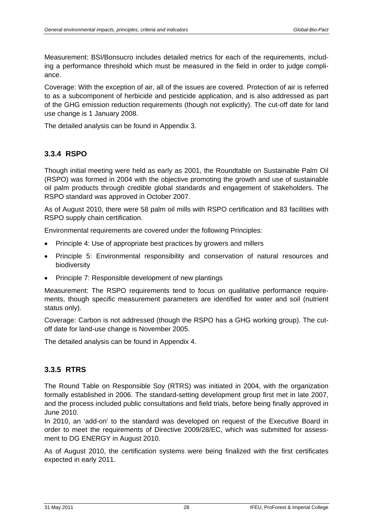Measurement: BSI/Bonsucro includes detailed metrics for each of the requirements, including a performance threshold which must be measured in the field in order to judge compliance.

Coverage: With the exception of air, all of the issues are covered. Protection of air is referred to as a subcomponent of herbicide and pesticide application, and is also addressed as part of the GHG emission reduction requirements (though not explicitly). The cut-off date for land use change is 1 January 2008.

The detailed analysis can be found in Appendix 3.

#### <span id="page-33-0"></span>**3.3.4 RSPO**

Though initial meeting were held as early as 2001, the Roundtable on Sustainable Palm Oil (RSPO) was formed in 2004 with the objective promoting the growth and use of sustainable oil palm products through credible global standards and engagement of stakeholders. The RSPO standard was approved in October 2007.

As of August 2010, there were 58 palm oil mills with RSPO certification and 83 facilities with RSPO supply chain certification.

Environmental requirements are covered under the following Principles:

- Principle 4: Use of appropriate best practices by growers and millers
- Principle 5: Environmental responsibility and conservation of natural resources and biodiversity
- Principle 7: Responsible development of new plantings

Measurement: The RSPO requirements tend to focus on qualitative performance requirements, though specific measurement parameters are identified for water and soil (nutrient status only).

Coverage: Carbon is not addressed (though the RSPO has a GHG working group). The cutoff date for land-use change is November 2005.

The detailed analysis can be found in Appendix 4.

#### <span id="page-33-1"></span>**3.3.5 RTRS**

The Round Table on Responsible Soy (RTRS) was initiated in 2004, with the organization formally established in 2006. The standard-setting development group first met in late 2007, and the process included public consultations and field trials, before being finally approved in June 2010.

In 2010, an 'add-on' to the standard was developed on request of the Executive Board in order to meet the requirements of Directive 2009/28/EC, which was submitted for assessment to DG ENERGY in August 2010.

As of August 2010, the certification systems were being finalized with the first certificates expected in early 2011.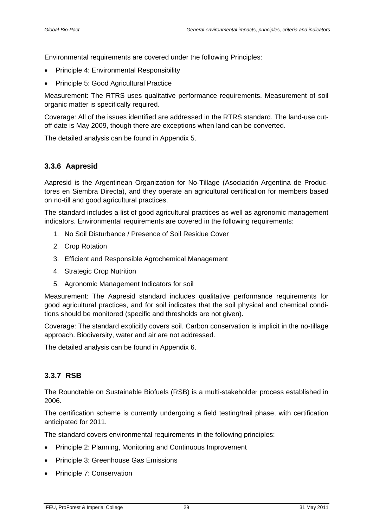Environmental requirements are covered under the following Principles:

- Principle 4: Environmental Responsibility
- Principle 5: Good Agricultural Practice

Measurement: The RTRS uses qualitative performance requirements. Measurement of soil organic matter is specifically required.

Coverage: All of the issues identified are addressed in the RTRS standard. The land-use cutoff date is May 2009, though there are exceptions when land can be converted.

The detailed analysis can be found in Appendix 5.

### <span id="page-34-0"></span>**3.3.6 Aapresid**

Aapresid is the Argentinean Organization for No-Tillage (Asociación Argentina de Productores en Siembra Directa), and they operate an agricultural certification for members based on no-till and good agricultural practices.

The standard includes a list of good agricultural practices as well as agronomic management indicators. Environmental requirements are covered in the following requirements:

- 1. No Soil Disturbance / Presence of Soil Residue Cover
- 2. Crop Rotation
- 3. Efficient and Responsible Agrochemical Management
- 4. Strategic Crop Nutrition
- 5. Agronomic Management Indicators for soil

Measurement: The Aapresid standard includes qualitative performance requirements for good agricultural practices, and for soil indicates that the soil physical and chemical conditions should be monitored (specific and thresholds are not given).

Coverage: The standard explicitly covers soil. Carbon conservation is implicit in the no-tillage approach. Biodiversity, water and air are not addressed.

The detailed analysis can be found in Appendix 6.

### <span id="page-34-1"></span>**3.3.7 RSB**

The Roundtable on Sustainable Biofuels (RSB) is a multi-stakeholder process established in 2006.

The certification scheme is currently undergoing a field testing/trail phase, with certification anticipated for 2011.

The standard covers environmental requirements in the following principles:

- Principle 2: Planning, Monitoring and Continuous Improvement
- Principle 3: Greenhouse Gas Emissions
- Principle 7: Conservation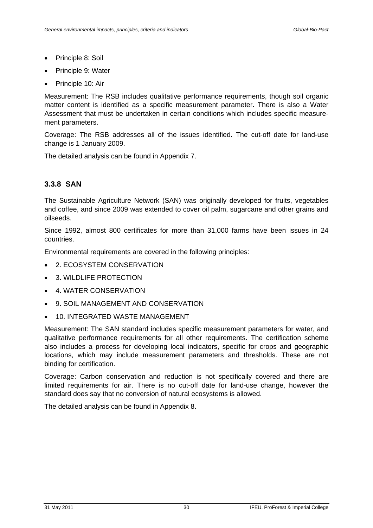- Principle 8: Soil
- Principle 9: Water
- Principle 10: Air

Measurement: The RSB includes qualitative performance requirements, though soil organic matter content is identified as a specific measurement parameter. There is also a Water Assessment that must be undertaken in certain conditions which includes specific measurement parameters.

Coverage: The RSB addresses all of the issues identified. The cut-off date for land-use change is 1 January 2009.

The detailed analysis can be found in Appendix 7.

#### <span id="page-35-0"></span>**3.3.8 SAN**

The Sustainable Agriculture Network (SAN) was originally developed for fruits, vegetables and coffee, and since 2009 was extended to cover oil palm, sugarcane and other grains and oilseeds.

Since 1992, almost 800 certificates for more than 31,000 farms have been issues in 24 countries.

Environmental requirements are covered in the following principles:

- 2. ECOSYSTEM CONSERVATION
- 3. WILDLIFE PROTECTION
- 4. WATER CONSERVATION
- 9. SOIL MANAGEMENT AND CONSERVATION
- 10. INTEGRATED WASTE MANAGEMENT

Measurement: The SAN standard includes specific measurement parameters for water, and qualitative performance requirements for all other requirements. The certification scheme also includes a process for developing local indicators, specific for crops and geographic locations, which may include measurement parameters and thresholds. These are not binding for certification.

Coverage: Carbon conservation and reduction is not specifically covered and there are limited requirements for air. There is no cut-off date for land-use change, however the standard does say that no conversion of natural ecosystems is allowed.

The detailed analysis can be found in Appendix 8.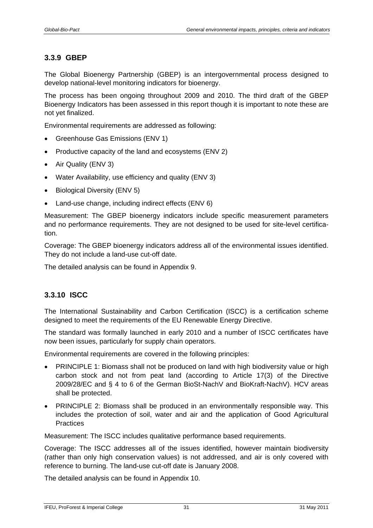#### <span id="page-36-0"></span>**3.3.9 GBEP**

The Global Bioenergy Partnership (GBEP) is an intergovernmental process designed to develop national-level monitoring indicators for bioenergy.

The process has been ongoing throughout 2009 and 2010. The third draft of the GBEP Bioenergy Indicators has been assessed in this report though it is important to note these are not yet finalized.

Environmental requirements are addressed as following:

- Greenhouse Gas Emissions (ENV 1)
- Productive capacity of the land and ecosystems (ENV 2)
- Air Quality (ENV 3)
- Water Availability, use efficiency and quality (ENV 3)
- Biological Diversity (ENV 5)
- Land-use change, including indirect effects (ENV 6)

Measurement: The GBEP bioenergy indicators include specific measurement parameters and no performance requirements. They are not designed to be used for site-level certification.

Coverage: The GBEP bioenergy indicators address all of the environmental issues identified. They do not include a land-use cut-off date.

The detailed analysis can be found in Appendix 9.

#### <span id="page-36-1"></span>**3.3.10 ISCC**

The International Sustainability and Carbon Certification (ISCC) is a certification scheme designed to meet the requirements of the EU Renewable Energy Directive.

The standard was formally launched in early 2010 and a number of ISCC certificates have now been issues, particularly for supply chain operators.

Environmental requirements are covered in the following principles:

- PRINCIPLE 1: Biomass shall not be produced on land with high biodiversity value or high carbon stock and not from peat land (according to Article 17(3) of the Directive 2009/28/EC and § 4 to 6 of the German BioSt-NachV and BioKraft-NachV). HCV areas shall be protected.
- PRINCIPLE 2: Biomass shall be produced in an environmentally responsible way. This includes the protection of soil, water and air and the application of Good Agricultural **Practices**

Measurement: The ISCC includes qualitative performance based requirements.

Coverage: The ISCC addresses all of the issues identified, however maintain biodiversity (rather than only high conservation values) is not addressed, and air is only covered with reference to burning. The land-use cut-off date is January 2008.

The detailed analysis can be found in Appendix 10.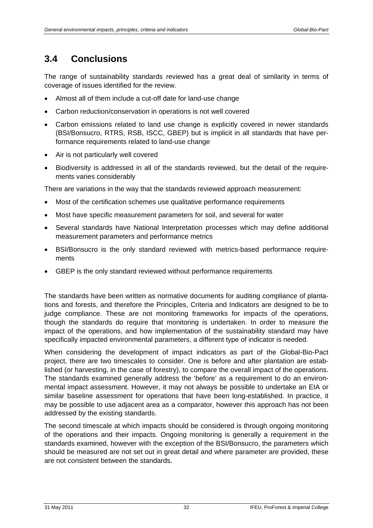### <span id="page-37-0"></span>**3.4 Conclusions**

The range of sustainability standards reviewed has a great deal of similarity in terms of coverage of issues identified for the review.

- Almost all of them include a cut-off date for land-use change
- Carbon reduction/conservation in operations is not well covered
- Carbon emissions related to land use change is explicitly covered in newer standards (BSI/Bonsucro, RTRS, RSB, ISCC, GBEP) but is implicit in all standards that have performance requirements related to land-use change
- Air is not particularly well covered
- Biodiversity is addressed in all of the standards reviewed, but the detail of the requirements varies considerably

There are variations in the way that the standards reviewed approach measurement:

- Most of the certification schemes use qualitative performance requirements
- Most have specific measurement parameters for soil, and several for water
- Several standards have National Interpretation processes which may define additional measurement parameters and performance metrics
- BSI/Bonsucro is the only standard reviewed with metrics-based performance requirements
- GBEP is the only standard reviewed without performance requirements

The standards have been written as normative documents for auditing compliance of plantations and forests, and therefore the Principles, Criteria and Indicators are designed to be to judge compliance. These are not monitoring frameworks for impacts of the operations, though the standards do require that monitoring is undertaken. In order to measure the impact of the operations, and how implementation of the sustainability standard may have specifically impacted environmental parameters, a different type of indicator is needed.

When considering the development of impact indicators as part of the Global-Bio-Pact project, there are two timescales to consider. One is before and after plantation are established (or harvesting, in the case of forestry), to compare the overall impact of the operations. The standards examined generally address the 'before' as a requirement to do an environmental impact assessment. However, it may not always be possible to undertake an EIA or similar baseline assessment for operations that have been long-established. In practice, it may be possible to use adjacent area as a comparator, however this approach has not been addressed by the existing standards.

The second timescale at which impacts should be considered is through ongoing monitoring of the operations and their impacts. Ongoing monitoring is generally a requirement in the standards examined, however with the exception of the BSI/Bonsucro, the parameters which should be measured are not set out in great detail and where parameter are provided, these are not consistent between the standards.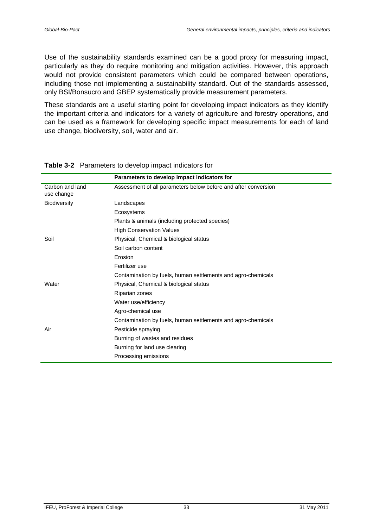<span id="page-38-0"></span>Use of the sustainability standards examined can be a good proxy for measuring impact, particularly as they do require monitoring and mitigation activities. However, this approach would not provide consistent parameters which could be compared between operations, including those not implementing a sustainability standard. Out of the standards assessed, only BSI/Bonsucro and GBEP systematically provide measurement parameters.

These standards are a useful starting point for developing impact indicators as they identify the important criteria and indicators for a variety of agriculture and forestry operations, and can be used as a framework for developing specific impact measurements for each of land use change, biodiversity, soil, water and air.

|                 | Parameters to develop impact indicators for                    |
|-----------------|----------------------------------------------------------------|
| Carbon and land | Assessment of all parameters below before and after conversion |
| use change      |                                                                |
| Biodiversity    | Landscapes                                                     |
|                 | Ecosystems                                                     |
|                 | Plants & animals (including protected species)                 |
|                 | <b>High Conservation Values</b>                                |
| Soil            | Physical, Chemical & biological status                         |
|                 | Soil carbon content                                            |
|                 | Erosion                                                        |
|                 | Fertilizer use                                                 |
|                 | Contamination by fuels, human settlements and agro-chemicals   |
| Water           | Physical, Chemical & biological status                         |
|                 | Riparian zones                                                 |
|                 | Water use/efficiency                                           |
|                 | Agro-chemical use                                              |
|                 | Contamination by fuels, human settlements and agro-chemicals   |
| Air             | Pesticide spraying                                             |
|                 | Burning of wastes and residues                                 |
|                 | Burning for land use clearing                                  |
|                 | Processing emissions                                           |

#### **Table 3-2** Parameters to develop impact indicators for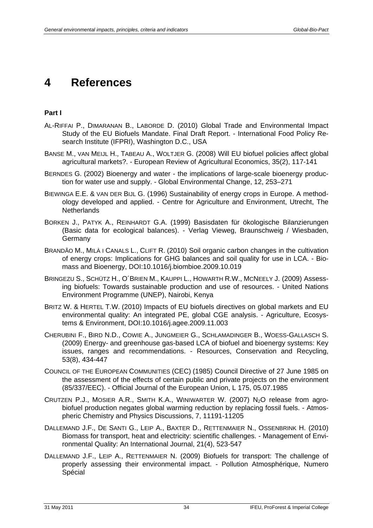## <span id="page-39-0"></span>**4 References**

#### **Part I**

- AL-RIFFAI P., DIMARANAN B., LABORDE D. (2010) Global Trade and Environmental Impact Study of the EU Biofuels Mandate. Final Draft Report. - International Food Policy Research Institute (IFPRI), Washington D.C., USA
- BANSE M., VAN MEIJL H., TABEAU A., WOLTJER G. (2008) Will EU biofuel policies affect global agricultural markets?. - European Review of Agricultural Economics, 35(2), 117-141
- BERNDES G. (2002) Bioenergy and water the implications of large-scale bioenergy production for water use and supply. - Global Environmental Change, 12, 253–271
- BIEWINGA E.E. & VAN DER BIJL G. (1996) Sustainability of energy crops in Europe. A methodology developed and applied. - Centre for Agriculture and Environment, Utrecht, The **Netherlands**
- BORKEN J., PATYK A., REINHARDT G.A. (1999) Basisdaten für ökologische Bilanzierungen (Basic data for ecological balances). - Verlag Vieweg, Braunschweig / Wiesbaden, Germany
- BRANDÃO M., MILÀ I CANALS L., CLIFT R. (2010) Soil organic carbon changes in the cultivation of energy crops: Implications for GHG balances and soil quality for use in LCA. - Biomass and Bioenergy, DOI:10.1016/j.biombioe.2009.10.019
- BRINGEZU S., SCHÜTZ H., O´BRIEN M., KAUPPI L., HOWARTH R.W., MCNEELY J. (2009) Assessing biofuels: Towards sustainable production and use of resources. - United Nations Environment Programme (UNEP), Nairobi, Kenya
- BRITZ W. & HERTEL T.W. (2010) Impacts of EU biofuels directives on global markets and EU environmental quality: An integrated PE, global CGE analysis. - Agriculture, Ecosystems & Environment, DOI:10.1016/j.agee.2009.11.003
- CHERUBINI F., BIRD N.D., COWIE A., JUNGMEIER G., SCHLAMADINGER B., WOESS-GALLASCH S. (2009) Energy- and greenhouse gas-based LCA of biofuel and bioenergy systems: Key issues, ranges and recommendations. - Resources, Conservation and Recycling, 53(8), 434-447
- COUNCIL OF THE EUROPEAN COMMUNITIES (CEC) (1985) Council Directive of 27 June 1985 on the assessment of the effects of certain public and private projects on the environment (85/337/EEC). - Official Journal of the European Union, L 175, 05.07.1985
- CRUTZEN P.J., MOSIER A.R., SMITH K.A., WINIWARTER W. (2007)  $N_2O$  release from agrobiofuel production negates global warming reduction by replacing fossil fuels. - Atmospheric Chemistry and Physics Discussions, 7, 11191-11205
- DALLEMAND J.F., DE SANTI G., LEIP A., BAXTER D., RETTENMAIER N., OSSENBRINK H. (2010) Biomass for transport, heat and electricity: scientific challenges. - Management of Environmental Quality: An International Journal, 21(4), 523-547
- DALLEMAND J.F., LEIP A., RETTENMAIER N. (2009) Biofuels for transport: The challenge of properly assessing their environmental impact. - Pollution Atmosphérique, Numero Spécial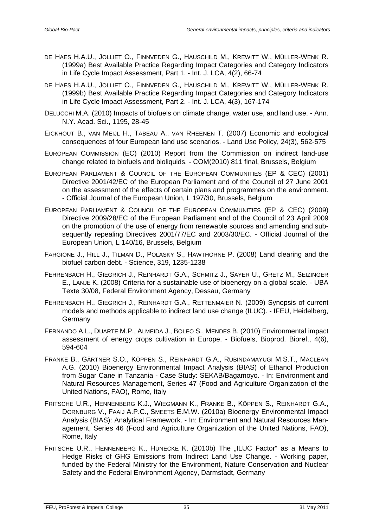- DE HAES H.A.U., JOLLIET O., FINNVEDEN G., HAUSCHILD M., KREWITT W., MÜLLER-WENK R. (1999a) Best Available Practice Regarding Impact Categories and Category Indicators in Life Cycle Impact Assessment, Part 1. - Int. J. LCA, 4(2), 66-74
- DE HAES H.A.U., JOLLIET O., FINNVEDEN G., HAUSCHILD M., KREWITT W., MÜLLER-WENK R. (1999b) Best Available Practice Regarding Impact Categories and Category Indicators in Life Cycle Impact Assessment, Part 2. - Int. J. LCA, 4(3), 167-174
- DELUCCHI M.A. (2010) Impacts of biofuels on climate change, water use, and land use. Ann. N.Y. Acad. Sci., 1195, 28-45
- EICKHOUT B., VAN MEIJL H., TABEAU A., VAN RHEENEN T. (2007) Economic and ecological consequences of four European land use scenarios. - Land Use Policy, 24(3), 562-575
- EUROPEAN COMMISSION (EC) (2010) Report from the Commission on indirect land-use change related to biofuels and bioliquids. - COM(2010) 811 final, Brussels, Belgium
- EUROPEAN PARLIAMENT & COUNCIL OF THE EUROPEAN COMMUNITIES (EP & CEC) (2001) Directive 2001/42/EC of the European Parliament and of the Council of 27 June 2001 on the assessment of the effects of certain plans and programmes on the environment. - Official Journal of the European Union, L 197/30, Brussels, Belgium
- EUROPEAN PARLIAMENT & COUNCIL OF THE EUROPEAN COMMUNITIES (EP & CEC) (2009) Directive 2009/28/EC of the European Parliament and of the Council of 23 April 2009 on the promotion of the use of energy from renewable sources and amending and subsequently repealing Directives 2001/77/EC and 2003/30/EC. - Official Journal of the European Union, L 140/16, Brussels, Belgium
- FARGIONE J., HILL J., TILMAN D., POLASKY S., HAWTHORNE P. (2008) Land clearing and the biofuel carbon debt. - Science, 319, 1235-1238
- FEHRENBACH H., GIEGRICH J., REINHARDT G.A., SCHMITZ J., SAYER U., GRETZ M., SEIZINGER E., LANJE K. (2008) Criteria for a sustainable use of bioenergy on a global scale. - UBA Texte 30/08, Federal Environment Agency, Dessau, Germany
- FEHRENBACH H., GIEGRICH J., REINHARDT G.A., RETTENMAIER N. (2009) Synopsis of current models and methods applicable to indirect land use change (ILUC). - IFEU, Heidelberg, **Germany**
- FERNANDO A.L., DUARTE M.P., ALMEIDA J., BOLEO S., MENDES B. (2010) Environmental impact assessment of energy crops cultivation in Europe. - Biofuels, Bioprod. Bioref., 4(6), 594-604
- FRANKE B., GÄRTNER S.O., KÖPPEN S., REINHARDT G.A., RUBINDAMAYUGI M.S.T., MACLEAN A.G. (2010) Bioenergy Environmental Impact Analysis (BIAS) of Ethanol Production from Sugar Cane in Tanzania - Case Study: SEKAB/Bagamoyo. - In: Environment and Natural Resources Management, Series 47 (Food and Agriculture Organization of the United Nations, FAO), Rome, Italy
- FRITSCHE U.R., HENNENBERG K.J., WIEGMANN K., FRANKE B., KÖPPEN S., REINHARDT G.A., DORNBURG V., FAAIJ A.P.C., SMEETS E.M.W. (2010a) Bioenergy Environmental Impact Analysis (BIAS): Analytical Framework. - In: Environment and Natural Resources Management, Series 46 (Food and Agriculture Organization of the United Nations, FAO), Rome, Italy
- FRITSCHE U.R., HENNENBERG K., HÜNECKE K. (2010b) The "ILUC Factor" as a Means to Hedge Risks of GHG Emissions from Indirect Land Use Change. - Working paper, funded by the Federal Ministry for the Environment, Nature Conservation and Nuclear Safety and the Federal Environment Agency, Darmstadt, Germany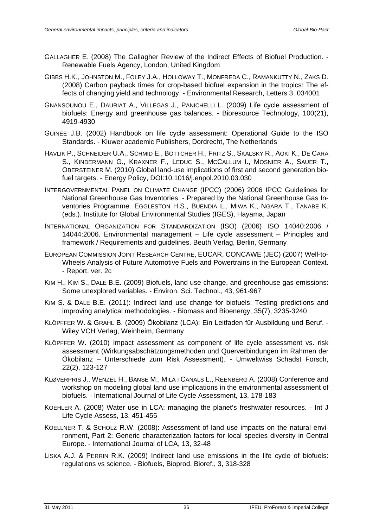- GALLAGHER E. (2008) The Gallagher Review of the Indirect Effects of Biofuel Production. Renewable Fuels Agency, London, United Kingdom
- GIBBS H.K., JOHNSTON M., FOLEY J.A., HOLLOWAY T., MONFREDA C., RAMANKUTTY N., ZAKS D. (2008) Carbon payback times for crop-based biofuel expansion in the tropics: The effects of changing yield and technology. - Environmental Research, Letters 3, 034001
- GNANSOUNOU E., DAURIAT A., VILLEGAS J., PANICHELLI L. (2009) Life cycle assessment of biofuels: Energy and greenhouse gas balances. - Bioresource Technology, 100(21), 4919-4930
- GUINÉE J.B. (2002) Handbook on life cycle assessment: Operational Guide to the ISO Standards. - Kluwer academic Publishers, Dordrecht, The Netherlands
- HAVLÍK P., SCHNEIDER U.A., SCHMID E., BÖTTCHER H., FRITZ S., SKALSKÝ R., AOKI K., DE CARA S., KINDERMANN G., KRAXNER F., LEDUC S., MCCALLUM I., MOSNIER A., SAUER T., OBERSTEINER M. (2010) Global land-use implications of first and second generation biofuel targets. - Energy Policy, DOI:10.1016/j.enpol.2010.03.030
- INTERGOVERNMENTAL PANEL ON CLIMATE CHANGE (IPCC) (2006) 2006 IPCC Guidelines for National Greenhouse Gas Inventories. - Prepared by the National Greenhouse Gas Inventories Programme. EGGLESTON H.S., BUENDIA L., MIWA K., NGARA T., TANABE K. (eds.). Institute for Global Environmental Studies (IGES), Hayama, Japan
- INTERNATIONAL ORGANIZATION FOR STANDARDIZATION (ISO) (2006) ISO 14040:2006 / 14044:2006. Environmental management – Life cycle assessment – Principles and framework / Requirements and guidelines. Beuth Verlag, Berlin, Germany
- EUROPEAN COMMISSION JOINT RESEARCH CENTRE, EUCAR, CONCAWE (JEC) (2007) Well-to-Wheels Analysis of Future Automotive Fuels and Powertrains in the European Context. - Report, ver. 2c
- KIM H., KIM S., DALE B.E. (2009) Biofuels, land use change, and greenhouse gas emissions: Some unexplored variables. - Environ. Sci. Technol., 43, 961-967
- KIM S. & DALE B.E. (2011): Indirect land use change for biofuels: Testing predictions and improving analytical methodologies. - Biomass and Bioenergy, 35(7), 3235-3240
- KLÖPFFER W. & GRAHL B. (2009) Ökobilanz (LCA): Ein Leitfaden für Ausbildung und Beruf. Wiley VCH Verlag, Weinheim, Germany
- KLÖPFFER W. (2010) Impact assessment as component of life cycle assessment vs. risk assessment (Wirkungsabschätzungsmethoden und Querverbindungen im Rahmen der Ökobilanz – Unterschiede zum Risk Assessment). - Umweltwiss Schadst Forsch, 22(2), 123-127
- KLØVERPRIS J., WENZEL H., BANSE M., MILÀ I CANALS L., REENBERG A. (2008) Conference and workshop on modeling global land use implications in the environmental assessment of biofuels. - International Journal of Life Cycle Assessment, 13, 178-183
- KOEHLER A. (2008) Water use in LCA: managing the planet's freshwater resources. Int J Life Cycle Assess, 13, 451-455
- KOELLNER T. & SCHOLZ R.W. (2008): Assessment of land use impacts on the natural environment, Part 2: Generic characterization factors for local species diversity in Central Europe. - International Journal of LCA, 13, 32-48
- LISKA A.J. & PERRIN R.K. (2009) Indirect land use emissions in the life cycle of biofuels: regulations vs science. - Biofuels, Bioprod. Bioref., 3, 318-328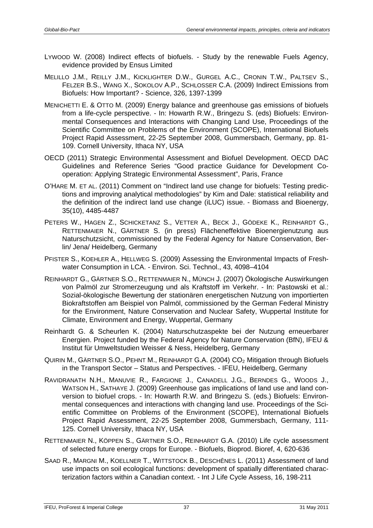- LYWOOD W. (2008) Indirect effects of biofuels. Study by the renewable Fuels Agency, evidence provided by Ensus Limited
- MELILLO J.M., REILLY J.M., KICKLIGHTER D.W., GURGEL A.C., CRONIN T.W., PALTSEV S., FELZER B.S., WANG X., SOKOLOV A.P., SCHLOSSER C.A. (2009) Indirect Emissions from Biofuels: How Important? - Science, 326, 1397-1399
- MENICHETTI E. & OTTO M. (2009) Energy balance and greenhouse gas emissions of biofuels from a life-cycle perspective. - In: Howarth R.W., Bringezu S. (eds) Biofuels: Environmental Consequences and Interactions with Changing Land Use, Proceedings of the Scientific Committee on Problems of the Environment (SCOPE), International Biofuels Project Rapid Assessment, 22-25 September 2008, Gummersbach, Germany, pp. 81- 109. Cornell University, Ithaca NY, USA
- OECD (2011) Strategic Environmental Assessment and Biofuel Development. OECD DAC Guidelines and Reference Series "Good practice Guidance for Development Cooperation: Applying Strategic Environmental Assessment", Paris, France
- O'HARE M. ET AL. (2011) Comment on "Indirect land use change for biofuels: Testing predictions and improving analytical methodologies" by Kim and Dale: statistical reliability and the definition of the indirect land use change (iLUC) issue. - Biomass and Bioenergy, 35(10), 4485-4487
- PETERS W., HAGEN Z., SCHICKETANZ S., VETTER A., BECK J., GÖDEKE K., REINHARDT G., RETTENMAIER N., GÄRTNER S. (in press) Flächeneffektive Bioenergienutzung aus Naturschutzsicht, commissioned by the Federal Agency for Nature Conservation, Berlin/ Jena/ Heidelberg, Germany
- PFISTER S., KOEHLER A., HELLWEG S. (2009) Assessing the Environmental Impacts of Freshwater Consumption in LCA. - Environ. Sci. Technol., 43, 4098–4104
- REINHARDT G., GÄRTNER S.O., RETTENMAIER N., MÜNCH J. (2007) Ökologische Auswirkungen von Palmöl zur Stromerzeugung und als Kraftstoff im Verkehr. - In: Pastowski et al.: Sozial-ökologische Bewertung der stationären energetischen Nutzung von importierten Biokraftstoffen am Beispiel von Palmöl, commissioned by the German Federal Ministry for the Environment, Nature Conservation and Nuclear Safety, Wuppertal Institute for Climate, Environment and Energy, Wuppertal, Germany
- Reinhardt G. & Scheurlen K. (2004) Naturschutzaspekte bei der Nutzung erneuerbarer Energien. Project funded by the Federal Agency for Nature Conservation (BfN), IFEU & Institut für Umweltstudien Weisser & Ness, Heidelberg, Germany
- QUIRIN M., GÄRTNER S.O., PEHNT M., REINHARDT G.A. (2004) CO<sub>2</sub> Mitigation through Biofuels in the Transport Sector – Status and Perspectives. - IFEU, Heidelberg, Germany
- RAVIDRANATH N.H., MANUVIE R., FARGIONE J., CANADELL J.G., BERNDES G., WOODS J., WATSON H., SATHAYE J. (2009) Greenhouse gas implications of land use and land conversion to biofuel crops. - In: Howarth R.W. and Bringezu S. (eds.) Biofuels: Environmental consequences and interactions with changing land use. Proceedings of the Scientific Committee on Problems of the Environment (SCOPE), International Biofuels Project Rapid Assessment, 22-25 September 2008, Gummersbach, Germany, 111- 125. Cornell University, Ithaca NY, USA
- RETTENMAIER N., KÖPPEN S., GÄRTNER S.O., REINHARDT G.A. (2010) Life cycle assessment of selected future energy crops for Europe. - Biofuels, Bioprod. Bioref, 4, 620-636
- SAAD R., MARGNI M., KOELLNER T., WITTSTOCK B., DESCHÊNES L. (2011) Assessment of land use impacts on soil ecological functions: development of spatially differentiated characterization factors within a Canadian context. - Int J Life Cycle Assess, 16, 198-211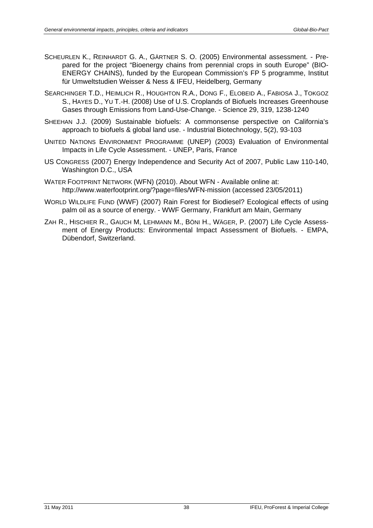- SCHEURLEN K., REINHARDT G. A., GÄRTNER S. O. (2005) Environmental assessment. Prepared for the project "Bioenergy chains from perennial crops in south Europe" (BIO-ENERGY CHAINS), funded by the European Commission's FP 5 programme, Institut für Umweltstudien Weisser & Ness & IFEU, Heidelberg, Germany
- SEARCHINGER T.D., HEIMLICH R., HOUGHTON R.A., DONG F., ELOBEID A., FABIOSA J., TOKGOZ S., HAYES D., YU T.-H. (2008) Use of U.S. Croplands of Biofuels Increases Greenhouse Gases through Emissions from Land-Use-Change. - Science 29, 319, 1238-1240
- SHEEHAN J.J. (2009) Sustainable biofuels: A commonsense perspective on California's approach to biofuels & global land use. - Industrial Biotechnology, 5(2), 93-103
- UNITED NATIONS ENVIRONMENT PROGRAMME (UNEP) (2003) Evaluation of Environmental Impacts in Life Cycle Assessment. - UNEP, Paris, France
- US CONGRESS (2007) Energy Independence and Security Act of 2007, Public Law 110-140, Washington D.C., USA
- WATER FOOTPRINT NETWORK (WFN) (2010). About WFN Available online at: http://www.waterfootprint.org/?page=files/WFN-mission (accessed 23/05/2011)
- WORLD WILDLIFE FUND (WWF) (2007) Rain Forest for Biodiesel? Ecological effects of using palm oil as a source of energy. - WWF Germany, Frankfurt am Main, Germany
- ZAH R., HISCHIER R., GAUCH M, LEHMANN M., BÖNI H., WÄGER, P. (2007) Life Cycle Assessment of Energy Products: Environmental Impact Assessment of Biofuels. - EMPA, Dübendorf, Switzerland.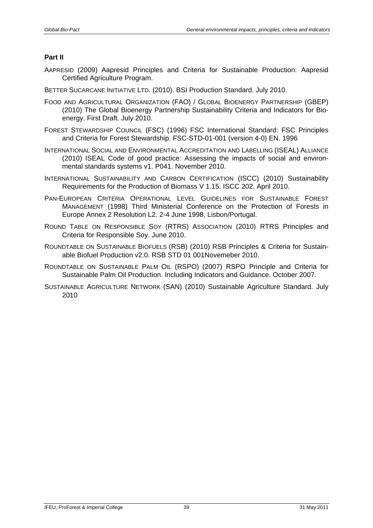#### **Part II**

- AAPRESID (2009) Aapresid Principles and Criteria for Sustainable Production: Aapresid Certified Agriculture Program.
- BETTER SUCARCANE INITIATIVE LTD. (2010). BSI Production Standard. July 2010.
- FOOD AND AGRICULTURAL ORGANIZATION (FAO) / GLOBAL BIOENERGY PARTNERSHIP (GBEP) (2010) The Global Bioenergy Partnership Sustainability Criteria and Indicators for Bioenergy. First Draft. July 2010.
- FOREST STEWARDSHIP COUNCIL (FSC) (1996) FSC International Standard: FSC Principles and Criteria for Forest Stewardship. FSC-STD-01-001 (version 4-0) EN. 1996
- INTERNATIONAL SOCIAL AND ENVIRONMENTAL ACCREDITATION AND LABELLING (ISEAL) ALLIANCE (2010) ISEAL Code of good practice: Assessing the impacts of social and environmental standards systems v1. P041. November 2010.
- INTERNATIONAL SUSTAINABILITY AND CARBON CERTIFICATION (ISCC) (2010) Sustainability Requirements for the Production of Biomass V 1.15. ISCC 202. April 2010.
- PAN-EUROPEAN CRITERIA OPERATIONAL LEVEL GUIDELINES FOR SUSTAINABLE FOREST MANAGEMENT (1998) Third Ministerial Conference on the Protection of Forests in Europe Annex 2 Resolution L2. 2-4 June 1998, Lisbon/Portugal.
- ROUND TABLE ON RESPONSIBLE SOY (RTRS) ASSOCIATION (2010) RTRS Principles and Criteria for Responsible Soy. June 2010.
- ROUNDTABLE ON SUSTAINABLE BIOFUELS (RSB) (2010) RSB Principles & Criteria for Sustainable Biofuel Production v2.0. RSB STD 01 001Novemeber 2010.
- ROUNDTABLE ON SUSTAINABLE PALM OIL (RSPO) (2007) RSPO Principle and Criteria for Sustainable Palm Oil Production. Including Indicators and Guidance. October 2007.
- SUSTAINABLE AGRICULTURE NETWORK (SAN) (2010) Sustainable Agriculture Standard. July 2010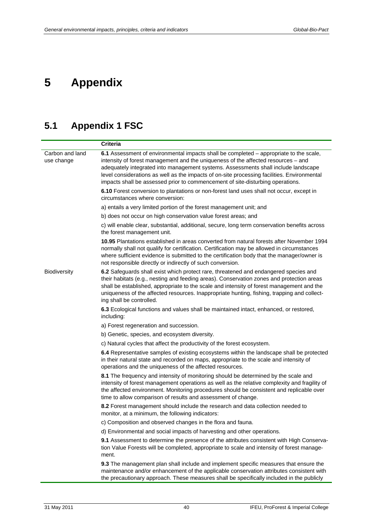# <span id="page-45-0"></span>**5 Appendix**

## <span id="page-45-1"></span>**5.1 Appendix 1 FSC**

|                               | <b>Criteria</b>                                                                                                                                                                                                                                                                                                                                                                                                                                    |
|-------------------------------|----------------------------------------------------------------------------------------------------------------------------------------------------------------------------------------------------------------------------------------------------------------------------------------------------------------------------------------------------------------------------------------------------------------------------------------------------|
| Carbon and land<br>use change | 6.1 Assessment of environmental impacts shall be completed – appropriate to the scale,<br>intensity of forest management and the uniqueness of the affected resources - and<br>adequately integrated into management systems. Assessments shall include landscape<br>level considerations as well as the impacts of on-site processing facilities. Environmental<br>impacts shall be assessed prior to commencement of site-disturbing operations. |
|                               | 6.10 Forest conversion to plantations or non-forest land uses shall not occur, except in<br>circumstances where conversion:                                                                                                                                                                                                                                                                                                                        |
|                               | a) entails a very limited portion of the forest management unit; and                                                                                                                                                                                                                                                                                                                                                                               |
|                               | b) does not occur on high conservation value forest areas; and                                                                                                                                                                                                                                                                                                                                                                                     |
|                               | c) will enable clear, substantial, additional, secure, long term conservation benefits across<br>the forest management unit.                                                                                                                                                                                                                                                                                                                       |
|                               | 10.95 Plantations established in areas converted from natural forests after November 1994<br>normally shall not qualify for certification. Certification may be allowed in circumstances<br>where sufficient evidence is submitted to the certification body that the manager/owner is<br>not responsible directly or indirectly of such conversion.                                                                                               |
| Biodiversity                  | 6.2 Safeguards shall exist which protect rare, threatened and endangered species and<br>their habitats (e.g., nesting and feeding areas). Conservation zones and protection areas<br>shall be established, appropriate to the scale and intensity of forest management and the<br>uniqueness of the affected resources. Inappropriate hunting, fishing, trapping and collect-<br>ing shall be controlled.                                          |
|                               | 6.3 Ecological functions and values shall be maintained intact, enhanced, or restored,<br>including:                                                                                                                                                                                                                                                                                                                                               |
|                               | a) Forest regeneration and succession.                                                                                                                                                                                                                                                                                                                                                                                                             |
|                               | b) Genetic, species, and ecosystem diversity.                                                                                                                                                                                                                                                                                                                                                                                                      |
|                               | c) Natural cycles that affect the productivity of the forest ecosystem.                                                                                                                                                                                                                                                                                                                                                                            |
|                               | 6.4 Representative samples of existing ecosystems within the landscape shall be protected<br>in their natural state and recorded on maps, appropriate to the scale and intensity of<br>operations and the uniqueness of the affected resources.                                                                                                                                                                                                    |
|                               | 8.1 The frequency and intensity of monitoring should be determined by the scale and<br>intensity of forest management operations as well as the relative complexity and fragility of<br>the affected environment. Monitoring procedures should be consistent and replicable over<br>time to allow comparison of results and assessment of change.                                                                                                  |
|                               | 8.2 Forest management should include the research and data collection needed to<br>monitor, at a minimum, the following indicators:                                                                                                                                                                                                                                                                                                                |
|                               | c) Composition and observed changes in the flora and fauna.                                                                                                                                                                                                                                                                                                                                                                                        |
|                               | d) Environmental and social impacts of harvesting and other operations.                                                                                                                                                                                                                                                                                                                                                                            |
|                               | 9.1 Assessment to determine the presence of the attributes consistent with High Conserva-<br>tion Value Forests will be completed, appropriate to scale and intensity of forest manage-<br>ment.                                                                                                                                                                                                                                                   |
|                               | 9.3 The management plan shall include and implement specific measures that ensure the<br>maintenance and/or enhancement of the applicable conservation attributes consistent with<br>the precautionary approach. These measures shall be specifically included in the publicly                                                                                                                                                                     |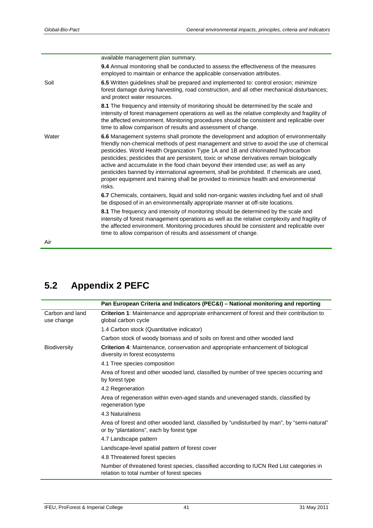|       | available management plan summary.                                                                                                                                                                                                                                                                                                                                                                                                                                                                                                                                                                                                                     |
|-------|--------------------------------------------------------------------------------------------------------------------------------------------------------------------------------------------------------------------------------------------------------------------------------------------------------------------------------------------------------------------------------------------------------------------------------------------------------------------------------------------------------------------------------------------------------------------------------------------------------------------------------------------------------|
|       | 9.4 Annual monitoring shall be conducted to assess the effectiveness of the measures<br>employed to maintain or enhance the applicable conservation attributes.                                                                                                                                                                                                                                                                                                                                                                                                                                                                                        |
| Soil  | 6.5 Written guidelines shall be prepared and implemented to: control erosion; minimize<br>forest damage during harvesting, road construction, and all other mechanical disturbances;<br>and protect water resources.                                                                                                                                                                                                                                                                                                                                                                                                                                   |
|       | 8.1 The frequency and intensity of monitoring should be determined by the scale and<br>intensity of forest management operations as well as the relative complexity and fragility of<br>the affected environment. Monitoring procedures should be consistent and replicable over<br>time to allow comparison of results and assessment of change.                                                                                                                                                                                                                                                                                                      |
| Water | 6.6 Management systems shall promote the development and adoption of environmentally<br>friendly non-chemical methods of pest management and strive to avoid the use of chemical<br>pesticides. World Health Organization Type 1A and 1B and chlorinated hydrocarbon<br>pesticides; pesticides that are persistent, toxic or whose derivatives remain biologically<br>active and accumulate in the food chain beyond their intended use; as well as any<br>pesticides banned by international agreement, shall be prohibited. If chemicals are used,<br>proper equipment and training shall be provided to minimize health and environmental<br>risks. |
|       | 6.7 Chemicals, containers, liquid and solid non-organic wastes including fuel and oil shall<br>be disposed of in an environmentally appropriate manner at off-site locations.                                                                                                                                                                                                                                                                                                                                                                                                                                                                          |
|       | 8.1 The frequency and intensity of monitoring should be determined by the scale and<br>intensity of forest management operations as well as the relative complexity and fragility of<br>the affected environment. Monitoring procedures should be consistent and replicable over<br>time to allow comparison of results and assessment of change.                                                                                                                                                                                                                                                                                                      |
| Air   |                                                                                                                                                                                                                                                                                                                                                                                                                                                                                                                                                                                                                                                        |

<span id="page-46-0"></span>**5.2 Appendix 2 PEFC** 

|                               | Pan European Criteria and Indicators (PEC&I) – National monitoring and reporting                                                        |
|-------------------------------|-----------------------------------------------------------------------------------------------------------------------------------------|
| Carbon and land<br>use change | Criterion 1: Maintenance and appropriate enhancement of forest and their contribution to<br>global carbon cycle                         |
|                               | 1.4 Carbon stock (Quantitative indicator)                                                                                               |
|                               | Carbon stock of woody biomass and of soils on forest and other wooded land                                                              |
| <b>Biodiversity</b>           | Criterion 4: Maintenance, conservation and appropriate enhancement of biological<br>diversity in forest ecosystems                      |
|                               | 4.1 Tree species composition                                                                                                            |
|                               | Area of forest and other wooded land, classified by number of tree species occurring and<br>by forest type                              |
|                               | 4.2 Regeneration                                                                                                                        |
|                               | Area of regeneration within even-aged stands and unevenaged stands, classified by<br>regeneration type                                  |
|                               | 4.3 Naturalness                                                                                                                         |
|                               | Area of forest and other wooded land, classified by "undisturbed by man", by "semi-natural"<br>or by "plantations", each by forest type |
|                               | 4.7 Landscape pattern                                                                                                                   |
|                               | Landscape-level spatial pattern of forest cover                                                                                         |
|                               | 4.8 Threatened forest species                                                                                                           |
|                               | Number of threatened forest species, classified according to IUCN Red List categories in<br>relation to total number of forest species  |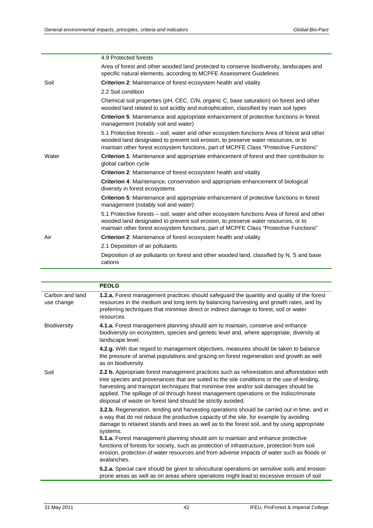|       | 4.9 Protected forests                                                                                                                                                                                                                                                      |
|-------|----------------------------------------------------------------------------------------------------------------------------------------------------------------------------------------------------------------------------------------------------------------------------|
|       | Area of forest and other wooded land protected to conserve biodiversity, landscapes and<br>specific natural elements, according to MCPFE Assessment Guidelines                                                                                                             |
| Soil  | <b>Criterion 2:</b> Maintenance of forest ecosystem health and vitality                                                                                                                                                                                                    |
|       | 2.2 Soil condition                                                                                                                                                                                                                                                         |
|       | Chemical soil properties (pH, CEC, C/N, organic C, base saturation) on forest and other<br>wooded land related to soil acidity and eutrophication, classified by main soil types                                                                                           |
|       | <b>Criterion 5:</b> Maintenance and appropriate enhancement of protective functions in forest<br>management (notably soil and water)                                                                                                                                       |
|       | 5.1 Protective forests – soil, water and other ecosystem functions Area of forest and other<br>wooded land designated to prevent soil erosion, to preserve water resources, or to<br>maintain other forest ecosystem functions, part of MCPFE Class "Protective Functions" |
| Water | Criterion 1: Maintenance and appropriate enhancement of forest and their contribution to<br>global carbon cycle                                                                                                                                                            |
|       | <b>Criterion 2:</b> Maintenance of forest ecosystem health and vitality                                                                                                                                                                                                    |
|       | <b>Criterion 4:</b> Maintenance, conservation and appropriate enhancement of biological<br>diversity in forest ecosystems                                                                                                                                                  |
|       | <b>Criterion 5:</b> Maintenance and appropriate enhancement of protective functions in forest<br>management (notably soil and water)                                                                                                                                       |
|       | 5.1 Protective forests - soil, water and other ecosystem functions Area of forest and other<br>wooded land designated to prevent soil erosion, to preserve water resources, or to<br>maintain other forest ecosystem functions, part of MCPFE Class "Protective Functions" |
| Air   | <b>Criterion 2:</b> Maintenance of forest ecosystem health and vitality                                                                                                                                                                                                    |
|       | 2.1 Deposition of air pollutants                                                                                                                                                                                                                                           |
|       | Deposition of air pollutants on forest and other wooded land, classified by N, S and base<br>cations                                                                                                                                                                       |

|                               | <b>PEOLG</b>                                                                                                                                                                                                                                                                                                                                                                                                                                 |
|-------------------------------|----------------------------------------------------------------------------------------------------------------------------------------------------------------------------------------------------------------------------------------------------------------------------------------------------------------------------------------------------------------------------------------------------------------------------------------------|
| Carbon and land<br>use change | 1.2.a. Forest management practices should safeguard the quantity and quality of the forest<br>resources in the medium and long term by balancing harvesting and growth rates, and by<br>preferring techniques that minimise direct or indirect damage to forest, soil or water<br>resources.                                                                                                                                                 |
| Biodiversity                  | 4.1.a. Forest management planning should aim to maintain, conserve and enhance<br>biodiversity on ecosystem, species and genetic level and, where appropriate, diversity at<br>landscape level.                                                                                                                                                                                                                                              |
|                               | 4.2.g. With due regard to management objectives, measures should be taken to balance<br>the pressure of animal populations and grazing on forest regeneration and growth as well<br>as on biodiversity.                                                                                                                                                                                                                                      |
| Soil                          | 2.2 b. Appropriate forest management practices such as reforestation and afforestation with<br>tree species and provenances that are suited to the site conditions or the use of tending,<br>harvesting and transport techniques that minimise tree and/or soil damages should be<br>applied. The spillage of oil through forest management operations or the indiscriminate<br>disposal of waste on forest land should be strictly avoided. |
|                               | 3.2.b. Regeneration, tending and harvesting operations should be carried out in time, and in<br>a way that do not reduce the productive capacity of the site, for example by avoiding<br>damage to retained stands and trees as well as to the forest soil, and by using appropriate<br>systems.                                                                                                                                             |
|                               | 5.1.a. Forest management planning should aim to maintain and enhance protective<br>functions of forests for society, such as protection of infrastructure, protection from soil<br>erosion, protection of water resources and from adverse impacts of water such as floods or<br>avalanches.                                                                                                                                                 |
|                               | 5.2.a. Special care should be given to silvicultural operations on sensitive soils and erosion<br>prone areas as well as on areas where operations might lead to excessive erosion of soil                                                                                                                                                                                                                                                   |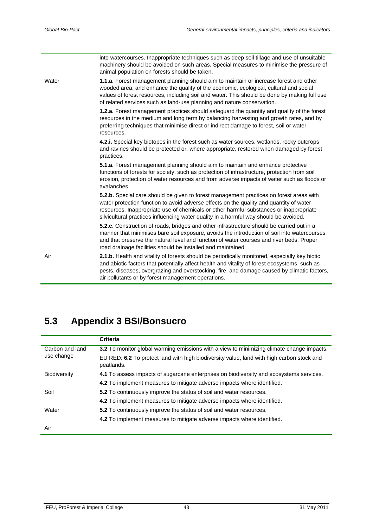|       | into watercourses. Inappropriate techniques such as deep soil tillage and use of unsuitable<br>machinery should be avoided on such areas. Special measures to minimise the pressure of<br>animal population on forests should be taken.                                                                                                                               |
|-------|-----------------------------------------------------------------------------------------------------------------------------------------------------------------------------------------------------------------------------------------------------------------------------------------------------------------------------------------------------------------------|
| Water | <b>1.1.a.</b> Forest management planning should aim to maintain or increase forest and other<br>wooded area, and enhance the quality of the economic, ecological, cultural and social<br>values of forest resources, including soil and water. This should be done by making full use<br>of related services such as land-use planning and nature conservation.       |
|       | 1.2.a. Forest management practices should safeguard the quantity and quality of the forest<br>resources in the medium and long term by balancing harvesting and growth rates, and by<br>preferring techniques that minimise direct or indirect damage to forest, soil or water<br>resources.                                                                          |
|       | 4.2.i. Special key biotopes in the forest such as water sources, wetlands, rocky outcrops<br>and ravines should be protected or, where appropriate, restored when damaged by forest<br>practices.                                                                                                                                                                     |
|       | 5.1.a. Forest management planning should aim to maintain and enhance protective<br>functions of forests for society, such as protection of infrastructure, protection from soil<br>erosion, protection of water resources and from adverse impacts of water such as floods or<br>avalanches.                                                                          |
|       | 5.2.b. Special care should be given to forest management practices on forest areas with<br>water protection function to avoid adverse effects on the quality and quantity of water<br>resources. Inappropriate use of chemicals or other harmful substances or inappropriate<br>silvicultural practices influencing water quality in a harmful way should be avoided. |
|       | <b>5.2.c.</b> Construction of roads, bridges and other infrastructure should be carried out in a<br>manner that minimises bare soil exposure, avoids the introduction of soil into watercourses<br>and that preserve the natural level and function of water courses and river beds. Proper<br>road drainage facilities should be installed and maintained.           |
| Air   | 2.1.b. Health and vitality of forests should be periodically monitored, especially key biotic<br>and abiotic factors that potentially affect health and vitality of forest ecosystems, such as<br>pests, diseases, overgrazing and overstocking, fire, and damage caused by climatic factors,<br>air pollutants or by forest management operations.                   |

## <span id="page-48-0"></span>**5.3 Appendix 3 BSI/Bonsucro**

|                     | <b>Criteria</b>                                                                                         |
|---------------------|---------------------------------------------------------------------------------------------------------|
| Carbon and land     | 3.2 To monitor global warming emissions with a view to minimizing climate change impacts.               |
| use change          | EU RED: 6.2 To protect land with high biodiversity value, land with high carbon stock and<br>peatlands. |
| <b>Biodiversity</b> | 4.1 To assess impacts of sugarcane enterprises on biodiversity and ecosystems services.                 |
|                     | 4.2 To implement measures to mitigate adverse impacts where identified.                                 |
| Soil                | <b>5.2</b> To continuously improve the status of soil and water resources.                              |
|                     | 4.2 To implement measures to mitigate adverse impacts where identified.                                 |
| Water               | 5.2 To continuously improve the status of soil and water resources.                                     |
|                     | 4.2 To implement measures to mitigate adverse impacts where identified.                                 |
| Air                 |                                                                                                         |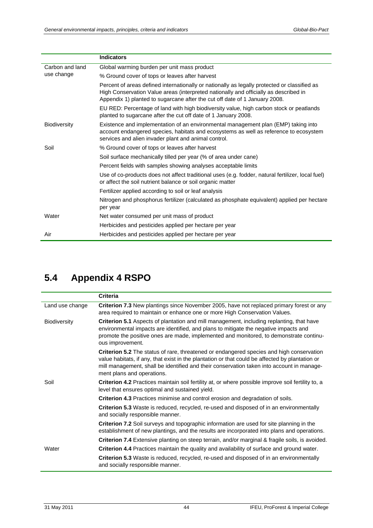|                 | <b>Indicators</b>                                                                                                                                                                                                                                                  |
|-----------------|--------------------------------------------------------------------------------------------------------------------------------------------------------------------------------------------------------------------------------------------------------------------|
| Carbon and land | Global warming burden per unit mass product                                                                                                                                                                                                                        |
| use change      | % Ground cover of tops or leaves after harvest                                                                                                                                                                                                                     |
|                 | Percent of areas defined internationally or nationally as legally protected or classified as<br>High Conservation Value areas (interpreted nationally and officially as described in<br>Appendix 1) planted to sugarcane after the cut off date of 1 January 2008. |
|                 | EU RED: Percentage of land with high biodiversity value, high carbon stock or peatlands<br>planted to sugarcane after the cut off date of 1 January 2008.                                                                                                          |
| Biodiversity    | Existence and implementation of an environmental management plan (EMP) taking into<br>account endangered species, habitats and ecosystems as well as reference to ecosystem<br>services and alien invader plant and animal control.                                |
| Soil            | % Ground cover of tops or leaves after harvest                                                                                                                                                                                                                     |
|                 | Soil surface mechanically tilled per year (% of area under cane)                                                                                                                                                                                                   |
|                 | Percent fields with samples showing analyses acceptable limits                                                                                                                                                                                                     |
|                 | Use of co-products does not affect traditional uses (e.g. fodder, natural fertilizer, local fuel)<br>or affect the soil nutrient balance or soil organic matter                                                                                                    |
|                 | Fertilizer applied according to soil or leaf analysis                                                                                                                                                                                                              |
|                 | Nitrogen and phosphorus fertilizer (calculated as phosphate equivalent) applied per hectare<br>per year                                                                                                                                                            |
| Water           | Net water consumed per unit mass of product                                                                                                                                                                                                                        |
|                 | Herbicides and pesticides applied per hectare per year                                                                                                                                                                                                             |
| Air             | Herbicides and pesticides applied per hectare per year                                                                                                                                                                                                             |

## **5.4 Appendix 4 RSPO**

<span id="page-49-0"></span>

|                     | <b>Criteria</b>                                                                                                                                                                                                                                                                                                               |
|---------------------|-------------------------------------------------------------------------------------------------------------------------------------------------------------------------------------------------------------------------------------------------------------------------------------------------------------------------------|
| Land use change     | <b>Criterion 7.3</b> New plantings since November 2005, have not replaced primary forest or any<br>area required to maintain or enhance one or more High Conservation Values.                                                                                                                                                 |
| <b>Biodiversity</b> | <b>Criterion 5.1</b> Aspects of plantation and mill management, including replanting, that have<br>environmental impacts are identified, and plans to mitigate the negative impacts and<br>promote the positive ones are made, implemented and monitored, to demonstrate continu-<br>ous improvement.                         |
|                     | <b>Criterion 5.2</b> The status of rare, threatened or endangered species and high conservation<br>value habitats, if any, that exist in the plantation or that could be affected by plantation or<br>mill management, shall be identified and their conservation taken into account in manage-<br>ment plans and operations. |
| Soil                | <b>Criterion 4.2</b> Practices maintain soil fertility at, or where possible improve soil fertility to, a<br>level that ensures optimal and sustained yield.                                                                                                                                                                  |
|                     | <b>Criterion 4.3</b> Practices minimise and control erosion and degradation of soils.                                                                                                                                                                                                                                         |
|                     | <b>Criterion 5.3</b> Waste is reduced, recycled, re-used and disposed of in an environmentally<br>and socially responsible manner.                                                                                                                                                                                            |
|                     | Criterion 7.2 Soil surveys and topographic information are used for site planning in the<br>establishment of new plantings, and the results are incorporated into plans and operations.                                                                                                                                       |
|                     | <b>Criterion 7.4</b> Extensive planting on steep terrain, and/or marginal & fragile soils, is avoided.                                                                                                                                                                                                                        |
| Water               | Criterion 4.4 Practices maintain the quality and availability of surface and ground water.                                                                                                                                                                                                                                    |
|                     | Criterion 5.3 Waste is reduced, recycled, re-used and disposed of in an environmentally<br>and socially responsible manner.                                                                                                                                                                                                   |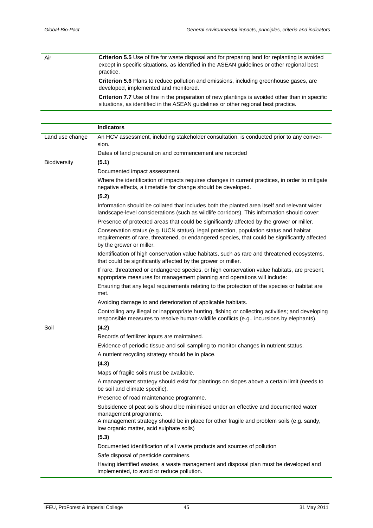Air **Criterion 5.5** Use of fire for waste disposal and for preparing land for replanting is avoided except in specific situations, as identified in the ASEAN guidelines or other regional best practice. **Criterion 5.6** Plans to reduce pollution and emissions, including greenhouse gases, are developed, implemented and monitored. **Criterion 7.7** Use of fire in the preparation of new plantings is avoided other than in specific situations, as identified in the ASEAN guidelines or other regional best practice.

|                 | <b>Indicators</b>                                                                                                                                                                                                    |
|-----------------|----------------------------------------------------------------------------------------------------------------------------------------------------------------------------------------------------------------------|
| Land use change | An HCV assessment, including stakeholder consultation, is conducted prior to any conver-<br>sion.                                                                                                                    |
|                 | Dates of land preparation and commencement are recorded                                                                                                                                                              |
| Biodiversity    | (5.1)                                                                                                                                                                                                                |
|                 | Documented impact assessment.                                                                                                                                                                                        |
|                 | Where the identification of impacts requires changes in current practices, in order to mitigate<br>negative effects, a timetable for change should be developed.                                                     |
|                 | (5.2)                                                                                                                                                                                                                |
|                 | Information should be collated that includes both the planted area itself and relevant wider<br>landscape-level considerations (such as wildlife corridors). This information should cover:                          |
|                 | Presence of protected areas that could be significantly affected by the grower or miller.                                                                                                                            |
|                 | Conservation status (e.g. IUCN status), legal protection, population status and habitat<br>requirements of rare, threatened, or endangered species, that could be significantly affected<br>by the grower or miller. |
|                 | Identification of high conservation value habitats, such as rare and threatened ecosystems,<br>that could be significantly affected by the grower or miller.                                                         |
|                 | If rare, threatened or endangered species, or high conservation value habitats, are present,<br>appropriate measures for management planning and operations will include:                                            |
|                 | Ensuring that any legal requirements relating to the protection of the species or habitat are<br>met.                                                                                                                |
|                 | Avoiding damage to and deterioration of applicable habitats.                                                                                                                                                         |
|                 | Controlling any illegal or inappropriate hunting, fishing or collecting activities; and developing<br>responsible measures to resolve human-wildlife conflicts (e.g., incursions by elephants).                      |
| Soil            | (4.2)                                                                                                                                                                                                                |
|                 | Records of fertilizer inputs are maintained.                                                                                                                                                                         |
|                 | Evidence of periodic tissue and soil sampling to monitor changes in nutrient status.                                                                                                                                 |
|                 | A nutrient recycling strategy should be in place.                                                                                                                                                                    |
|                 | (4.3)                                                                                                                                                                                                                |
|                 | Maps of fragile soils must be available.                                                                                                                                                                             |
|                 | A management strategy should exist for plantings on slopes above a certain limit (needs to<br>be soil and climate specific).                                                                                         |
|                 | Presence of road maintenance programme.                                                                                                                                                                              |
|                 | Subsidence of peat soils should be minimised under an effective and documented water<br>management programme.<br>A management strategy should be in place for other fragile and problem soils (e.g. sandy,           |
|                 | low organic matter, acid sulphate soils)                                                                                                                                                                             |
|                 | (5.3)                                                                                                                                                                                                                |
|                 | Documented identification of all waste products and sources of pollution                                                                                                                                             |
|                 | Safe disposal of pesticide containers.                                                                                                                                                                               |
|                 | Having identified wastes, a waste management and disposal plan must be developed and<br>implemented, to avoid or reduce pollution.                                                                                   |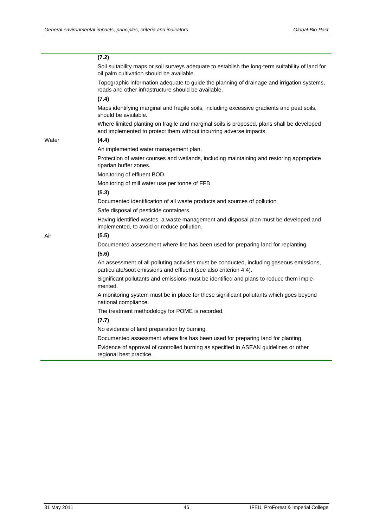|       | (7.2)                                                                                                                                                            |
|-------|------------------------------------------------------------------------------------------------------------------------------------------------------------------|
|       | Soil suitability maps or soil surveys adequate to establish the long-term suitability of land for<br>oil palm cultivation should be available.                   |
|       | Topographic information adequate to guide the planning of drainage and irrigation systems,<br>roads and other infrastructure should be available.                |
|       | (7.4)                                                                                                                                                            |
|       | Maps identifying marginal and fragile soils, including excessive gradients and peat soils,<br>should be available.                                               |
|       | Where limited planting on fragile and marginal soils is proposed, plans shall be developed<br>and implemented to protect them without incurring adverse impacts. |
| Water | (4.4)                                                                                                                                                            |
|       | An implemented water management plan.                                                                                                                            |
|       | Protection of water courses and wetlands, including maintaining and restoring appropriate<br>riparian buffer zones.                                              |
|       | Monitoring of effluent BOD.                                                                                                                                      |
|       | Monitoring of mill water use per tonne of FFB                                                                                                                    |
|       | (5.3)                                                                                                                                                            |
|       | Documented identification of all waste products and sources of pollution                                                                                         |
|       | Safe disposal of pesticide containers.                                                                                                                           |
|       | Having identified wastes, a waste management and disposal plan must be developed and<br>implemented, to avoid or reduce pollution.                               |
| Air   | (5.5)                                                                                                                                                            |
|       | Documented assessment where fire has been used for preparing land for replanting.                                                                                |
|       | (5.6)                                                                                                                                                            |
|       | An assessment of all polluting activities must be conducted, including gaseous emissions,<br>particulate/soot emissions and effluent (see also criterion 4.4).   |
|       | Significant pollutants and emissions must be identified and plans to reduce them imple-<br>mented.                                                               |
|       | A monitoring system must be in place for these significant pollutants which goes beyond<br>national compliance.                                                  |
|       | The treatment methodology for POME is recorded.                                                                                                                  |
|       | (7.7)                                                                                                                                                            |
|       | No evidence of land preparation by burning.                                                                                                                      |
|       | Documented assessment where fire has been used for preparing land for planting.                                                                                  |
|       | Evidence of approval of controlled burning as specified in ASEAN guidelines or other<br>regional best practice.                                                  |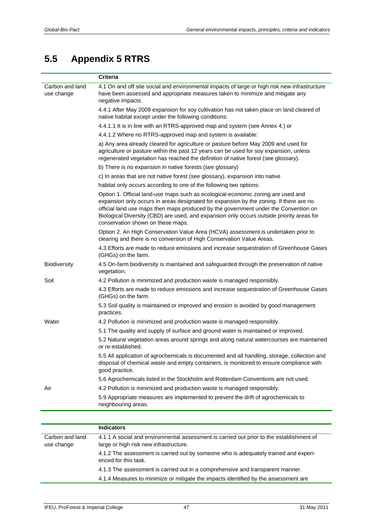## **5.5 Appendix 5 RTRS**

<span id="page-52-0"></span>

|                               | <b>Criteria</b>                                                                                                                                                                                                                                                                                                                                                                                     |
|-------------------------------|-----------------------------------------------------------------------------------------------------------------------------------------------------------------------------------------------------------------------------------------------------------------------------------------------------------------------------------------------------------------------------------------------------|
| Carbon and land<br>use change | 4.1 On and off site social and environmental impacts of large or high risk new infrastructure<br>have been assessed and appropriate measures taken to minimize and mitigate any<br>negative impacts.                                                                                                                                                                                                |
|                               | 4.4.1 After May 2009 expansion for soy cultivation has not taken place on land cleared of<br>native habitat except under the following conditions:                                                                                                                                                                                                                                                  |
|                               | 4.4.1.1 It is in line with an RTRS-approved map and system (see Annex 4.) or                                                                                                                                                                                                                                                                                                                        |
|                               | 4.4.1.2 Where no RTRS-approved map and system is available:                                                                                                                                                                                                                                                                                                                                         |
|                               | a) Any area already cleared for agriculture or pasture before May 2009 and used for<br>agriculture or pasture within the past 12 years can be used for soy expansion, unless<br>regenerated vegetation has reached the definition of native forest (see glossary).                                                                                                                                  |
|                               | b) There is no expansion in native forests (see glossary)                                                                                                                                                                                                                                                                                                                                           |
|                               | c) In areas that are not native forest (see glossary), expansion into native                                                                                                                                                                                                                                                                                                                        |
|                               | habitat only occurs according to one of the following two options:                                                                                                                                                                                                                                                                                                                                  |
|                               | Option 1. Official land-use maps such as ecological-economic zoning are used and<br>expansion only occurs in areas designated for expansion by the zoning. If there are no<br>official land use maps then maps produced by the government under the Convention on<br>Biological Diversity (CBD) are used, and expansion only occurs outside priority areas for<br>conservation shown on these maps. |
|                               | Option 2. An High Conservation Value Area (HCVA) assessment is undertaken prior to<br>clearing and there is no conversion of High Conservation Value Areas.                                                                                                                                                                                                                                         |
|                               | 4.3 Efforts are made to reduce emissions and increase sequestration of Greenhouse Gases<br>(GHGs) on the farm.                                                                                                                                                                                                                                                                                      |
| Biodiversity                  | 4.5 On-farm biodiversity is maintained and safeguarded through the preservation of native<br>vegetation.                                                                                                                                                                                                                                                                                            |
| Soil                          | 4.2 Pollution is minimized and production waste is managed responsibly.                                                                                                                                                                                                                                                                                                                             |
|                               | 4.3 Efforts are made to reduce emissions and increase sequestration of Greenhouse Gases<br>(GHGs) on the farm.                                                                                                                                                                                                                                                                                      |
|                               | 5.3 Soil quality is maintained or improved and erosion is avoided by good management<br>practices.                                                                                                                                                                                                                                                                                                  |
| Water                         | 4.2 Pollution is minimized and production waste is managed responsibly.                                                                                                                                                                                                                                                                                                                             |
|                               | 5.1 The quality and supply of surface and ground water is maintained or improved.                                                                                                                                                                                                                                                                                                                   |
|                               | 5.2 Natural vegetation areas around springs and along natural watercourses are maintained<br>or re-established.                                                                                                                                                                                                                                                                                     |
|                               | 5.5 All application of agrochemicals is documented and all handling, storage, collection and<br>disposal of chemical waste and empty containers, is monitored to ensure compliance with<br>good practice.                                                                                                                                                                                           |
|                               | 5.6 Agrochemicals listed in the Stockholm and Rotterdam Conventions are not used.                                                                                                                                                                                                                                                                                                                   |
| Air                           | 4.2 Pollution is minimized and production waste is managed responsibly.                                                                                                                                                                                                                                                                                                                             |
|                               | 5.9 Appropriate measures are implemented to prevent the drift of agrochemicals to<br>neighbouring areas.                                                                                                                                                                                                                                                                                            |
|                               |                                                                                                                                                                                                                                                                                                                                                                                                     |
|                               |                                                                                                                                                                                                                                                                                                                                                                                                     |

|                               | <b>Indicators</b>                                                                                                                  |
|-------------------------------|------------------------------------------------------------------------------------------------------------------------------------|
| Carbon and land<br>use change | 4.1.1 A social and environmental assessment is carried out prior to the establishment of<br>large or high risk new infrastructure. |
|                               | 4.1.2 The assessment is carried out by someone who is adequately trained and experi-<br>enced for this task.                       |
|                               | 4.1.3 The assessment is carried out in a comprehensive and transparent manner.                                                     |
|                               | 4.1.4 Measures to minimize or mitigate the impacts identified by the assessment are                                                |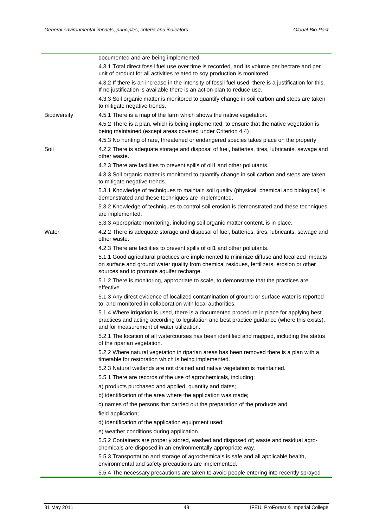|              | documented and are being implemented.                                                                                                                                                                                                    |
|--------------|------------------------------------------------------------------------------------------------------------------------------------------------------------------------------------------------------------------------------------------|
|              | 4.3.1 Total direct fossil fuel use over time is recorded, and its volume per hectare and per                                                                                                                                             |
|              | unit of product for all activities related to soy production is monitored.                                                                                                                                                               |
|              | 4.3.2 If there is an increase in the intensity of fossil fuel used, there is a justification for this.<br>If no justification is available there is an action plan to reduce use.                                                        |
|              | 4.3.3 Soil organic matter is monitored to quantify change in soil carbon and steps are taken<br>to mitigate negative trends.                                                                                                             |
| Biodiversity | 4.5.1 There is a map of the farm which shows the native vegetation.                                                                                                                                                                      |
|              | 4.5.2 There is a plan, which is being implemented, to ensure that the native vegetation is<br>being maintained (except areas covered under Criterion 4.4)                                                                                |
|              | 4.5.3 No hunting of rare, threatened or endangered species takes place on the property                                                                                                                                                   |
| Soil         | 4.2.2 There is adequate storage and disposal of fuel, batteries, tires, lubricants, sewage and<br>other waste.                                                                                                                           |
|              | 4.2.3 There are facilities to prevent spills of oil1 and other pollutants.                                                                                                                                                               |
|              | 4.3.3 Soil organic matter is monitored to quantify change in soil carbon and steps are taken<br>to mitigate negative trends.                                                                                                             |
|              | 5.3.1 Knowledge of techniques to maintain soil quality (physical, chemical and biological) is<br>demonstrated and these techniques are implemented.                                                                                      |
|              | 5.3.2 Knowledge of techniques to control soil erosion is demonstrated and these techniques<br>are implemented.                                                                                                                           |
|              | 5.3.3 Appropriate monitoring, including soil organic matter content, is in place.                                                                                                                                                        |
| Water        | 4.2.2 There is adequate storage and disposal of fuel, batteries, tires, lubricants, sewage and<br>other waste.                                                                                                                           |
|              | 4.2.3 There are facilities to prevent spills of oil1 and other pollutants.                                                                                                                                                               |
|              | 5.1.1 Good agricultural practices are implemented to minimize diffuse and localized impacts<br>on surface and ground water quality from chemical residues, fertilizers, erosion or other<br>sources and to promote aquifer recharge.     |
|              | 5.1.2 There is monitoring, appropriate to scale, to demonstrate that the practices are<br>effective.                                                                                                                                     |
|              | 5.1.3 Any direct evidence of localized contamination of ground or surface water is reported<br>to, and monitored in collaboration with local authorities.                                                                                |
|              | 5.1.4 Where irrigation is used, there is a documented procedure in place for applying best<br>practices and acting according to legislation and best practice guidance (where this exists),<br>and for measurement of water utilization. |
|              | 5.2.1 The location of all watercourses has been identified and mapped, including the status<br>of the riparian vegetation.                                                                                                               |
|              | 5.2.2 Where natural vegetation in riparian areas has been removed there is a plan with a<br>timetable for restoration which is being implemented.                                                                                        |
|              | 5.2.3 Natural wetlands are not drained and native vegetation is maintained.                                                                                                                                                              |
|              | 5.5.1 There are records of the use of agrochemicals, including:                                                                                                                                                                          |
|              | a) products purchased and applied, quantity and dates;                                                                                                                                                                                   |
|              | b) identification of the area where the application was made;                                                                                                                                                                            |
|              | c) names of the persons that carried out the preparation of the products and                                                                                                                                                             |
|              | field application;                                                                                                                                                                                                                       |
|              | d) identification of the application equipment used;                                                                                                                                                                                     |
|              | e) weather conditions during application.                                                                                                                                                                                                |
|              | 5.5.2 Containers are properly stored, washed and disposed of; waste and residual agro-<br>chemicals are disposed in an environmentally appropriate way.                                                                                  |
|              | 5.5.3 Transportation and storage of agrochemicals is safe and all applicable health,<br>environmental and safety precautions are implemented.                                                                                            |
|              | 5.5.4 The necessary precautions are taken to avoid people entering into recently sprayed                                                                                                                                                 |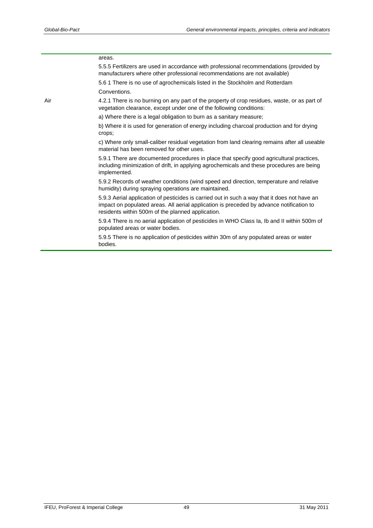|     | areas.                                                                                                                                                                                                                                        |
|-----|-----------------------------------------------------------------------------------------------------------------------------------------------------------------------------------------------------------------------------------------------|
|     | 5.5.5 Fertilizers are used in accordance with professional recommendations (provided by<br>manufacturers where other professional recommendations are not available)                                                                          |
|     | 5.6 1 There is no use of agrochemicals listed in the Stockholm and Rotterdam                                                                                                                                                                  |
|     | Conventions.                                                                                                                                                                                                                                  |
| Air | 4.2.1 There is no burning on any part of the property of crop residues, waste, or as part of<br>vegetation clearance, except under one of the following conditions:                                                                           |
|     | a) Where there is a legal obligation to burn as a sanitary measure;                                                                                                                                                                           |
|     | b) Where it is used for generation of energy including charcoal production and for drying<br>crops;                                                                                                                                           |
|     | c) Where only small-caliber residual vegetation from land clearing remains after all useable<br>material has been removed for other uses.                                                                                                     |
|     | 5.9.1 There are documented procedures in place that specify good agricultural practices,<br>including minimization of drift, in applying agrochemicals and these procedures are being<br>implemented.                                         |
|     | 5.9.2 Records of weather conditions (wind speed and direction, temperature and relative<br>humidity) during spraying operations are maintained.                                                                                               |
|     | 5.9.3 Aerial application of pesticides is carried out in such a way that it does not have an<br>impact on populated areas. All aerial application is preceded by advance notification to<br>residents within 500m of the planned application. |
|     | 5.9.4 There is no aerial application of pesticides in WHO Class Ia, Ib and II within 500m of<br>populated areas or water bodies.                                                                                                              |
|     | 5.9.5 There is no application of pesticides within 30m of any populated areas or water<br>bodies.                                                                                                                                             |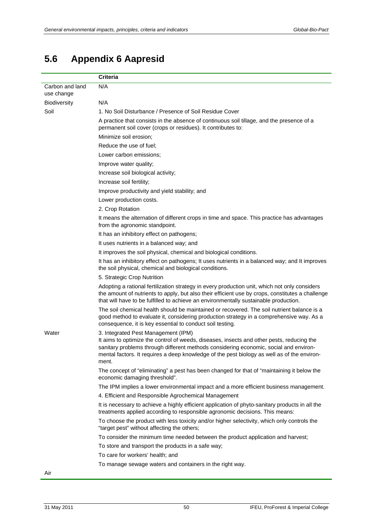## <span id="page-55-0"></span>**5.6 Appendix 6 Aapresid**

l, l.

|                               | Criteria                                                                                                                                                                                                                                                                                                                          |  |  |
|-------------------------------|-----------------------------------------------------------------------------------------------------------------------------------------------------------------------------------------------------------------------------------------------------------------------------------------------------------------------------------|--|--|
| Carbon and land<br>use change | N/A                                                                                                                                                                                                                                                                                                                               |  |  |
| Biodiversity                  | N/A                                                                                                                                                                                                                                                                                                                               |  |  |
| Soil                          | 1. No Soil Disturbance / Presence of Soil Residue Cover                                                                                                                                                                                                                                                                           |  |  |
|                               | A practice that consists in the absence of continuous soil tillage, and the presence of a<br>permanent soil cover (crops or residues). It contributes to:                                                                                                                                                                         |  |  |
|                               | Minimize soil erosion;                                                                                                                                                                                                                                                                                                            |  |  |
|                               | Reduce the use of fuel:                                                                                                                                                                                                                                                                                                           |  |  |
|                               | Lower carbon emissions;                                                                                                                                                                                                                                                                                                           |  |  |
|                               | Improve water quality;                                                                                                                                                                                                                                                                                                            |  |  |
|                               | Increase soil biological activity;                                                                                                                                                                                                                                                                                                |  |  |
|                               | Increase soil fertility;                                                                                                                                                                                                                                                                                                          |  |  |
|                               | Improve productivity and yield stability; and                                                                                                                                                                                                                                                                                     |  |  |
|                               | Lower production costs.                                                                                                                                                                                                                                                                                                           |  |  |
|                               | 2. Crop Rotation                                                                                                                                                                                                                                                                                                                  |  |  |
|                               | It means the alternation of different crops in time and space. This practice has advantages<br>from the agronomic standpoint.                                                                                                                                                                                                     |  |  |
|                               | It has an inhibitory effect on pathogens;                                                                                                                                                                                                                                                                                         |  |  |
|                               | It uses nutrients in a balanced way; and                                                                                                                                                                                                                                                                                          |  |  |
|                               | It improves the soil physical, chemical and biological conditions.                                                                                                                                                                                                                                                                |  |  |
|                               | It has an inhibitory effect on pathogens; It uses nutrients in a balanced way; and It improves<br>the soil physical, chemical and biological conditions.                                                                                                                                                                          |  |  |
|                               | 5. Strategic Crop Nutrition                                                                                                                                                                                                                                                                                                       |  |  |
|                               | Adopting a rational fertilization strategy in every production unit, which not only considers<br>the amount of nutrients to apply, but also their efficient use by crops, constitutes a challenge<br>that will have to be fulfilled to achieve an environmentally sustainable production.                                         |  |  |
|                               | The soil chemical health should be maintained or recovered. The soil nutrient balance is a<br>good method to evaluate it, considering production strategy in a comprehensive way. As a<br>consequence, it is key essential to conduct soil testing.                                                                               |  |  |
| Water                         | 3. Integrated Pest Management (IPM)<br>It aims to optimize the control of weeds, diseases, insects and other pests, reducing the<br>sanitary problems through different methods considering economic, social and environ-<br>mental factors. It requires a deep knowledge of the pest biology as well as of the environ-<br>ment. |  |  |
|                               | The concept of "eliminating" a pest has been changed for that of "maintaining it below the<br>economic damaging threshold".                                                                                                                                                                                                       |  |  |
|                               | The IPM implies a lower environmental impact and a more efficient business management.                                                                                                                                                                                                                                            |  |  |
|                               | 4. Efficient and Responsible Agrochemical Management                                                                                                                                                                                                                                                                              |  |  |
|                               | It is necessary to achieve a highly efficient application of phyto-sanitary products in all the<br>treatments applied according to responsible agronomic decisions. This means:                                                                                                                                                   |  |  |
|                               | To choose the product with less toxicity and/or higher selectivity, which only controls the<br>"target pest" without affecting the others;                                                                                                                                                                                        |  |  |
|                               | To consider the minimum time needed between the product application and harvest;                                                                                                                                                                                                                                                  |  |  |
|                               | To store and transport the products in a safe way;                                                                                                                                                                                                                                                                                |  |  |
|                               | To care for workers' health; and                                                                                                                                                                                                                                                                                                  |  |  |
|                               | To manage sewage waters and containers in the right way.                                                                                                                                                                                                                                                                          |  |  |
| Air                           |                                                                                                                                                                                                                                                                                                                                   |  |  |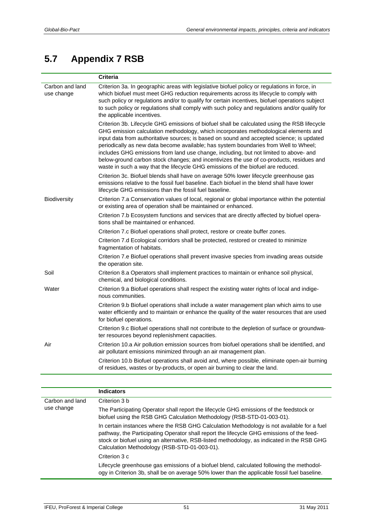## <span id="page-56-0"></span>**5.7 Appendix 7 RSB**

|                               | <b>Criteria</b>                                                                                                                                                                                                                                                                                                                                                                                                                                                                                                                                                                                                                                    |
|-------------------------------|----------------------------------------------------------------------------------------------------------------------------------------------------------------------------------------------------------------------------------------------------------------------------------------------------------------------------------------------------------------------------------------------------------------------------------------------------------------------------------------------------------------------------------------------------------------------------------------------------------------------------------------------------|
| Carbon and land<br>use change | Criterion 3a. In geographic areas with legislative biofuel policy or regulations in force, in<br>which biofuel must meet GHG reduction requirements across its lifecycle to comply with<br>such policy or regulations and/or to qualify for certain incentives, biofuel operations subject<br>to such policy or regulations shall comply with such policy and regulations and/or qualify for<br>the applicable incentives.                                                                                                                                                                                                                         |
|                               | Criterion 3b. Lifecycle GHG emissions of biofuel shall be calculated using the RSB lifecycle<br>GHG emission calculation methodology, which incorporates methodological elements and<br>input data from authoritative sources; is based on sound and accepted science; is updated<br>periodically as new data become available; has system boundaries from Well to Wheel;<br>includes GHG emissions from land use change, including, but not limited to above- and<br>below-ground carbon stock changes; and incentivizes the use of co-products, residues and<br>waste in such a way that the lifecycle GHG emissions of the biofuel are reduced. |
|                               | Criterion 3c. Biofuel blends shall have on average 50% lower lifecycle greenhouse gas<br>emissions relative to the fossil fuel baseline. Each biofuel in the blend shall have lower<br>lifecycle GHG emissions than the fossil fuel baseline.                                                                                                                                                                                                                                                                                                                                                                                                      |
| Biodiversity                  | Criterion 7.a Conservation values of local, regional or global importance within the potential<br>or existing area of operation shall be maintained or enhanced.                                                                                                                                                                                                                                                                                                                                                                                                                                                                                   |
|                               | Criterion 7.b Ecosystem functions and services that are directly affected by biofuel opera-<br>tions shall be maintained or enhanced.                                                                                                                                                                                                                                                                                                                                                                                                                                                                                                              |
|                               | Criterion 7.c Biofuel operations shall protect, restore or create buffer zones.                                                                                                                                                                                                                                                                                                                                                                                                                                                                                                                                                                    |
|                               | Criterion 7.d Ecological corridors shall be protected, restored or created to minimize<br>fragmentation of habitats.                                                                                                                                                                                                                                                                                                                                                                                                                                                                                                                               |
|                               | Criterion 7.e Biofuel operations shall prevent invasive species from invading areas outside<br>the operation site.                                                                                                                                                                                                                                                                                                                                                                                                                                                                                                                                 |
| Soil                          | Criterion 8.a Operators shall implement practices to maintain or enhance soil physical,<br>chemical, and biological conditions.                                                                                                                                                                                                                                                                                                                                                                                                                                                                                                                    |
| Water                         | Criterion 9.a Biofuel operations shall respect the existing water rights of local and indige-<br>nous communities.                                                                                                                                                                                                                                                                                                                                                                                                                                                                                                                                 |
|                               | Criterion 9.b Biofuel operations shall include a water management plan which aims to use<br>water efficiently and to maintain or enhance the quality of the water resources that are used<br>for biofuel operations.                                                                                                                                                                                                                                                                                                                                                                                                                               |
|                               | Criterion 9.c Biofuel operations shall not contribute to the depletion of surface or groundwa-<br>ter resources beyond replenishment capacities.                                                                                                                                                                                                                                                                                                                                                                                                                                                                                                   |
| Air                           | Criterion 10.a Air pollution emission sources from biofuel operations shall be identified, and<br>air pollutant emissions minimized through an air management plan.                                                                                                                                                                                                                                                                                                                                                                                                                                                                                |
|                               | Criterion 10.b Biofuel operations shall avoid and, where possible, eliminate open-air burning<br>of residues, wastes or by-products, or open air burning to clear the land.                                                                                                                                                                                                                                                                                                                                                                                                                                                                        |

|                               | <b>Indicators</b>                                                                                                                                                                                                                                                                                                                     |
|-------------------------------|---------------------------------------------------------------------------------------------------------------------------------------------------------------------------------------------------------------------------------------------------------------------------------------------------------------------------------------|
| Carbon and land<br>use change | Criterion 3 b                                                                                                                                                                                                                                                                                                                         |
|                               | The Participating Operator shall report the lifecycle GHG emissions of the feedstock or<br>biofuel using the RSB GHG Calculation Methodology (RSB-STD-01-003-01).                                                                                                                                                                     |
|                               | In certain instances where the RSB GHG Calculation Methodology is not available for a fuel<br>pathway, the Participating Operator shall report the lifecycle GHG emissions of the feed-<br>stock or biofuel using an alternative, RSB-listed methodology, as indicated in the RSB GHG<br>Calculation Methodology (RSB-STD-01-003-01). |
|                               | Criterion 3 c                                                                                                                                                                                                                                                                                                                         |
|                               | Lifecycle greenhouse gas emissions of a biofuel blend, calculated following the methodol-<br>ogy in Criterion 3b, shall be on average 50% lower than the applicable fossil fuel baseline.                                                                                                                                             |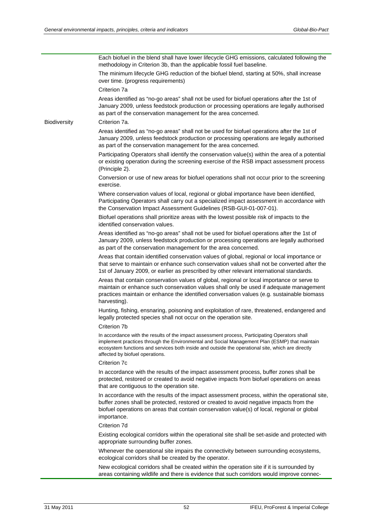Each biofuel in the blend shall have lower lifecycle GHG emissions, calculated following the methodology in Criterion 3b, than the applicable fossil fuel baseline. The minimum lifecycle GHG reduction of the biofuel blend, starting at 50%, shall increase over time. (progress requirements) Criterion 7a Areas identified as "no-go areas" shall not be used for biofuel operations after the 1st of January 2009, unless feedstock production or processing operations are legally authorised as part of the conservation management for the area concerned. Biodiversity Criterion 7a. Areas identified as "no-go areas" shall not be used for biofuel operations after the 1st of January 2009, unless feedstock production or processing operations are legally authorised as part of the conservation management for the area concerned. Participating Operators shall identify the conservation value(s) within the area of a potential or existing operation during the screening exercise of the RSB impact assessment process (Principle 2). Conversion or use of new areas for biofuel operations shall not occur prior to the screening exercise. Where conservation values of local, regional or global importance have been identified, Participating Operators shall carry out a specialized impact assessment in accordance with the Conservation Impact Assessment Guidelines (RSB-GUI-01-007-01). Biofuel operations shall prioritize areas with the lowest possible risk of impacts to the identified conservation values. Areas identified as "no-go areas" shall not be used for biofuel operations after the 1st of January 2009, unless feedstock production or processing operations are legally authorised as part of the conservation management for the area concerned. Areas that contain identified conservation values of global, regional or local importance or that serve to maintain or enhance such conservation values shall not be converted after the 1st of January 2009, or earlier as prescribed by other relevant international standards. Areas that contain conservation values of global, regional or local importance or serve to maintain or enhance such conservation values shall only be used if adequate management practices maintain or enhance the identified conversation values (e.g. sustainable biomass harvesting). Hunting, fishing, ensnaring, poisoning and exploitation of rare, threatened, endangered and legally protected species shall not occur on the operation site. Criterion 7b In accordance with the results of the impact assessment process, Participating Operators shall implement practices through the Environmental and Social Management Plan (ESMP) that maintain ecosystem functions and services both inside and outside the operational site, which are directly affected by biofuel operations. Criterion 7c In accordance with the results of the impact assessment process, buffer zones shall be protected, restored or created to avoid negative impacts from biofuel operations on areas that are contiguous to the operation site. In accordance with the results of the impact assessment process, within the operational site, buffer zones shall be protected, restored or created to avoid negative impacts from the biofuel operations on areas that contain conservation value(s) of local, regional or global importance. Criterion 7d Existing ecological corridors within the operational site shall be set-aside and protected with appropriate surrounding buffer zones. Whenever the operational site impairs the connectivity between surrounding ecosystems, ecological corridors shall be created by the operator. New ecological corridors shall be created within the operation site if it is surrounded by areas containing wildlife and there is evidence that such corridors would improve connec-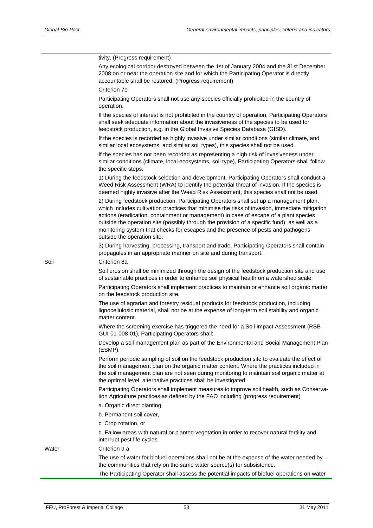|       | tivity. (Progress requirement)                                                                                                                                                                                                                                                                                                                                                                                                                                                                         |
|-------|--------------------------------------------------------------------------------------------------------------------------------------------------------------------------------------------------------------------------------------------------------------------------------------------------------------------------------------------------------------------------------------------------------------------------------------------------------------------------------------------------------|
|       | Any ecological corridor destroyed between the 1st of January 2004 and the 31st December<br>2008 on or near the operation site and for which the Participating Operator is directly<br>accountable shall be restored. (Progress requirement)                                                                                                                                                                                                                                                            |
|       | Criterion 7e                                                                                                                                                                                                                                                                                                                                                                                                                                                                                           |
|       | Participating Operators shall not use any species officially prohibited in the country of<br>operation.                                                                                                                                                                                                                                                                                                                                                                                                |
|       | If the species of interest is not prohibited in the country of operation, Participating Operators<br>shall seek adequate information about the invasiveness of the species to be used for<br>feedstock production, e.g. in the Global Invasive Species Database (GISD).                                                                                                                                                                                                                                |
|       | If the species is recorded as highly invasive under similar conditions (similar climate, and<br>similar local ecosystems, and similar soil types), this species shall not be used.                                                                                                                                                                                                                                                                                                                     |
|       | If the species has not been recorded as representing a high risk of invasiveness under<br>similar conditions (climate, local ecosystems, soil type), Participating Operators shall follow<br>the specific steps:                                                                                                                                                                                                                                                                                       |
|       | 1) During the feedstock selection and development, Participating Operators shall conduct a<br>Weed Risk Assessment (WRA) to identify the potential threat of invasion. If the species is<br>deemed highly invasive after the Weed Risk Assessment, this species shall not be used.                                                                                                                                                                                                                     |
|       | 2) During feedstock production, Participating Operators shall set up a management plan,<br>which includes cultivation practices that minimise the risks of invasion, immediate mitigation<br>actions (eradication, containment or management) in case of escape of a plant species<br>outside the operation site (possibly through the provision of a specific fund), as well as a<br>monitoring system that checks for escapes and the presence of pests and pathogens<br>outside the operation site. |
|       | 3) During harvesting, processing, transport and trade, Participating Operators shall contain<br>propagules in an appropriate manner on site and during transport.                                                                                                                                                                                                                                                                                                                                      |
| Soil  | Criterion 8a<br>Soil erosion shall be minimized through the design of the feedstock production site and use<br>of sustainable practices in order to enhance soil physical health on a watershed scale.                                                                                                                                                                                                                                                                                                 |
|       | Participating Operators shall implement practices to maintain or enhance soil organic matter<br>on the feedstock production site.                                                                                                                                                                                                                                                                                                                                                                      |
|       | The use of agrarian and forestry residual products for feedstock production, including<br>lignocellulosic material, shall not be at the expense of long-term soil stability and organic<br>matter content.                                                                                                                                                                                                                                                                                             |
|       | Where the screening exercise has triggered the need for a Soil Impact Assessment (RSB-<br>GUI-01-008-01), Participating Operators shall:                                                                                                                                                                                                                                                                                                                                                               |
|       | Develop a soil management plan as part of the Environmental and Social Management Plan<br>(ESMP).                                                                                                                                                                                                                                                                                                                                                                                                      |
|       | Perform periodic sampling of soil on the feedstock production site to evaluate the effect of<br>the soil management plan on the organic matter content. Where the practices included in<br>the soil management plan are not seen during monitoring to maintain soil organic matter at<br>the optimal level, alternative practices shall be investigated.                                                                                                                                               |
|       | Participating Operators shall implement measures to improve soil health, such as Conserva-<br>tion Agriculture practices as defined by the FAO including (progress requirement)                                                                                                                                                                                                                                                                                                                        |
|       | a. Organic direct planting,                                                                                                                                                                                                                                                                                                                                                                                                                                                                            |
|       | b. Permanent soil cover,                                                                                                                                                                                                                                                                                                                                                                                                                                                                               |
|       | c. Crop rotation, or                                                                                                                                                                                                                                                                                                                                                                                                                                                                                   |
|       | d. Fallow areas with natural or planted vegetation in order to recover natural fertility and<br>interrupt pest life cycles.                                                                                                                                                                                                                                                                                                                                                                            |
| Water | Criterion 9 a                                                                                                                                                                                                                                                                                                                                                                                                                                                                                          |
|       | The use of water for biofuel operations shall not be at the expense of the water needed by<br>the communities that rely on the same water source(s) for subsistence.                                                                                                                                                                                                                                                                                                                                   |
|       | The Participating Operator shall assess the potential impacts of biofuel operations on water                                                                                                                                                                                                                                                                                                                                                                                                           |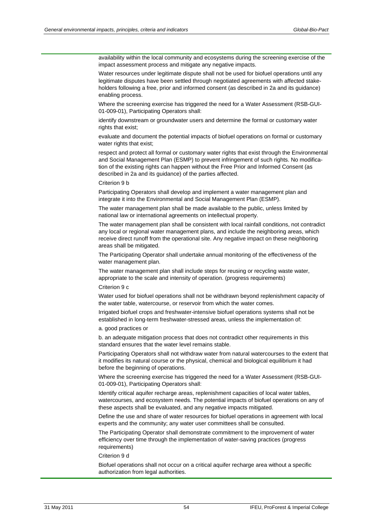availability within the local community and ecosystems during the screening exercise of the impact assessment process and mitigate any negative impacts.

Water resources under legitimate dispute shall not be used for biofuel operations until any legitimate disputes have been settled through negotiated agreements with affected stakeholders following a free, prior and informed consent (as described in 2a and its guidance) enabling process.

Where the screening exercise has triggered the need for a Water Assessment (RSB-GUI-01-009-01), Participating Operators shall:

identify downstream or groundwater users and determine the formal or customary water rights that exist;

evaluate and document the potential impacts of biofuel operations on formal or customary water rights that exist;

respect and protect all formal or customary water rights that exist through the Environmental and Social Management Plan (ESMP) to prevent infringement of such rights. No modification of the existing rights can happen without the Free Prior and Informed Consent (as described in 2a and its guidance) of the parties affected.

Criterion 9 b

Participating Operators shall develop and implement a water management plan and integrate it into the Environmental and Social Management Plan (ESMP).

The water management plan shall be made available to the public, unless limited by national law or international agreements on intellectual property.

The water management plan shall be consistent with local rainfall conditions, not contradict any local or regional water management plans, and include the neighboring areas, which receive direct runoff from the operational site. Any negative impact on these neighboring areas shall be mitigated.

The Participating Operator shall undertake annual monitoring of the effectiveness of the water management plan.

The water management plan shall include steps for reusing or recycling waste water, appropriate to the scale and intensity of operation. (progress requirements)

Criterion 9 c

Water used for biofuel operations shall not be withdrawn beyond replenishment capacity of the water table, watercourse, or reservoir from which the water comes.

Irrigated biofuel crops and freshwater-intensive biofuel operations systems shall not be established in long-term freshwater-stressed areas, unless the implementation of:

a. good practices or

b. an adequate mitigation process that does not contradict other requirements in this standard ensures that the water level remains stable.

Participating Operators shall not withdraw water from natural watercourses to the extent that it modifies its natural course or the physical, chemical and biological equilibrium it had before the beginning of operations.

Where the screening exercise has triggered the need for a Water Assessment (RSB-GUI-01-009-01), Participating Operators shall:

Identify critical aquifer recharge areas, replenishment capacities of local water tables, watercourses, and ecosystem needs. The potential impacts of biofuel operations on any of these aspects shall be evaluated, and any negative impacts mitigated.

Define the use and share of water resources for biofuel operations in agreement with local experts and the community; any water user committees shall be consulted.

The Participating Operator shall demonstrate commitment to the improvement of water efficiency over time through the implementation of water-saving practices (progress requirements)

Criterion 9 d

Biofuel operations shall not occur on a critical aquifer recharge area without a specific authorization from legal authorities.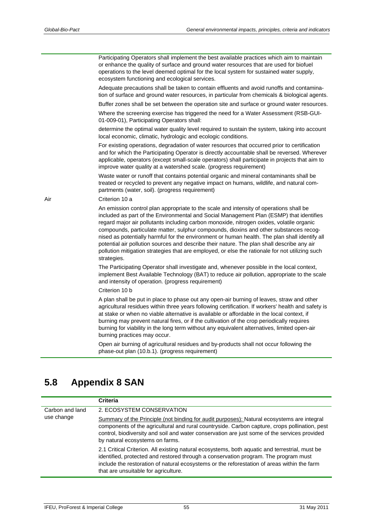Participating Operators shall implement the best available practices which aim to maintain or enhance the quality of surface and ground water resources that are used for biofuel operations to the level deemed optimal for the local system for sustained water supply, ecosystem functioning and ecological services. Adequate precautions shall be taken to contain effluents and avoid runoffs and contamination of surface and ground water resources, in particular from chemicals & biological agents. Buffer zones shall be set between the operation site and surface or ground water resources. Where the screening exercise has triggered the need for a Water Assessment (RSB-GUI-01-009-01), Participating Operators shall: determine the optimal water quality level required to sustain the system, taking into account local economic, climatic, hydrologic and ecologic conditions. For existing operations, degradation of water resources that occurred prior to certification and for which the Participating Operator is directly accountable shall be reversed. Wherever applicable, operators (except small-scale operators) shall participate in projects that aim to improve water quality at a watershed scale. (progress requirement) Waste water or runoff that contains potential organic and mineral contaminants shall be treated or recycled to prevent any negative impact on humans, wildlife, and natural compartments (water, soil). (progress requirement) Air Criterion 10 a An emission control plan appropriate to the scale and intensity of operations shall be included as part of the Environmental and Social Management Plan (ESMP) that identifies regard major air pollutants including carbon monoxide, nitrogen oxides, volatile organic compounds, particulate matter, sulphur compounds, dioxins and other substances recognised as potentially harmful for the environment or human health. The plan shall identify all potential air pollution sources and describe their nature. The plan shall describe any air pollution mitigation strategies that are employed, or else the rationale for not utilizing such strategies. The Participating Operator shall investigate and, whenever possible in the local context, implement Best Available Technology (BAT) to reduce air pollution, appropriate to the scale and intensity of operation. (progress requirement) Criterion 10 b A plan shall be put in place to phase out any open-air burning of leaves, straw and other agricultural residues within three years following certification. If workers' health and safety is at stake or when no viable alternative is available or affordable in the local context, if

burning may prevent natural fires, or if the cultivation of the crop periodically requires burning for viability in the long term without any equivalent alternatives, limited open-air burning practices may occur.

Open air burning of agricultural residues and by-products shall not occur following the phase-out plan (10.b.1). (progress requirement)

## <span id="page-60-0"></span>**5.8 Appendix 8 SAN**

|                               | Criteria                                                                                                                                                                                                                                                                                                                       |
|-------------------------------|--------------------------------------------------------------------------------------------------------------------------------------------------------------------------------------------------------------------------------------------------------------------------------------------------------------------------------|
| Carbon and land<br>use change | 2. ECOSYSTEM CONSERVATION                                                                                                                                                                                                                                                                                                      |
|                               | Summary of the Principle (not binding for audit purposes): Natural ecosystems are integral<br>components of the agricultural and rural countryside. Carbon capture, crops pollination, pest<br>control, biodiversity and soil and water conservation are just some of the services provided<br>by natural ecosystems on farms. |
|                               | 2.1 Critical Criterion. All existing natural ecosystems, both aquatic and terrestrial, must be<br>identified, protected and restored through a conservation program. The program must<br>include the restoration of natural ecosystems or the reforestation of areas within the farm<br>that are unsuitable for agriculture.   |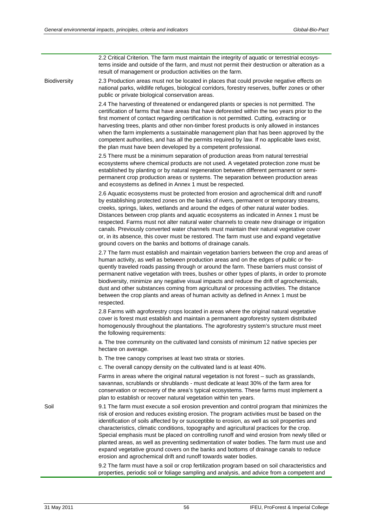|              | 2.2 Critical Criterion. The farm must maintain the integrity of aquatic or terrestrial ecosys-<br>tems inside and outside of the farm, and must not permit their destruction or alteration as a<br>result of management or production activities on the farm.                                                                                                                                                                                                                                                                                                                                                                                                                                                                                 |
|--------------|-----------------------------------------------------------------------------------------------------------------------------------------------------------------------------------------------------------------------------------------------------------------------------------------------------------------------------------------------------------------------------------------------------------------------------------------------------------------------------------------------------------------------------------------------------------------------------------------------------------------------------------------------------------------------------------------------------------------------------------------------|
| Biodiversity | 2.3 Production areas must not be located in places that could provoke negative effects on<br>national parks, wildlife refuges, biological corridors, forestry reserves, buffer zones or other<br>public or private biological conservation areas.                                                                                                                                                                                                                                                                                                                                                                                                                                                                                             |
|              | 2.4 The harvesting of threatened or endangered plants or species is not permitted. The<br>certification of farms that have areas that have deforested within the two years prior to the<br>first moment of contact regarding certification is not permitted. Cutting, extracting or<br>harvesting trees, plants and other non-timber forest products is only allowed in instances<br>when the farm implements a sustainable management plan that has been approved by the<br>competent authorities, and has all the permits required by law. If no applicable laws exist,<br>the plan must have been developed by a competent professional.                                                                                                   |
|              | 2.5 There must be a minimum separation of production areas from natural terrestrial<br>ecosystems where chemical products are not used. A vegetated protection zone must be<br>established by planting or by natural regeneration between different permanent or semi-<br>permanent crop production areas or systems. The separation between production areas<br>and ecosystems as defined in Annex 1 must be respected.                                                                                                                                                                                                                                                                                                                      |
|              | 2.6 Aquatic ecosystems must be protected from erosion and agrochemical drift and runoff<br>by establishing protected zones on the banks of rivers, permanent or temporary streams,<br>creeks, springs, lakes, wetlands and around the edges of other natural water bodies.<br>Distances between crop plants and aquatic ecosystems as indicated in Annex 1 must be<br>respected. Farms must not alter natural water channels to create new drainage or irrigation<br>canals. Previously converted water channels must maintain their natural vegetative cover<br>or, in its absence, this cover must be restored. The farm must use and expand vegetative<br>ground covers on the banks and bottoms of drainage canals.                       |
|              | 2.7 The farm must establish and maintain vegetation barriers between the crop and areas of<br>human activity, as well as between production areas and on the edges of public or fre-<br>quently traveled roads passing through or around the farm. These barriers must consist of<br>permanent native vegetation with trees, bushes or other types of plants, in order to promote<br>biodiversity, minimize any negative visual impacts and reduce the drift of agrochemicals,<br>dust and other substances coming from agricultural or processing activities. The distance<br>between the crop plants and areas of human activity as defined in Annex 1 must be<br>respected.                                                                |
|              | 2.8 Farms with agroforestry crops located in areas where the original natural vegetative<br>cover is forest must establish and maintain a permanent agroforestry system distributed<br>homogenously throughout the plantations. The agroforestry system's structure must meet<br>the following requirements:                                                                                                                                                                                                                                                                                                                                                                                                                                  |
|              | a. The tree community on the cultivated land consists of minimum 12 native species per<br>hectare on average.                                                                                                                                                                                                                                                                                                                                                                                                                                                                                                                                                                                                                                 |
|              | b. The tree canopy comprises at least two strata or stories.                                                                                                                                                                                                                                                                                                                                                                                                                                                                                                                                                                                                                                                                                  |
|              | c. The overall canopy density on the cultivated land is at least 40%.                                                                                                                                                                                                                                                                                                                                                                                                                                                                                                                                                                                                                                                                         |
|              | Farms in areas where the original natural vegetation is not forest - such as grasslands,<br>savannas, scrublands or shrublands - must dedicate at least 30% of the farm area for<br>conservation or recovery of the area's typical ecosystems. These farms must implement a<br>plan to establish or recover natural vegetation within ten years.                                                                                                                                                                                                                                                                                                                                                                                              |
| Soil         | 9.1 The farm must execute a soil erosion prevention and control program that minimizes the<br>risk of erosion and reduces existing erosion. The program activities must be based on the<br>identification of soils affected by or susceptible to erosion, as well as soil properties and<br>characteristics, climatic conditions, topography and agricultural practices for the crop.<br>Special emphasis must be placed on controlling runoff and wind erosion from newly tilled or<br>planted areas, as well as preventing sedimentation of water bodies. The farm must use and<br>expand vegetative ground covers on the banks and bottoms of drainage canals to reduce<br>erosion and agrochemical drift and runoff towards water bodies. |
|              | 9.2 The farm must have a soil or crop fertilization program based on soil characteristics and<br>properties, periodic soil or foliage sampling and analysis, and advice from a competent and                                                                                                                                                                                                                                                                                                                                                                                                                                                                                                                                                  |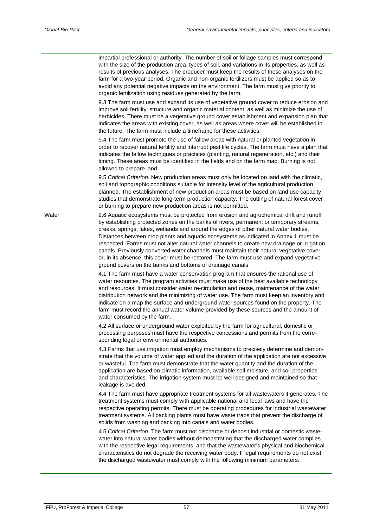impartial professional or authority. The number of soil or foliage samples must correspond with the size of the production area, types of soil, and variations in its properties, as well as results of previous analyses. The producer must keep the results of these analyses on the farm for a two-year period. Organic and non-organic fertilizers must be applied so as to avoid any potential negative impacts on the environment. The farm must give priority to organic fertilization using residues generated by the farm. 9.3 The farm must use and expand its use of vegetative ground cover to reduce erosion and improve soil fertility; structure and organic material content, as well as minimize the use of herbicides. There must be a vegetative ground cover establishment and expansion plan that indicates the areas with existing cover, as well as areas where cover will be established in the future. The farm must include a timeframe for these activities. 9.4 The farm must promote the use of fallow areas with natural or planted vegetation in order to recover natural fertility and interrupt pest life cycles. The farm must have a plan that indicates the fallow techniques or practices (planting, natural regeneration, etc.) and their timing. These areas must be identified in the fields and on the farm map. Burning is not allowed to prepare land. 9.5 *Critical Criterion.* New production areas must only be located on land with the climatic, soil and topographic conditions suitable for intensity level of the agricultural production planned. The establishment of new production areas must be based on land use capacity studies that demonstrate long-term production capacity. The cutting of natural forest cover or burning to prepare new production areas is not permitted. Water 2.6 Aquatic ecosystems must be protected from erosion and agrochemical drift and runoff by establishing protected zones on the banks of rivers, permanent or temporary streams, creeks, springs, lakes, wetlands and around the edges of other natural water bodies. Distances between crop plants and aquatic ecosystems as indicated in Annex 1 must be respected. Farms must not alter natural water channels to create new drainage or irrigation canals. Previously converted water channels must maintain their natural vegetative cover or, in its absence, this cover must be restored. The farm must use and expand vegetative ground covers on the banks and bottoms of drainage canals. 4.1 The farm must have a water conservation program that ensures the rational use of water resources. The program activities must make use of the best available technology and resources. It must consider water re-circulation and reuse, maintenance of the water distribution network and the minimizing of water use. The farm must keep an inventory and indicate on a map the surface and underground water sources found on the property. The farm must record the annual water volume provided by these sources and the amount of water consumed by the farm. 4.2 All surface or underground water exploited by the farm for agricultural, domestic or processing purposes must have the respective concessions and permits from the corresponding legal or environmental authorities. 4.3 Farms that use irrigation must employ mechanisms to precisely determine and demonstrate that the volume of water applied and the duration of the application are not excessive or wasteful. The farm must demonstrate that the water quantity and the duration of the application are based on climatic information, available soil moisture, and soil properties and characteristics. The irrigation system must be well designed and maintained so that leakage is avoided. 4.4 The farm must have appropriate treatment systems for all wastewaters it generates. The treatment systems must comply with applicable national and local laws and have the respective operating permits. There must be operating procedures for industrial wastewater treatment systems. All packing plants must have waste traps that prevent the discharge of solids from washing and packing into canals and water bodies. 4.5 *Critical Criterion.* The farm must not discharge or deposit industrial or domestic wastewater into natural water bodies without demonstrating that the discharged water complies with the respective legal requirements, and that the wastewater's physical and biochemical characteristics do not degrade the receiving water body. If legal requirements do not exist, the discharged wastewater must comply with the following minimum parameters: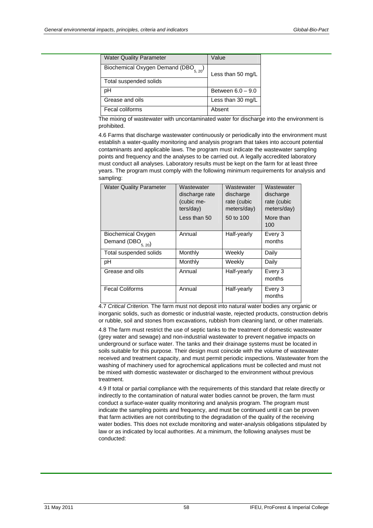| <b>Water Quality Parameter</b>              | Value               |
|---------------------------------------------|---------------------|
| Biochemical Oxygen Demand (DBO $_{5, 20}$ ) | Less than 50 mg/L   |
| Total suspended solids                      |                     |
| рH                                          | Between $6.0 - 9.0$ |
| Grease and oils                             | Less than 30 mg/L   |
| Fecal coliforms                             | Absent              |

The mixing of wastewater with uncontaminated water for discharge into the environment is prohibited.

4.6 Farms that discharge wastewater continuously or periodically into the environment must establish a water-quality monitoring and analysis program that takes into account potential contaminants and applicable laws. The program must indicate the wastewater sampling points and frequency and the analyses to be carried out. A legally accredited laboratory must conduct all analyses. Laboratory results must be kept on the farm for at least three years. The program must comply with the following minimum requirements for analysis and sampling:

| <b>Water Quality Parameter</b>               | Wastewater<br>discharge rate<br>(cubic me-<br>ters/day) | Wastewater<br>discharge<br>rate (cubic<br>meters/day) | Wastewater<br>discharge<br>rate (cubic<br>meters/day) |
|----------------------------------------------|---------------------------------------------------------|-------------------------------------------------------|-------------------------------------------------------|
|                                              | Less than 50                                            | 50 to 100                                             | More than<br>100                                      |
| Biochemical Oxygen<br>Demand $(DBO_{5, 20})$ | Annual                                                  | Half-yearly                                           | Every 3<br>months                                     |
| Total suspended solids                       | Monthly                                                 | Weekly                                                | Daily                                                 |
| рH                                           | Monthly                                                 | Weekly                                                | Daily                                                 |
| Grease and oils                              | Annual                                                  | Half-yearly                                           | Every 3<br>months                                     |
| <b>Fecal Coliforms</b>                       | Annual                                                  | Half-yearly                                           | Every 3<br>months                                     |

4.7 *Critical Criterion.* The farm must not deposit into natural water bodies any organic or inorganic solids, such as domestic or industrial waste, rejected products, construction debris or rubble, soil and stones from excavations, rubbish from cleaning land, or other materials.

4.8 The farm must restrict the use of septic tanks to the treatment of domestic wastewater (grey water and sewage) and non-industrial wastewater to prevent negative impacts on underground or surface water. The tanks and their drainage systems must be located in soils suitable for this purpose. Their design must coincide with the volume of wastewater received and treatment capacity, and must permit periodic inspections. Wastewater from the washing of machinery used for agrochemical applications must be collected and must not be mixed with domestic wastewater or discharged to the environment without previous treatment.

4.9 If total or partial compliance with the requirements of this standard that relate directly or indirectly to the contamination of natural water bodies cannot be proven, the farm must conduct a surface-water quality monitoring and analysis program. The program must indicate the sampling points and frequency, and must be continued until it can be proven that farm activities are not contributing to the degradation of the quality of the receiving water bodies. This does not exclude monitoring and water-analysis obligations stipulated by law or as indicated by local authorities. At a minimum, the following analyses must be conducted: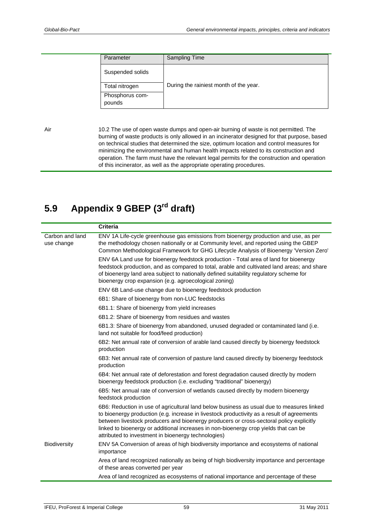| Parameter                 | <b>Sampling Time</b>                   |
|---------------------------|----------------------------------------|
| Suspended solids          |                                        |
| Total nitrogen            | During the rainiest month of the year. |
| Phosphorus com-<br>pounds |                                        |

Air 10.2 The use of open waste dumps and open-air burning of waste is not permitted. The burning of waste products is only allowed in an incinerator designed for that purpose, based on technical studies that determined the size, optimum location and control measures for minimizing the environmental and human health impacts related to its construction and operation. The farm must have the relevant legal permits for the construction and operation of this incinerator, as well as the appropriate operating procedures.

## <span id="page-64-0"></span>**5.9 Appendix 9 GBEP (3rd draft)**

|                               | <b>Criteria</b>                                                                                                                                                                                                                                                                                                                                                                                                                   |
|-------------------------------|-----------------------------------------------------------------------------------------------------------------------------------------------------------------------------------------------------------------------------------------------------------------------------------------------------------------------------------------------------------------------------------------------------------------------------------|
| Carbon and land<br>use change | ENV 1A Life-cycle greenhouse gas emissions from bioenergy production and use, as per<br>the methodology chosen nationally or at Community level, and reported using the GBEP<br>Common Methodological Framework for GHG Lifecycle Analysis of Bioenergy 'Version Zero'                                                                                                                                                            |
|                               | ENV 6A Land use for bioenergy feedstock production - Total area of land for bioenergy<br>feedstock production, and as compared to total, arable and cultivated land areas; and share<br>of bioenergy land area subject to nationally defined suitability regulatory scheme for<br>bioenergy crop expansion (e.g. agroecological zoning)                                                                                           |
|                               | ENV 6B Land-use change due to bioenergy feedstock production                                                                                                                                                                                                                                                                                                                                                                      |
|                               | 6B1: Share of bioenergy from non-LUC feedstocks                                                                                                                                                                                                                                                                                                                                                                                   |
|                               | 6B1.1: Share of bioenergy from yield increases                                                                                                                                                                                                                                                                                                                                                                                    |
|                               | 6B1.2: Share of bioenergy from residues and wastes                                                                                                                                                                                                                                                                                                                                                                                |
|                               | 6B1.3: Share of bioenergy from abandoned, unused degraded or contaminated land (i.e.<br>land not suitable for food/feed production)                                                                                                                                                                                                                                                                                               |
|                               | 6B2: Net annual rate of conversion of arable land caused directly by bioenergy feedstock<br>production                                                                                                                                                                                                                                                                                                                            |
|                               | 6B3: Net annual rate of conversion of pasture land caused directly by bioenergy feedstock<br>production                                                                                                                                                                                                                                                                                                                           |
|                               | 6B4: Net annual rate of deforestation and forest degradation caused directly by modern<br>bioenergy feedstock production (i.e. excluding "traditional" bioenergy)                                                                                                                                                                                                                                                                 |
|                               | 6B5: Net annual rate of conversion of wetlands caused directly by modern bioenergy<br>feedstock production                                                                                                                                                                                                                                                                                                                        |
|                               | 6B6: Reduction in use of agricultural land below business as usual due to measures linked<br>to bioenergy production (e.g. increase in livestock productivity as a result of agreements<br>between livestock producers and bioenergy producers or cross-sectoral policy explicitly<br>linked to bioenergy or additional increases in non-bioenergy crop yields that can be<br>attributed to investment in bioenergy technologies) |
| Biodiversity                  | ENV 5A Conversion of areas of high biodiversity importance and ecosystems of national<br>importance                                                                                                                                                                                                                                                                                                                               |
|                               | Area of land recognized nationally as being of high biodiversity importance and percentage<br>of these areas converted per year                                                                                                                                                                                                                                                                                                   |
|                               | Area of land recognized as ecosystems of national importance and percentage of these                                                                                                                                                                                                                                                                                                                                              |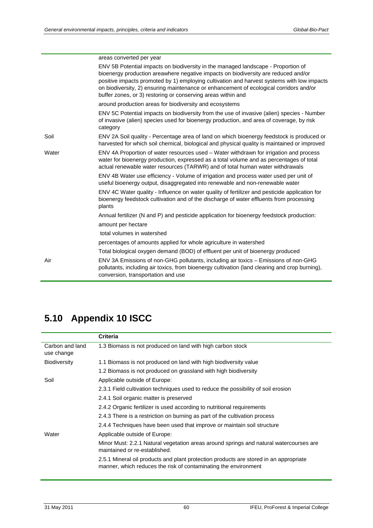|       | areas converted per year                                                                                                                                                                                                                                                                                                                                                                                                        |
|-------|---------------------------------------------------------------------------------------------------------------------------------------------------------------------------------------------------------------------------------------------------------------------------------------------------------------------------------------------------------------------------------------------------------------------------------|
|       | ENV 5B Potential impacts on biodiversity in the managed landscape - Proportion of<br>bioenergy production areawhere negative impacts on biodiversity are reduced and/or<br>positive impacts promoted by 1) employing cultivation and harvest systems with low impacts<br>on biodiversity, 2) ensuring maintenance or enhancement of ecological corridors and/or<br>buffer zones, or 3) restoring or conserving areas within and |
|       | around production areas for biodiversity and ecosystems                                                                                                                                                                                                                                                                                                                                                                         |
|       | ENV 5C Potential impacts on biodiversity from the use of invasive (alien) species - Number<br>of invasive (alien) species used for bioenergy production, and area of coverage, by risk<br>category                                                                                                                                                                                                                              |
| Soil  | ENV 2A Soil quality - Percentage area of land on which bioenergy feedstock is produced or<br>harvested for which soil chemical, biological and physical quality is maintained or improved                                                                                                                                                                                                                                       |
| Water | ENV 4A Proportion of water resources used – Water withdrawn for irrigation and process<br>water for bioenergy production, expressed as a total volume and as percentages of total<br>actual renewable water resources (TARWR) and of total human water withdrawals                                                                                                                                                              |
|       | ENV 4B Water use efficiency - Volume of irrigation and process water used per unit of<br>useful bioenergy output, disaggregated into renewable and non-renewable water                                                                                                                                                                                                                                                          |
|       | ENV 4C Water quality - Influence on water quality of fertilizer and pesticide application for<br>bioenergy feedstock cultivation and of the discharge of water effluents from processing<br>plants                                                                                                                                                                                                                              |
|       | Annual fertilizer (N and P) and pesticide application for bioenergy feedstock production:                                                                                                                                                                                                                                                                                                                                       |
|       | amount per hectare                                                                                                                                                                                                                                                                                                                                                                                                              |
|       | total volumes in watershed                                                                                                                                                                                                                                                                                                                                                                                                      |
|       | percentages of amounts applied for whole agriculture in watershed                                                                                                                                                                                                                                                                                                                                                               |
|       | Total biological oxygen demand (BOD) of effluent per unit of bioenergy produced                                                                                                                                                                                                                                                                                                                                                 |
| Air   | ENV 3A Emissions of non-GHG pollutants, including air toxics – Emissions of non-GHG<br>pollutants, including air toxics, from bioenergy cultivation (land clearing and crop burning),<br>conversion, transportation and use                                                                                                                                                                                                     |

## <span id="page-65-0"></span>**5.10 Appendix 10 ISCC**

|                               | <b>Criteria</b>                                                                                                                                          |
|-------------------------------|----------------------------------------------------------------------------------------------------------------------------------------------------------|
| Carbon and land<br>use change | 1.3 Biomass is not produced on land with high carbon stock                                                                                               |
| <b>Biodiversity</b>           | 1.1 Biomass is not produced on land with high biodiversity value                                                                                         |
|                               | 1.2 Biomass is not produced on grassland with high biodiversity                                                                                          |
| Soil                          | Applicable outside of Europe:                                                                                                                            |
|                               | 2.3.1 Field cultivation techniques used to reduce the possibility of soil erosion                                                                        |
|                               | 2.4.1 Soil organic matter is preserved                                                                                                                   |
|                               | 2.4.2 Organic fertilizer is used according to nutritional requirements                                                                                   |
|                               | 2.4.3 There is a restriction on burning as part of the cultivation process                                                                               |
|                               | 2.4.4 Techniques have been used that improve or maintain soil structure                                                                                  |
| Water                         | Applicable outside of Europe:                                                                                                                            |
|                               | Minor Must: 2.2.1 Natural vegetation areas around springs and natural watercourses are<br>maintained or re-established.                                  |
|                               | 2.5.1 Mineral oil products and plant protection products are stored in an appropriate<br>manner, which reduces the risk of contaminating the environment |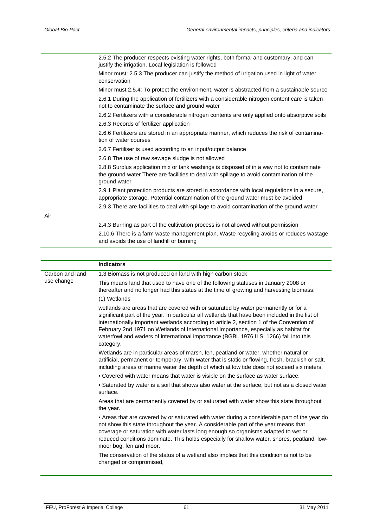|     | 2.5.2 The producer respects existing water rights, both formal and customary, and can<br>justify the irrigation. Local legislation is followed                                                         |
|-----|--------------------------------------------------------------------------------------------------------------------------------------------------------------------------------------------------------|
|     | Minor must: 2.5.3 The producer can justify the method of irrigation used in light of water<br>conservation                                                                                             |
|     | Minor must 2.5.4: To protect the environment, water is abstracted from a sustainable source                                                                                                            |
|     | 2.6.1 During the application of fertilizers with a considerable nitrogen content care is taken<br>not to contaminate the surface and ground water                                                      |
|     | 2.6.2 Fertilizers with a considerable nitrogen contents are only applied onto absorptive soils                                                                                                         |
|     | 2.6.3 Records of fertilizer application                                                                                                                                                                |
|     | 2.6.6 Fertilizers are stored in an appropriate manner, which reduces the risk of contamina-<br>tion of water courses                                                                                   |
|     | 2.6.7 Fertiliser is used according to an input/output balance                                                                                                                                          |
|     | 2.6.8 The use of raw sewage sludge is not allowed                                                                                                                                                      |
|     | 2.8.8 Surplus application mix or tank washings is disposed of in a way not to contaminate<br>the ground water There are facilities to deal with spillage to avoid contamination of the<br>ground water |
|     | 2.9.1 Plant protection products are stored in accordance with local regulations in a secure,<br>appropriate storage. Potential contamination of the ground water must be avoided                       |
|     | 2.9.3 There are facilities to deal with spillage to avoid contamination of the ground water                                                                                                            |
| Air |                                                                                                                                                                                                        |
|     | 2.4.3 Burning as part of the cultivation process is not allowed without permission                                                                                                                     |
|     | 2.10.6 There is a farm waste management plan. Waste recycling avoids or reduces wastage<br>and avoids the use of landfill or burning                                                                   |
|     |                                                                                                                                                                                                        |
|     | Indicatore                                                                                                                                                                                             |

| <b>Indicators</b>                                                                                                                                                                                                                                                                                                                                                                                                                                                                                  |
|----------------------------------------------------------------------------------------------------------------------------------------------------------------------------------------------------------------------------------------------------------------------------------------------------------------------------------------------------------------------------------------------------------------------------------------------------------------------------------------------------|
| 1.3 Biomass is not produced on land with high carbon stock                                                                                                                                                                                                                                                                                                                                                                                                                                         |
| This means land that used to have one of the following statuses in January 2008 or<br>thereafter and no longer had this status at the time of growing and harvesting biomass:                                                                                                                                                                                                                                                                                                                      |
| (1) Wetlands                                                                                                                                                                                                                                                                                                                                                                                                                                                                                       |
| wetlands are areas that are covered with or saturated by water permanently or for a<br>significant part of the year. In particular all wetlands that have been included in the list of<br>internationally important wetlands according to article 2, section 1 of the Convention of<br>February 2nd 1971 on Wetlands of International Importance, especially as habitat for<br>waterfowl and waders of international importance (BGBI. 1976 II S. 1266) fall into this<br>category.                |
| Wetlands are in particular areas of marsh, fen, peatland or water, whether natural or<br>artificial, permanent or temporary, with water that is static or flowing, fresh, brackish or salt,<br>including areas of marine water the depth of which at low tide does not exceed six meters.                                                                                                                                                                                                          |
| • Covered with water means that water is visible on the surface as water surface.                                                                                                                                                                                                                                                                                                                                                                                                                  |
| . Saturated by water is a soil that shows also water at the surface, but not as a closed water<br>surface.                                                                                                                                                                                                                                                                                                                                                                                         |
| Areas that are permanently covered by or saturated with water show this state throughout<br>the year.                                                                                                                                                                                                                                                                                                                                                                                              |
| • Areas that are covered by or saturated with water during a considerable part of the year do<br>not show this state throughout the year. A considerable part of the year means that<br>coverage or saturation with water lasts long enough so organisms adapted to wet or<br>reduced conditions dominate. This holds especially for shallow water, shores, peatland, low-<br>moor bog, fen and moor.<br>The conservation of the status of a wetland also implies that this condition is not to be |
| changed or compromised,                                                                                                                                                                                                                                                                                                                                                                                                                                                                            |
|                                                                                                                                                                                                                                                                                                                                                                                                                                                                                                    |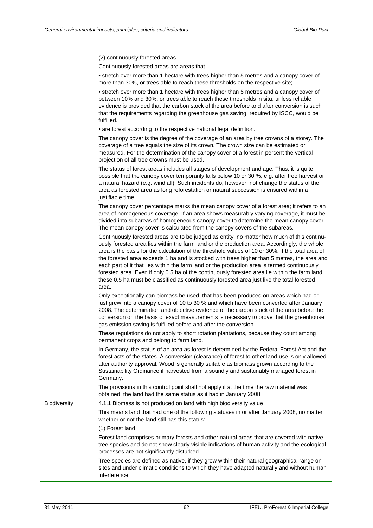|              | (2) continuously forested areas                                                                                                                                                                                                                                                                                                                                                                                                                                                                                                                                                                                                                                                                         |
|--------------|---------------------------------------------------------------------------------------------------------------------------------------------------------------------------------------------------------------------------------------------------------------------------------------------------------------------------------------------------------------------------------------------------------------------------------------------------------------------------------------------------------------------------------------------------------------------------------------------------------------------------------------------------------------------------------------------------------|
|              | Continuously forested areas are areas that                                                                                                                                                                                                                                                                                                                                                                                                                                                                                                                                                                                                                                                              |
|              | • stretch over more than 1 hectare with trees higher than 5 metres and a canopy cover of<br>more than 30%, or trees able to reach these thresholds on the respective site;                                                                                                                                                                                                                                                                                                                                                                                                                                                                                                                              |
|              | • stretch over more than 1 hectare with trees higher than 5 metres and a canopy cover of<br>between 10% and 30%, or trees able to reach these thresholds in situ, unless reliable<br>evidence is provided that the carbon stock of the area before and after conversion is such<br>that the requirements regarding the greenhouse gas saving, required by ISCC, would be<br>fulfilled.                                                                                                                                                                                                                                                                                                                  |
|              | • are forest according to the respective national legal definition.                                                                                                                                                                                                                                                                                                                                                                                                                                                                                                                                                                                                                                     |
|              | The canopy cover is the degree of the coverage of an area by tree crowns of a storey. The<br>coverage of a tree equals the size of its crown. The crown size can be estimated or<br>measured. For the determination of the canopy cover of a forest in percent the vertical<br>projection of all tree crowns must be used.                                                                                                                                                                                                                                                                                                                                                                              |
|              | The status of forest areas includes all stages of development and age. Thus, it is quite<br>possible that the canopy cover temporarily falls below 10 or 30 %, e.g. after tree harvest or<br>a natural hazard (e.g. windfall). Such incidents do, however, not change the status of the<br>area as forested area as long reforestation or natural succession is ensured within a<br>justifiable time.                                                                                                                                                                                                                                                                                                   |
|              | The canopy cover percentage marks the mean canopy cover of a forest area; it refers to an<br>area of homogeneous coverage. If an area shows measurably varying coverage, it must be<br>divided into subareas of homogeneous canopy cover to determine the mean canopy cover.<br>The mean canopy cover is calculated from the canopy covers of the subareas.                                                                                                                                                                                                                                                                                                                                             |
|              | Continuously forested areas are to be judged as entity, no matter how much of this continu-<br>ously forested area lies within the farm land or the production area. Accordingly, the whole<br>area is the basis for the calculation of the threshold values of 10 or 30%. If the total area of<br>the forested area exceeds 1 ha and is stocked with trees higher than 5 metres, the area and<br>each part of it that lies within the farm land or the production area is termed continuously<br>forested area. Even if only 0.5 ha of the continuously forested area lie within the farm land,<br>these 0.5 ha must be classified as continuously forested area just like the total forested<br>area. |
|              | Only exceptionally can biomass be used, that has been produced on areas which had or<br>just grew into a canopy cover of 10 to 30 % and which have been converted after January<br>2008. The determination and objective evidence of the carbon stock of the area before the<br>conversion on the basis of exact measurements is necessary to prove that the greenhouse<br>gas emission saving is fulfilled before and after the conversion.                                                                                                                                                                                                                                                            |
|              | These regulations do not apply to short rotation plantations, because they count among<br>permanent crops and belong to farm land.                                                                                                                                                                                                                                                                                                                                                                                                                                                                                                                                                                      |
|              | In Germany, the status of an area as forest is determined by the Federal Forest Act and the<br>forest acts of the states. A conversion (clearance) of forest to other land-use is only allowed<br>after authority approval. Wood is generally suitable as biomass grown according to the<br>Sustainability Ordinance if harvested from a soundly and sustainably managed forest in<br>Germany.                                                                                                                                                                                                                                                                                                          |
|              | The provisions in this control point shall not apply if at the time the raw material was<br>obtained, the land had the same status as it had in January 2008.                                                                                                                                                                                                                                                                                                                                                                                                                                                                                                                                           |
| Biodiversity | 4.1.1 Biomass is not produced on land with high biodiversity value                                                                                                                                                                                                                                                                                                                                                                                                                                                                                                                                                                                                                                      |
|              | This means land that had one of the following statuses in or after January 2008, no matter<br>whether or not the land still has this status:                                                                                                                                                                                                                                                                                                                                                                                                                                                                                                                                                            |
|              | (1) Forest land                                                                                                                                                                                                                                                                                                                                                                                                                                                                                                                                                                                                                                                                                         |
|              | Forest land comprises primary forests and other natural areas that are covered with native<br>tree species and do not show clearly visible indications of human activity and the ecological<br>processes are not significantly disturbed.                                                                                                                                                                                                                                                                                                                                                                                                                                                               |
|              | Tree species are defined as native, if they grow within their natural geographical range on<br>sites and under climatic conditions to which they have adapted naturally and without human<br>interference.                                                                                                                                                                                                                                                                                                                                                                                                                                                                                              |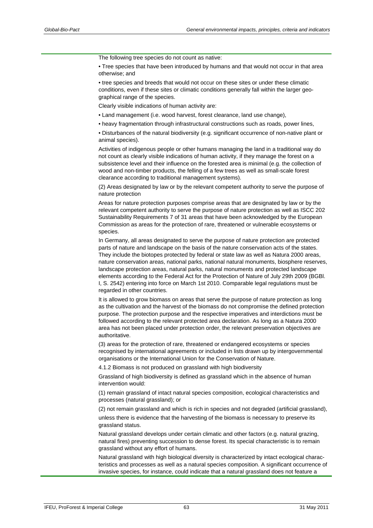The following tree species do not count as native:

- Tree species that have been introduced by humans and that would not occur in that area otherwise; and
- tree species and breeds that would not occur on these sites or under these climatic conditions, even if these sites or climatic conditions generally fall within the larger geographical range of the species.

Clearly visible indications of human activity are:

- Land management (i.e. wood harvest, forest clearance, land use change),
- heavy fragmentation through infrastructural constructions such as roads, power lines,

• Disturbances of the natural biodiversity (e.g. significant occurrence of non-native plant or animal species).

Activities of indigenous people or other humans managing the land in a traditional way do not count as clearly visible indications of human activity, if they manage the forest on a subsistence level and their influence on the forested area is minimal (e.g. the collection of wood and non-timber products, the felling of a few trees as well as small-scale forest clearance according to traditional management systems).

(2) Areas designated by law or by the relevant competent authority to serve the purpose of nature protection

Areas for nature protection purposes comprise areas that are designated by law or by the relevant competent authority to serve the purpose of nature protection as well as ISCC 202 Sustainability Requirements 7 of 31 areas that have been acknowledged by the European Commission as areas for the protection of rare, threatened or vulnerable ecosystems or species.

In Germany, all areas designated to serve the purpose of nature protection are protected parts of nature and landscape on the basis of the nature conservation acts of the states. They include the biotopes protected by federal or state law as well as Natura 2000 areas, nature conservation areas, national parks, national natural monuments, biosphere reserves, landscape protection areas, natural parks, natural monuments and protected landscape elements according to the Federal Act for the Protection of Nature of July 29th 2009 (BGBl. I, S. 2542) entering into force on March 1st 2010. Comparable legal regulations must be regarded in other countries.

It is allowed to grow biomass on areas that serve the purpose of nature protection as long as the cultivation and the harvest of the biomass do not compromise the defined protection purpose. The protection purpose and the respective imperatives and interdictions must be followed according to the relevant protected area declaration. As long as a Natura 2000 area has not been placed under protection order, the relevant preservation objectives are authoritative.

(3) areas for the protection of rare, threatened or endangered ecosystems or species recognised by international agreements or included in lists drawn up by intergovernmental organisations or the International Union for the Conservation of Nature.

4.1.2 Biomass is not produced on grassland with high biodiversity

Grassland of high biodiversity is defined as grassland which in the absence of human intervention would:

(1) remain grassland of intact natural species composition, ecological characteristics and processes (natural grassland); or

(2) not remain grassland and which is rich in species and not degraded (artificial grassland),

unless there is evidence that the harvesting of the biomass is necessary to preserve its grassland status.

Natural grassland develops under certain climatic and other factors (e.g. natural grazing, natural fires) preventing succession to dense forest. Its special characteristic is to remain grassland without any effort of humans.

Natural grassland with high biological diversity is characterized by intact ecological characteristics and processes as well as a natural species composition. A significant occurrence of invasive species, for instance, could indicate that a natural grassland does not feature a